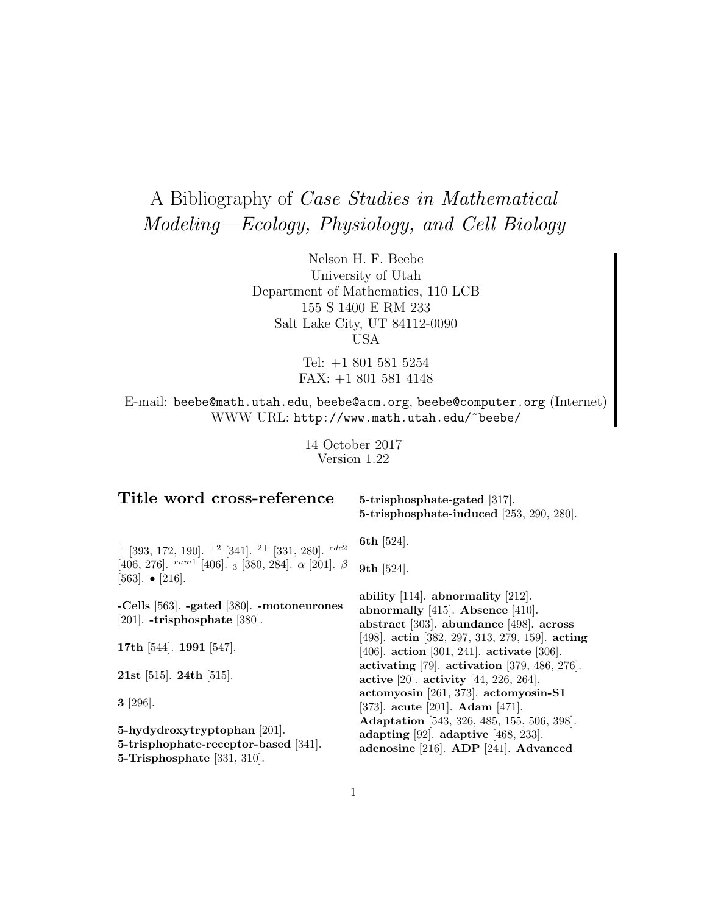# A Bibliography of Case Studies in Mathematical Modeling—Ecology, Physiology, and Cell Biology

Nelson H. F. Beebe University of Utah Department of Mathematics, 110 LCB 155 S 1400 E RM 233 Salt Lake City, UT 84112-0090 USA

> Tel: +1 801 581 5254 FAX: +1 801 581 4148

E-mail: beebe@math.utah.edu, beebe@acm.org, beebe@computer.org (Internet) WWW URL: http://www.math.utah.edu/~beebe/

> 14 October 2017 Version 1.22

# **Title word cross-reference**

**5-trisphosphate-gated** [317]. **5-trisphosphate-induced** [253, 290, 280].

 $+$  [393, 172, 190].  $+$ 2 [341]. <sup>2+</sup> [331, 280].  $cdc2$ [406, 276].  $rum1$  [406]. 3 [380, 284].  $\alpha$  [201].  $\beta$ [563]. • [216].

**-Cells** [563]. **-gated** [380]. **-motoneurones** [201]. **-trisphosphate** [380].

**17th** [544]. **1991** [547].

**21st** [515]. **24th** [515].

**3** [296].

**5-hydydroxytryptophan** [201]. **5-trisphophate-receptor-based** [341]. **5-Trisphosphate** [331, 310].

**6th** [524].

**9th** [524].

**ability** [114]. **abnormality** [212]. **abnormally** [415]. **Absence** [410]. **abstract** [303]. **abundance** [498]. **across** [498]. **actin** [382, 297, 313, 279, 159]. **acting** [406]. **action** [301, 241]. **activate** [306]. **activating** [79]. **activation** [379, 486, 276]. **active** [20]. **activity** [44, 226, 264]. **actomyosin** [261, 373]. **actomyosin-S1** [373]. **acute** [201]. **Adam** [471]. **Adaptation** [543, 326, 485, 155, 506, 398]. **adapting** [92]. **adaptive** [468, 233]. **adenosine** [216]. **ADP** [241]. **Advanced**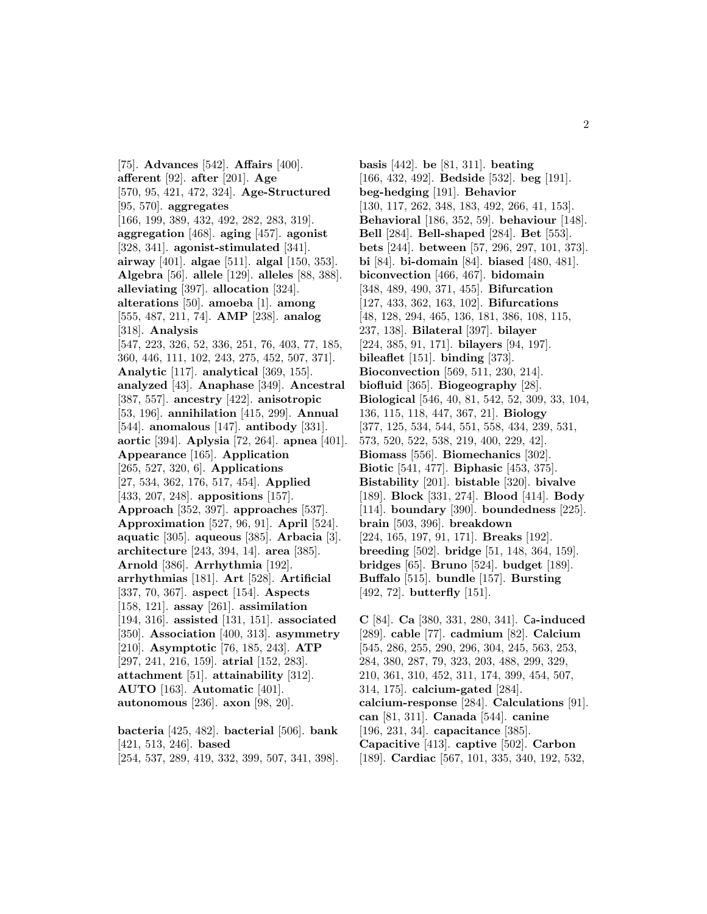[75]. **Advances** [542]. **Affairs** [400]. **afferent** [92]. **after** [201]. **Age** [570, 95, 421, 472, 324]. **Age-Structured** [95, 570]. **aggregates** [166, 199, 389, 432, 492, 282, 283, 319]. **aggregation** [468]. **aging** [457]. **agonist** [328, 341]. **agonist-stimulated** [341]. **airway** [401]. **algae** [511]. **algal** [150, 353]. **Algebra** [56]. **allele** [129]. **alleles** [88, 388]. **alleviating** [397]. **allocation** [324]. **alterations** [50]. **amoeba** [1]. **among** [555, 487, 211, 74]. **AMP** [238]. **analog** [318]. **Analysis** [547, 223, 326, 52, 336, 251, 76, 403, 77, 185, 360, 446, 111, 102, 243, 275, 452, 507, 371]. **Analytic** [117]. **analytical** [369, 155]. **analyzed** [43]. **Anaphase** [349]. **Ancestral** [387, 557]. **ancestry** [422]. **anisotropic** [53, 196]. **annihilation** [415, 299]. **Annual** [544]. **anomalous** [147]. **antibody** [331]. **aortic** [394]. **Aplysia** [72, 264]. **apnea** [401]. **Appearance** [165]. **Application** [265, 527, 320, 6]. **Applications** [27, 534, 362, 176, 517, 454]. **Applied** [433, 207, 248]. **appositions** [157]. **Approach** [352, 397]. **approaches** [537]. **Approximation** [527, 96, 91]. **April** [524]. **aquatic** [305]. **aqueous** [385]. **Arbacia** [3]. **architecture** [243, 394, 14]. **area** [385]. **Arnold** [386]. **Arrhythmia** [192]. **arrhythmias** [181]. **Art** [528]. **Artificial** [337, 70, 367]. **aspect** [154]. **Aspects** [158, 121]. **assay** [261]. **assimilation** [194, 316]. **assisted** [131, 151]. **associated** [350]. **Association** [400, 313]. **asymmetry** [210]. **Asymptotic** [76, 185, 243]. **ATP** [297, 241, 216, 159]. **atrial** [152, 283]. **attachment** [51]. **attainability** [312]. **AUTO** [163]. **Automatic** [401]. **autonomous** [236]. **axon** [98, 20].

**bacteria** [425, 482]. **bacterial** [506]. **bank** [421, 513, 246]. **based** [254, 537, 289, 419, 332, 399, 507, 341, 398].

**basis** [442]. **be** [81, 311]. **beating** [166, 432, 492]. **Bedside** [532]. **beg** [191]. **beg-hedging** [191]. **Behavior** [130, 117, 262, 348, 183, 492, 266, 41, 153]. **Behavioral** [186, 352, 59]. **behaviour** [148]. **Bell** [284]. **Bell-shaped** [284]. **Bet** [553]. **bets** [244]. **between** [57, 296, 297, 101, 373]. **bi** [84]. **bi-domain** [84]. **biased** [480, 481]. **biconvection** [466, 467]. **bidomain** [348, 489, 490, 371, 455]. **Bifurcation** [127, 433, 362, 163, 102]. **Bifurcations** [48, 128, 294, 465, 136, 181, 386, 108, 115, 237, 138]. **Bilateral** [397]. **bilayer** [224, 385, 91, 171]. **bilayers** [94, 197]. **bileaflet** [151]. **binding** [373]. **Bioconvection** [569, 511, 230, 214]. **biofluid** [365]. **Biogeography** [28]. **Biological** [546, 40, 81, 542, 52, 309, 33, 104, 136, 115, 118, 447, 367, 21]. **Biology** [377, 125, 534, 544, 551, 558, 434, 239, 531, 573, 520, 522, 538, 219, 400, 229, 42]. **Biomass** [556]. **Biomechanics** [302]. **Biotic** [541, 477]. **Biphasic** [453, 375]. **Bistability** [201]. **bistable** [320]. **bivalve** [189]. **Block** [331, 274]. **Blood** [414]. **Body** [114]. **boundary** [390]. **boundedness** [225]. **brain** [503, 396]. **breakdown** [224, 165, 197, 91, 171]. **Breaks** [192]. **breeding** [502]. **bridge** [51, 148, 364, 159]. **bridges** [65]. **Bruno** [524]. **budget** [189]. **Buffalo** [515]. **bundle** [157]. **Bursting** [492, 72]. **butterfly** [151].

**C** [84]. **Ca** [380, 331, 280, 341]. Ca**-induced** [289]. **cable** [77]. **cadmium** [82]. **Calcium** [545, 286, 255, 290, 296, 304, 245, 563, 253, 284, 380, 287, 79, 323, 203, 488, 299, 329, 210, 361, 310, 452, 311, 174, 399, 454, 507, 314, 175]. **calcium-gated** [284]. **calcium-response** [284]. **Calculations** [91]. **can** [81, 311]. **Canada** [544]. **canine** [196, 231, 34]. **capacitance** [385]. **Capacitive** [413]. **captive** [502]. **Carbon** [189]. **Cardiac** [567, 101, 335, 340, 192, 532,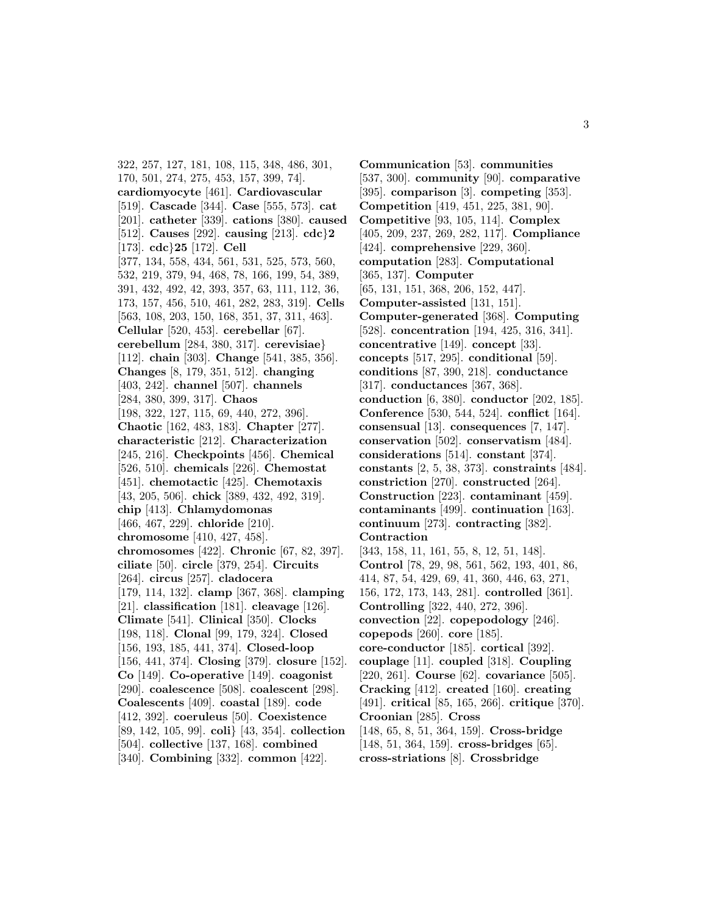322, 257, 127, 181, 108, 115, 348, 486, 301, 170, 501, 274, 275, 453, 157, 399, 74]. **cardiomyocyte** [461]. **Cardiovascular** [519]. **Cascade** [344]. **Case** [555, 573]. **cat** [201]. **catheter** [339]. **cations** [380]. **caused** [512]. **Causes** [292]. **causing** [213]. **cdc**}**2** [173]. **cdc**}**25** [172]. **Cell** [377, 134, 558, 434, 561, 531, 525, 573, 560, 532, 219, 379, 94, 468, 78, 166, 199, 54, 389, 391, 432, 492, 42, 393, 357, 63, 111, 112, 36, 173, 157, 456, 510, 461, 282, 283, 319]. **Cells** [563, 108, 203, 150, 168, 351, 37, 311, 463]. **Cellular** [520, 453]. **cerebellar** [67]. **cerebellum** [284, 380, 317]. **cerevisiae**} [112]. **chain** [303]. **Change** [541, 385, 356]. **Changes** [8, 179, 351, 512]. **changing** [403, 242]. **channel** [507]. **channels** [284, 380, 399, 317]. **Chaos** [198, 322, 127, 115, 69, 440, 272, 396]. **Chaotic** [162, 483, 183]. **Chapter** [277]. **characteristic** [212]. **Characterization** [245, 216]. **Checkpoints** [456]. **Chemical** [526, 510]. **chemicals** [226]. **Chemostat** [451]. **chemotactic** [425]. **Chemotaxis** [43, 205, 506]. **chick** [389, 432, 492, 319]. **chip** [413]. **Chlamydomonas** [466, 467, 229]. **chloride** [210]. **chromosome** [410, 427, 458]. **chromosomes** [422]. **Chronic** [67, 82, 397]. **ciliate** [50]. **circle** [379, 254]. **Circuits** [264]. **circus** [257]. **cladocera** [179, 114, 132]. **clamp** [367, 368]. **clamping** [21]. **classification** [181]. **cleavage** [126]. **Climate** [541]. **Clinical** [350]. **Clocks** [198, 118]. **Clonal** [99, 179, 324]. **Closed** [156, 193, 185, 441, 374]. **Closed-loop** [156, 441, 374]. **Closing** [379]. **closure** [152]. **Co** [149]. **Co-operative** [149]. **coagonist** [290]. **coalescence** [508]. **coalescent** [298]. **Coalescents** [409]. **coastal** [189]. **code** [412, 392]. **coeruleus** [50]. **Coexistence** [89, 142, 105, 99]. **coli**} [43, 354]. **collection** [504]. **collective** [137, 168]. **combined** [340]. **Combining** [332]. **common** [422].

**Communication** [53]. **communities** [537, 300]. **community** [90]. **comparative** [395]. **comparison** [3]. **competing** [353]. **Competition** [419, 451, 225, 381, 90]. **Competitive** [93, 105, 114]. **Complex** [405, 209, 237, 269, 282, 117]. **Compliance** [424]. **comprehensive** [229, 360]. **computation** [283]. **Computational** [365, 137]. **Computer** [65, 131, 151, 368, 206, 152, 447]. **Computer-assisted** [131, 151]. **Computer-generated** [368]. **Computing** [528]. **concentration** [194, 425, 316, 341]. **concentrative** [149]. **concept** [33]. **concepts** [517, 295]. **conditional** [59]. **conditions** [87, 390, 218]. **conductance** [317]. **conductances** [367, 368]. **conduction** [6, 380]. **conductor** [202, 185]. **Conference** [530, 544, 524]. **conflict** [164]. **consensual** [13]. **consequences** [7, 147]. **conservation** [502]. **conservatism** [484]. **considerations** [514]. **constant** [374]. **constants** [2, 5, 38, 373]. **constraints** [484]. **constriction** [270]. **constructed** [264]. **Construction** [223]. **contaminant** [459]. **contaminants** [499]. **continuation** [163]. **continuum** [273]. **contracting** [382]. **Contraction** [343, 158, 11, 161, 55, 8, 12, 51, 148]. **Control** [78, 29, 98, 561, 562, 193, 401, 86, 414, 87, 54, 429, 69, 41, 360, 446, 63, 271, 156, 172, 173, 143, 281]. **controlled** [361]. **Controlling** [322, 440, 272, 396]. **convection** [22]. **copepodology** [246]. **copepods** [260]. **core** [185]. **core-conductor** [185]. **cortical** [392]. **couplage** [11]. **coupled** [318]. **Coupling** [220, 261]. **Course** [62]. **covariance** [505]. **Cracking** [412]. **created** [160]. **creating** [491]. **critical** [85, 165, 266]. **critique** [370]. **Croonian** [285]. **Cross** [148, 65, 8, 51, 364, 159]. **Cross-bridge** [148, 51, 364, 159]. **cross-bridges** [65]. **cross-striations** [8]. **Crossbridge**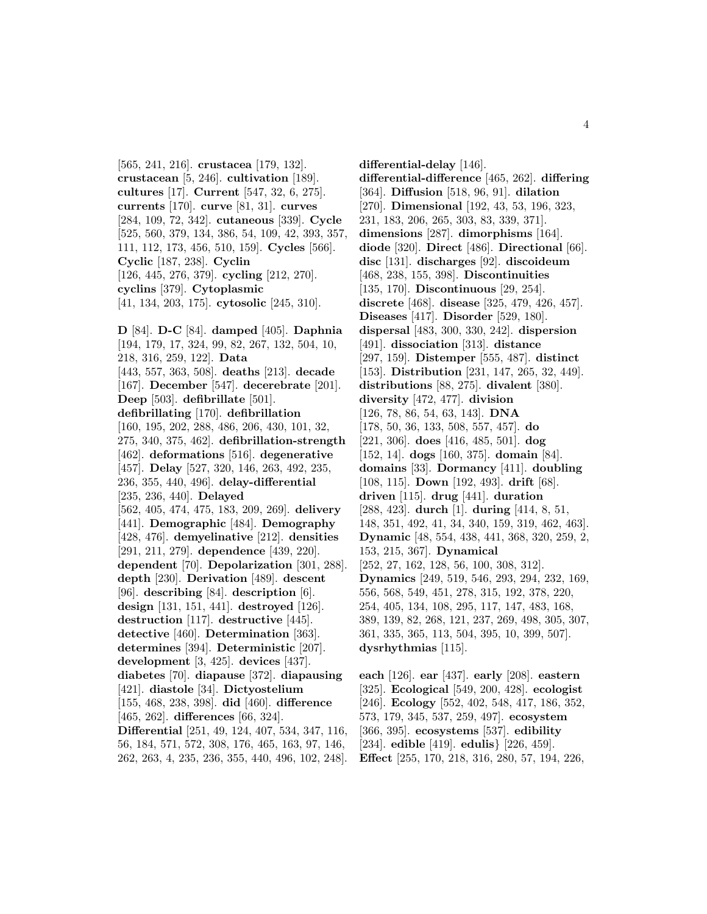**crustacean** [5, 246]. **cultivation** [189]. **cultures** [17]. **Current** [547, 32, 6, 275]. **currents** [170]. **curve** [81, 31]. **curves** [284, 109, 72, 342]. **cutaneous** [339]. **Cycle** [525, 560, 379, 134, 386, 54, 109, 42, 393, 357, 111, 112, 173, 456, 510, 159]. **Cycles** [566]. **Cyclic** [187, 238]. **Cyclin** [126, 445, 276, 379]. **cycling** [212, 270]. **cyclins** [379]. **Cytoplasmic** [41, 134, 203, 175]. **cytosolic** [245, 310]. **D** [84]. **D-C** [84]. **damped** [405]. **Daphnia** [194, 179, 17, 324, 99, 82, 267, 132, 504, 10, 218, 316, 259, 122]. **Data** [443, 557, 363, 508]. **deaths** [213]. **decade** [167]. **December** [547]. **decerebrate** [201]. **Deep** [503]. **defibrillate** [501]. **defibrillating** [170]. **defibrillation** [160, 195, 202, 288, 486, 206, 430, 101, 32, 275, 340, 375, 462]. **defibrillation-strength** [462]. **deformations** [516]. **degenerative** [457]. **Delay** [527, 320, 146, 263, 492, 235, 236, 355, 440, 496]. **delay-differential** [235, 236, 440]. **Delayed** [562, 405, 474, 475, 183, 209, 269]. **delivery** [441]. **Demographic** [484]. **Demography** [428, 476]. **demyelinative** [212]. **densities** [291, 211, 279]. **dependence** [439, 220]. **dependent** [70]. **Depolarization** [301, 288]. **depth** [230]. **Derivation** [489]. **descent** [96]. **describing** [84]. **description** [6]. **design** [131, 151, 441]. **destroyed** [126]. **destruction** [117]. **destructive** [445]. **detective** [460]. **Determination** [363]. **determines** [394]. **Deterministic** [207]. **development** [3, 425]. **devices** [437]. **diabetes** [70]. **diapause** [372]. **diapausing** [421]. **diastole** [34]. **Dictyostelium**

[565, 241, 216]. **crustacea** [179, 132].

[155, 468, 238, 398]. **did** [460]. **difference** [465, 262]. **differences** [66, 324].

**Differential** [251, 49, 124, 407, 534, 347, 116, 56, 184, 571, 572, 308, 176, 465, 163, 97, 146, 262, 263, 4, 235, 236, 355, 440, 496, 102, 248].

**differential-delay** [146]. **differential-difference** [465, 262]. **differing** [364]. **Diffusion** [518, 96, 91]. **dilation** [270]. **Dimensional** [192, 43, 53, 196, 323, 231, 183, 206, 265, 303, 83, 339, 371]. **dimensions** [287]. **dimorphisms** [164]. **diode** [320]. **Direct** [486]. **Directional** [66]. **disc** [131]. **discharges** [92]. **discoideum** [468, 238, 155, 398]. **Discontinuities** [135, 170]. **Discontinuous** [29, 254]. **discrete** [468]. **disease** [325, 479, 426, 457]. **Diseases** [417]. **Disorder** [529, 180]. **dispersal** [483, 300, 330, 242]. **dispersion** [491]. **dissociation** [313]. **distance** [297, 159]. **Distemper** [555, 487]. **distinct** [153]. **Distribution** [231, 147, 265, 32, 449]. **distributions** [88, 275]. **divalent** [380]. **diversity** [472, 477]. **division** [126, 78, 86, 54, 63, 143]. **DNA** [178, 50, 36, 133, 508, 557, 457]. **do** [221, 306]. **does** [416, 485, 501]. **dog** [152, 14]. **dogs** [160, 375]. **domain** [84]. **domains** [33]. **Dormancy** [411]. **doubling** [108, 115]. **Down** [192, 493]. **drift** [68]. **driven** [115]. **drug** [441]. **duration** [288, 423]. **durch** [1]. **during** [414, 8, 51, 148, 351, 492, 41, 34, 340, 159, 319, 462, 463]. **Dynamic** [48, 554, 438, 441, 368, 320, 259, 2, 153, 215, 367]. **Dynamical** [252, 27, 162, 128, 56, 100, 308, 312]. **Dynamics** [249, 519, 546, 293, 294, 232, 169, 556, 568, 549, 451, 278, 315, 192, 378, 220, 254, 405, 134, 108, 295, 117, 147, 483, 168, 389, 139, 82, 268, 121, 237, 269, 498, 305, 307, 361, 335, 365, 113, 504, 395, 10, 399, 507]. **dysrhythmias** [115].

**each** [126]. **ear** [437]. **early** [208]. **eastern** [325]. **Ecological** [549, 200, 428]. **ecologist** [246]. **Ecology** [552, 402, 548, 417, 186, 352, 573, 179, 345, 537, 259, 497]. **ecosystem** [366, 395]. **ecosystems** [537]. **edibility** [234]. **edible** [419]. **edulis**} [226, 459]. **Effect** [255, 170, 218, 316, 280, 57, 194, 226,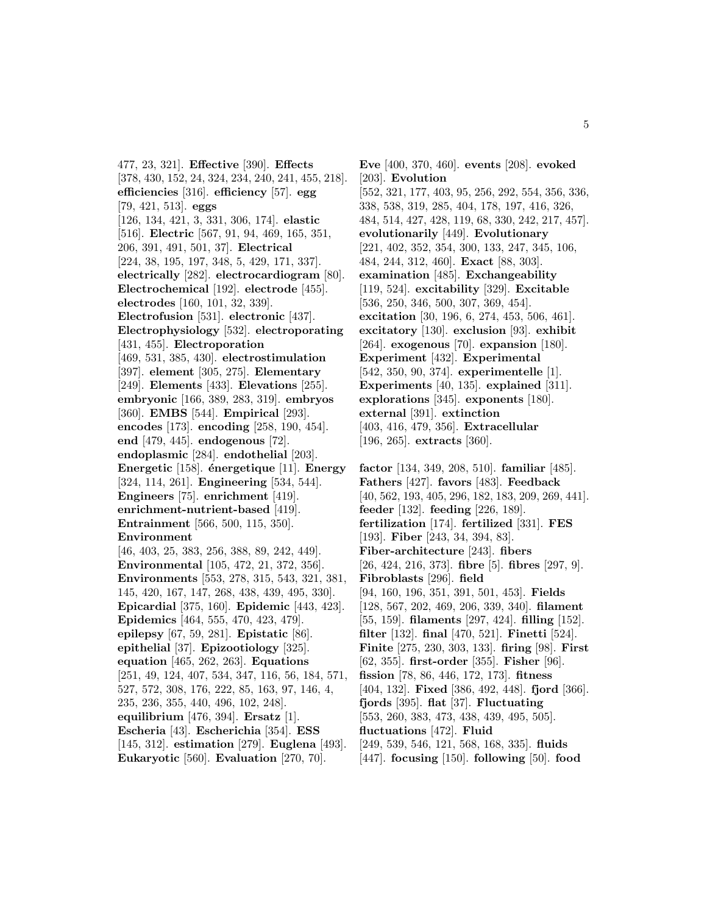477, 23, 321]. **Effective** [390]. **Effects** [378, 430, 152, 24, 324, 234, 240, 241, 455, 218]. **efficiencies** [316]. **efficiency** [57]. **egg** [79, 421, 513]. **eggs** [126, 134, 421, 3, 331, 306, 174]. **elastic** [516]. **Electric** [567, 91, 94, 469, 165, 351, 206, 391, 491, 501, 37]. **Electrical** [224, 38, 195, 197, 348, 5, 429, 171, 337]. **electrically** [282]. **electrocardiogram** [80]. **Electrochemical** [192]. **electrode** [455]. **electrodes** [160, 101, 32, 339]. **Electrofusion** [531]. **electronic** [437]. **Electrophysiology** [532]. **electroporating** [431, 455]. **Electroporation** [469, 531, 385, 430]. **electrostimulation** [397]. **element** [305, 275]. **Elementary** [249]. **Elements** [433]. **Elevations** [255]. **embryonic** [166, 389, 283, 319]. **embryos** [360]. **EMBS** [544]. **Empirical** [293]. **encodes** [173]. **encoding** [258, 190, 454]. **end** [479, 445]. **endogenous** [72]. **endoplasmic** [284]. **endothelial** [203]. **Energetic** [158]. **´energetique** [11]. **Energy** [324, 114, 261]. **Engineering** [534, 544]. **Engineers** [75]. **enrichment** [419]. **enrichment-nutrient-based** [419]. **Entrainment** [566, 500, 115, 350]. **Environment** [46, 403, 25, 383, 256, 388, 89, 242, 449]. **Environmental** [105, 472, 21, 372, 356]. **Environments** [553, 278, 315, 543, 321, 381, 145, 420, 167, 147, 268, 438, 439, 495, 330]. **Epicardial** [375, 160]. **Epidemic** [443, 423]. **Epidemics** [464, 555, 470, 423, 479]. **epilepsy** [67, 59, 281]. **Epistatic** [86]. **epithelial** [37]. **Epizootiology** [325]. **equation** [465, 262, 263]. **Equations** [251, 49, 124, 407, 534, 347, 116, 56, 184, 571, 527, 572, 308, 176, 222, 85, 163, 97, 146, 4, 235, 236, 355, 440, 496, 102, 248]. **equilibrium** [476, 394]. **Ersatz** [1]. **Escheria** [43]. **Escherichia** [354]. **ESS** [145, 312]. **estimation** [279]. **Euglena** [493]. **Eukaryotic** [560]. **Evaluation** [270, 70].

**Eve** [400, 370, 460]. **events** [208]. **evoked** [203]. **Evolution** [552, 321, 177, 403, 95, 256, 292, 554, 356, 336, 338, 538, 319, 285, 404, 178, 197, 416, 326, 484, 514, 427, 428, 119, 68, 330, 242, 217, 457]. **evolutionarily** [449]. **Evolutionary** [221, 402, 352, 354, 300, 133, 247, 345, 106, 484, 244, 312, 460]. **Exact** [88, 303]. **examination** [485]. **Exchangeability** [119, 524]. **excitability** [329]. **Excitable** [536, 250, 346, 500, 307, 369, 454]. **excitation** [30, 196, 6, 274, 453, 506, 461]. **excitatory** [130]. **exclusion** [93]. **exhibit** [264]. **exogenous** [70]. **expansion** [180]. **Experiment** [432]. **Experimental** [542, 350, 90, 374]. **experimentelle** [1]. **Experiments** [40, 135]. **explained** [311]. **explorations** [345]. **exponents** [180]. **external** [391]. **extinction** [403, 416, 479, 356]. **Extracellular** [196, 265]. **extracts** [360].

**factor** [134, 349, 208, 510]. **familiar** [485]. **Fathers** [427]. **favors** [483]. **Feedback** [40, 562, 193, 405, 296, 182, 183, 209, 269, 441]. **feeder** [132]. **feeding** [226, 189]. **fertilization** [174]. **fertilized** [331]. **FES** [193]. **Fiber** [243, 34, 394, 83]. **Fiber-architecture** [243]. **fibers** [26, 424, 216, 373]. **fibre** [5]. **fibres** [297, 9]. **Fibroblasts** [296]. **field** [94, 160, 196, 351, 391, 501, 453]. **Fields** [128, 567, 202, 469, 206, 339, 340]. **filament** [55, 159]. **filaments** [297, 424]. **filling** [152]. **filter** [132]. **final** [470, 521]. **Finetti** [524]. **Finite** [275, 230, 303, 133]. **firing** [98]. **First** [62, 355]. **first-order** [355]. **Fisher** [96]. **fission** [78, 86, 446, 172, 173]. **fitness** [404, 132]. **Fixed** [386, 492, 448]. **fjord** [366]. **fjords** [395]. **flat** [37]. **Fluctuating** [553, 260, 383, 473, 438, 439, 495, 505]. **fluctuations** [472]. **Fluid** [249, 539, 546, 121, 568, 168, 335]. **fluids**

[447]. **focusing** [150]. **following** [50]. **food**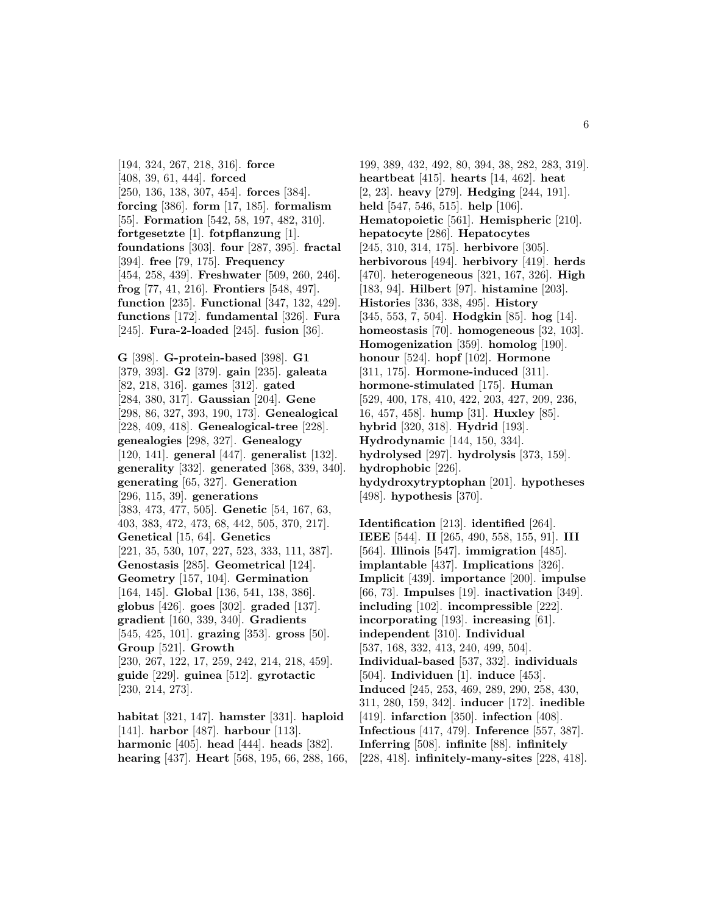[194, 324, 267, 218, 316]. **force** [408, 39, 61, 444]. **forced** [250, 136, 138, 307, 454]. **forces** [384]. **forcing** [386]. **form** [17, 185]. **formalism** [55]. **Formation** [542, 58, 197, 482, 310]. **fortgesetzte** [1]. **fotpflanzung** [1]. **foundations** [303]. **four** [287, 395]. **fractal** [394]. **free** [79, 175]. **Frequency** [454, 258, 439]. **Freshwater** [509, 260, 246]. **frog** [77, 41, 216]. **Frontiers** [548, 497]. **function** [235]. **Functional** [347, 132, 429]. **functions** [172]. **fundamental** [326]. **Fura** [245]. **Fura-2-loaded** [245]. **fusion** [36].

**G** [398]. **G-protein-based** [398]. **G1** [379, 393]. **G2** [379]. **gain** [235]. **galeata** [82, 218, 316]. **games** [312]. **gated** [284, 380, 317]. **Gaussian** [204]. **Gene** [298, 86, 327, 393, 190, 173]. **Genealogical** [228, 409, 418]. **Genealogical-tree** [228]. **genealogies** [298, 327]. **Genealogy** [120, 141]. **general** [447]. **generalist** [132]. **generality** [332]. **generated** [368, 339, 340]. **generating** [65, 327]. **Generation** [296, 115, 39]. **generations** [383, 473, 477, 505]. **Genetic** [54, 167, 63, 403, 383, 472, 473, 68, 442, 505, 370, 217]. **Genetical** [15, 64]. **Genetics** [221, 35, 530, 107, 227, 523, 333, 111, 387]. **Genostasis** [285]. **Geometrical** [124]. **Geometry** [157, 104]. **Germination** [164, 145]. **Global** [136, 541, 138, 386]. **globus** [426]. **goes** [302]. **graded** [137]. **gradient** [160, 339, 340]. **Gradients** [545, 425, 101]. **grazing** [353]. **gross** [50]. **Group** [521]. **Growth** [230, 267, 122, 17, 259, 242, 214, 218, 459]. **guide** [229]. **guinea** [512]. **gyrotactic** [230, 214, 273].

**habitat** [321, 147]. **hamster** [331]. **haploid** [141]. **harbor** [487]. **harbour** [113]. **harmonic** [405]. **head** [444]. **heads** [382]. **hearing** [437]. **Heart** [568, 195, 66, 288, 166,

199, 389, 432, 492, 80, 394, 38, 282, 283, 319]. **heartbeat** [415]. **hearts** [14, 462]. **heat** [2, 23]. **heavy** [279]. **Hedging** [244, 191]. **held** [547, 546, 515]. **help** [106]. **Hematopoietic** [561]. **Hemispheric** [210]. **hepatocyte** [286]. **Hepatocytes** [245, 310, 314, 175]. **herbivore** [305]. **herbivorous** [494]. **herbivory** [419]. **herds** [470]. **heterogeneous** [321, 167, 326]. **High** [183, 94]. **Hilbert** [97]. **histamine** [203]. **Histories** [336, 338, 495]. **History** [345, 553, 7, 504]. **Hodgkin** [85]. **hog** [14]. **homeostasis** [70]. **homogeneous** [32, 103]. **Homogenization** [359]. **homolog** [190]. **honour** [524]. **hopf** [102]. **Hormone** [311, 175]. **Hormone-induced** [311]. **hormone-stimulated** [175]. **Human** [529, 400, 178, 410, 422, 203, 427, 209, 236, 16, 457, 458]. **hump** [31]. **Huxley** [85]. **hybrid** [320, 318]. **Hydrid** [193]. **Hydrodynamic** [144, 150, 334]. **hydrolysed** [297]. **hydrolysis** [373, 159]. **hydrophobic** [226]. **hydydroxytryptophan** [201]. **hypotheses** [498]. **hypothesis** [370].

**Identification** [213]. **identified** [264]. **IEEE** [544]. **II** [265, 490, 558, 155, 91]. **III** [564]. **Illinois** [547]. **immigration** [485]. **implantable** [437]. **Implications** [326]. **Implicit** [439]. **importance** [200]. **impulse** [66, 73]. **Impulses** [19]. **inactivation** [349]. **including** [102]. **incompressible** [222]. **incorporating** [193]. **increasing** [61]. **independent** [310]. **Individual** [537, 168, 332, 413, 240, 499, 504]. **Individual-based** [537, 332]. **individuals** [504]. **Individuen** [1]. **induce** [453]. **Induced** [245, 253, 469, 289, 290, 258, 430, 311, 280, 159, 342]. **inducer** [172]. **inedible** [419]. **infarction** [350]. **infection** [408]. **Infectious** [417, 479]. **Inference** [557, 387]. **Inferring** [508]. **infinite** [88]. **infinitely** [228, 418]. **infinitely-many-sites** [228, 418].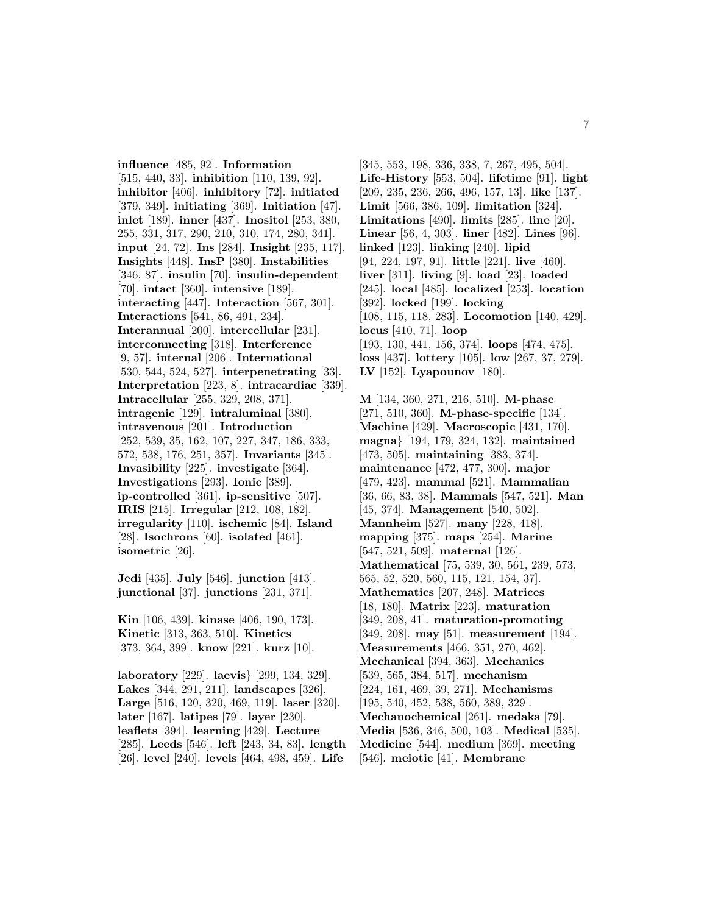**influence** [485, 92]. **Information** [515, 440, 33]. **inhibition** [110, 139, 92]. **inhibitor** [406]. **inhibitory** [72]. **initiated** [379, 349]. **initiating** [369]. **Initiation** [47]. **inlet** [189]. **inner** [437]. **Inositol** [253, 380, 255, 331, 317, 290, 210, 310, 174, 280, 341]. **input** [24, 72]. **Ins** [284]. **Insight** [235, 117]. **Insights** [448]. **InsP** [380]. **Instabilities** [346, 87]. **insulin** [70]. **insulin-dependent** [70]. **intact** [360]. **intensive** [189]. **interacting** [447]. **Interaction** [567, 301]. **Interactions** [541, 86, 491, 234]. **Interannual** [200]. **intercellular** [231]. **interconnecting** [318]. **Interference** [9, 57]. **internal** [206]. **International** [530, 544, 524, 527]. **interpenetrating** [33]. **Interpretation** [223, 8]. **intracardiac** [339]. **Intracellular** [255, 329, 208, 371]. **intragenic** [129]. **intraluminal** [380]. **intravenous** [201]. **Introduction** [252, 539, 35, 162, 107, 227, 347, 186, 333, 572, 538, 176, 251, 357]. **Invariants** [345]. **Invasibility** [225]. **investigate** [364]. **Investigations** [293]. **Ionic** [389]. **ip-controlled** [361]. **ip-sensitive** [507]. **IRIS** [215]. **Irregular** [212, 108, 182]. **irregularity** [110]. **ischemic** [84]. **Island** [28]. **Isochrons** [60]. **isolated** [461]. **isometric** [26].

**Jedi** [435]. **July** [546]. **junction** [413]. **junctional** [37]. **junctions** [231, 371].

**Kin** [106, 439]. **kinase** [406, 190, 173]. **Kinetic** [313, 363, 510]. **Kinetics** [373, 364, 399]. **know** [221]. **kurz** [10].

**laboratory** [229]. **laevis**} [299, 134, 329]. **Lakes** [344, 291, 211]. **landscapes** [326]. **Large** [516, 120, 320, 469, 119]. **laser** [320]. **later** [167]. **latipes** [79]. **layer** [230]. **leaflets** [394]. **learning** [429]. **Lecture** [285]. **Leeds** [546]. **left** [243, 34, 83]. **length** [26]. **level** [240]. **levels** [464, 498, 459]. **Life**

[345, 553, 198, 336, 338, 7, 267, 495, 504]. **Life-History** [553, 504]. **lifetime** [91]. **light** [209, 235, 236, 266, 496, 157, 13]. **like** [137]. **Limit** [566, 386, 109]. **limitation** [324]. **Limitations** [490]. **limits** [285]. **line** [20]. **Linear** [56, 4, 303]. **liner** [482]. **Lines** [96]. **linked** [123]. **linking** [240]. **lipid** [94, 224, 197, 91]. **little** [221]. **live** [460]. **liver** [311]. **living** [9]. **load** [23]. **loaded** [245]. **local** [485]. **localized** [253]. **location** [392]. **locked** [199]. **locking** [108, 115, 118, 283]. **Locomotion** [140, 429]. **locus** [410, 71]. **loop** [193, 130, 441, 156, 374]. **loops** [474, 475]. **loss** [437]. **lottery** [105]. **low** [267, 37, 279]. **LV** [152]. **Lyapounov** [180].

**M** [134, 360, 271, 216, 510]. **M-phase** [271, 510, 360]. **M-phase-specific** [134]. **Machine** [429]. **Macroscopic** [431, 170]. **magna**} [194, 179, 324, 132]. **maintained** [473, 505]. **maintaining** [383, 374]. **maintenance** [472, 477, 300]. **major** [479, 423]. **mammal** [521]. **Mammalian** [36, 66, 83, 38]. **Mammals** [547, 521]. **Man** [45, 374]. **Management** [540, 502]. **Mannheim** [527]. **many** [228, 418]. **mapping** [375]. **maps** [254]. **Marine** [547, 521, 509]. **maternal** [126]. **Mathematical** [75, 539, 30, 561, 239, 573, 565, 52, 520, 560, 115, 121, 154, 37]. **Mathematics** [207, 248]. **Matrices** [18, 180]. **Matrix** [223]. **maturation** [349, 208, 41]. **maturation-promoting** [349, 208]. **may** [51]. **measurement** [194]. **Measurements** [466, 351, 270, 462]. **Mechanical** [394, 363]. **Mechanics** [539, 565, 384, 517]. **mechanism** [224, 161, 469, 39, 271]. **Mechanisms** [195, 540, 452, 538, 560, 389, 329]. **Mechanochemical** [261]. **medaka** [79]. **Media** [536, 346, 500, 103]. **Medical** [535]. **Medicine** [544]. **medium** [369]. **meeting** [546]. **meiotic** [41]. **Membrane**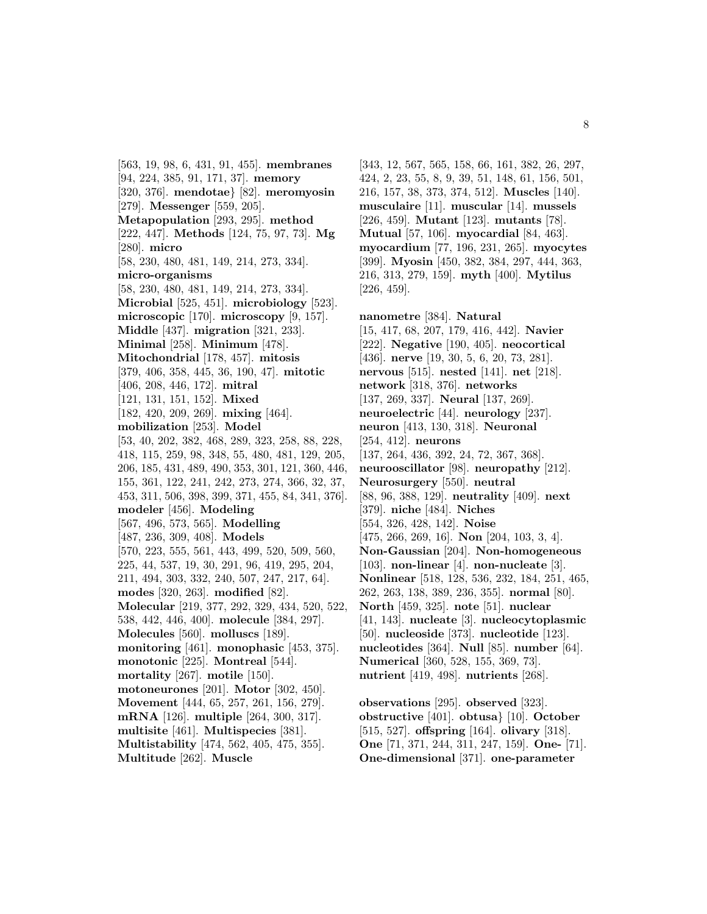[563, 19, 98, 6, 431, 91, 455]. **membranes** [94, 224, 385, 91, 171, 37]. **memory** [320, 376]. **mendotae**} [82]. **meromyosin** [279]. **Messenger** [559, 205]. **Metapopulation** [293, 295]. **method** [222, 447]. **Methods** [124, 75, 97, 73]. **Mg** [280]. **micro** [58, 230, 480, 481, 149, 214, 273, 334]. **micro-organisms** [58, 230, 480, 481, 149, 214, 273, 334]. **Microbial** [525, 451]. **microbiology** [523]. **microscopic** [170]. **microscopy** [9, 157]. **Middle** [437]. **migration** [321, 233]. **Minimal** [258]. **Minimum** [478]. **Mitochondrial** [178, 457]. **mitosis** [379, 406, 358, 445, 36, 190, 47]. **mitotic** [406, 208, 446, 172]. **mitral** [121, 131, 151, 152]. **Mixed** [182, 420, 209, 269]. **mixing** [464]. **mobilization** [253]. **Model** [53, 40, 202, 382, 468, 289, 323, 258, 88, 228, 418, 115, 259, 98, 348, 55, 480, 481, 129, 205, 206, 185, 431, 489, 490, 353, 301, 121, 360, 446, 155, 361, 122, 241, 242, 273, 274, 366, 32, 37, 453, 311, 506, 398, 399, 371, 455, 84, 341, 376]. **modeler** [456]. **Modeling** [567, 496, 573, 565]. **Modelling** [487, 236, 309, 408]. **Models** [570, 223, 555, 561, 443, 499, 520, 509, 560, 225, 44, 537, 19, 30, 291, 96, 419, 295, 204, 211, 494, 303, 332, 240, 507, 247, 217, 64]. **modes** [320, 263]. **modified** [82]. **Molecular** [219, 377, 292, 329, 434, 520, 522, 538, 442, 446, 400]. **molecule** [384, 297]. **Molecules** [560]. **molluscs** [189]. **monitoring** [461]. **monophasic** [453, 375]. **monotonic** [225]. **Montreal** [544]. **mortality** [267]. **motile** [150]. **motoneurones** [201]. **Motor** [302, 450]. **Movement** [444, 65, 257, 261, 156, 279]. **mRNA** [126]. **multiple** [264, 300, 317]. **multisite** [461]. **Multispecies** [381]. **Multistability** [474, 562, 405, 475, 355].

**Multitude** [262]. **Muscle**

[343, 12, 567, 565, 158, 66, 161, 382, 26, 297, 424, 2, 23, 55, 8, 9, 39, 51, 148, 61, 156, 501, 216, 157, 38, 373, 374, 512]. **Muscles** [140]. **musculaire** [11]. **muscular** [14]. **mussels** [226, 459]. **Mutant** [123]. **mutants** [78]. **Mutual** [57, 106]. **myocardial** [84, 463]. **myocardium** [77, 196, 231, 265]. **myocytes** [399]. **Myosin** [450, 382, 384, 297, 444, 363, 216, 313, 279, 159]. **myth** [400]. **Mytilus** [226, 459].

**nanometre** [384]. **Natural** [15, 417, 68, 207, 179, 416, 442]. **Navier** [222]. **Negative** [190, 405]. **neocortical** [436]. **nerve** [19, 30, 5, 6, 20, 73, 281]. **nervous** [515]. **nested** [141]. **net** [218]. **network** [318, 376]. **networks** [137, 269, 337]. **Neural** [137, 269]. **neuroelectric** [44]. **neurology** [237]. **neuron** [413, 130, 318]. **Neuronal** [254, 412]. **neurons** [137, 264, 436, 392, 24, 72, 367, 368]. **neurooscillator** [98]. **neuropathy** [212]. **Neurosurgery** [550]. **neutral** [88, 96, 388, 129]. **neutrality** [409]. **next** [379]. **niche** [484]. **Niches** [554, 326, 428, 142]. **Noise** [475, 266, 269, 16]. **Non** [204, 103, 3, 4]. **Non-Gaussian** [204]. **Non-homogeneous** [103]. **non-linear** [4]. **non-nucleate** [3]. **Nonlinear** [518, 128, 536, 232, 184, 251, 465, 262, 263, 138, 389, 236, 355]. **normal** [80]. **North** [459, 325]. **note** [51]. **nuclear** [41, 143]. **nucleate** [3]. **nucleocytoplasmic** [50]. **nucleoside** [373]. **nucleotide** [123]. **nucleotides** [364]. **Null** [85]. **number** [64]. **Numerical** [360, 528, 155, 369, 73]. **nutrient** [419, 498]. **nutrients** [268].

**observations** [295]. **observed** [323]. **obstructive** [401]. **obtusa**} [10]. **October** [515, 527]. **offspring** [164]. **olivary** [318]. **One** [71, 371, 244, 311, 247, 159]. **One-** [71]. **One-dimensional** [371]. **one-parameter**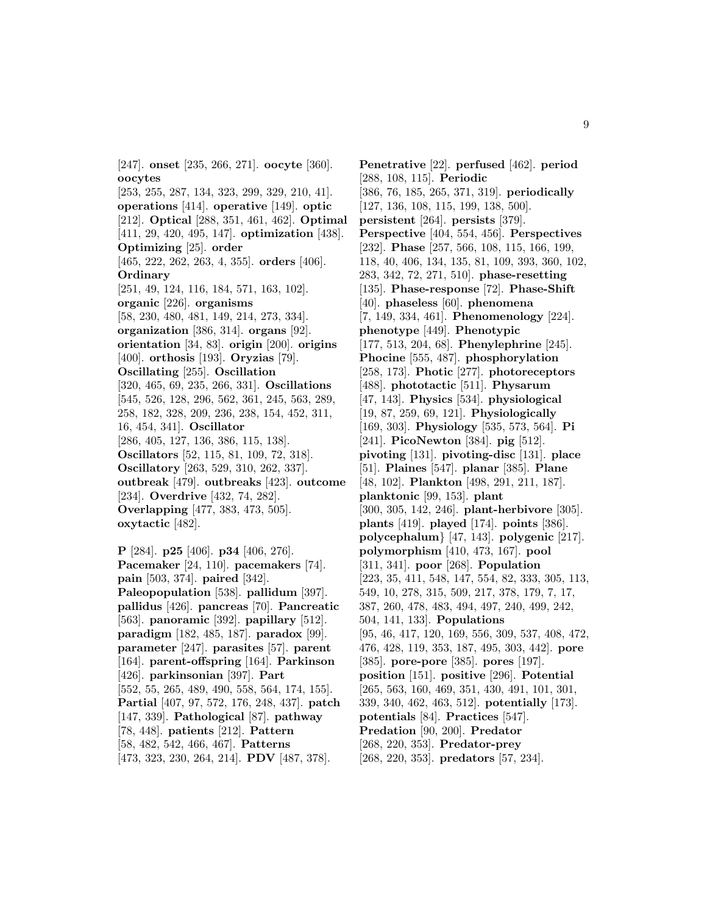[247]. **onset** [235, 266, 271]. **oocyte** [360]. **oocytes** [253, 255, 287, 134, 323, 299, 329, 210, 41]. **operations** [414]. **operative** [149]. **optic** [212]. **Optical** [288, 351, 461, 462]. **Optimal** [411, 29, 420, 495, 147]. **optimization** [438]. **Optimizing** [25]. **order** [465, 222, 262, 263, 4, 355]. **orders** [406]. **Ordinary** [251, 49, 124, 116, 184, 571, 163, 102]. **organic** [226]. **organisms** [58, 230, 480, 481, 149, 214, 273, 334]. **organization** [386, 314]. **organs** [92]. **orientation** [34, 83]. **origin** [200]. **origins** [400]. **orthosis** [193]. **Oryzias** [79]. **Oscillating** [255]. **Oscillation** [320, 465, 69, 235, 266, 331]. **Oscillations** [545, 526, 128, 296, 562, 361, 245, 563, 289, 258, 182, 328, 209, 236, 238, 154, 452, 311, 16, 454, 341]. **Oscillator** [286, 405, 127, 136, 386, 115, 138]. **Oscillators** [52, 115, 81, 109, 72, 318]. **Oscillatory** [263, 529, 310, 262, 337]. **outbreak** [479]. **outbreaks** [423]. **outcome** [234]. **Overdrive** [432, 74, 282]. **Overlapping** [477, 383, 473, 505]. **oxytactic** [482].

**P** [284]. **p25** [406]. **p34** [406, 276]. **Pacemaker** [24, 110]. **pacemakers** [74]. **pain** [503, 374]. **paired** [342]. **Paleopopulation** [538]. **pallidum** [397]. **pallidus** [426]. **pancreas** [70]. **Pancreatic** [563]. **panoramic** [392]. **papillary** [512]. **paradigm** [182, 485, 187]. **paradox** [99]. **parameter** [247]. **parasites** [57]. **parent** [164]. **parent-offspring** [164]. **Parkinson** [426]. **parkinsonian** [397]. **Part** [552, 55, 265, 489, 490, 558, 564, 174, 155]. **Partial** [407, 97, 572, 176, 248, 437]. **patch** [147, 339]. **Pathological** [87]. **pathway** [78, 448]. **patients** [212]. **Pattern** [58, 482, 542, 466, 467]. **Patterns** [473, 323, 230, 264, 214]. **PDV** [487, 378].

**Penetrative** [22]. **perfused** [462]. **period** [288, 108, 115]. **Periodic** [386, 76, 185, 265, 371, 319]. **periodically** [127, 136, 108, 115, 199, 138, 500]. **persistent** [264]. **persists** [379]. **Perspective** [404, 554, 456]. **Perspectives** [232]. **Phase** [257, 566, 108, 115, 166, 199, 118, 40, 406, 134, 135, 81, 109, 393, 360, 102, 283, 342, 72, 271, 510]. **phase-resetting** [135]. **Phase-response** [72]. **Phase-Shift** [40]. **phaseless** [60]. **phenomena** [7, 149, 334, 461]. **Phenomenology** [224]. **phenotype** [449]. **Phenotypic** [177, 513, 204, 68]. **Phenylephrine** [245]. **Phocine** [555, 487]. **phosphorylation** [258, 173]. **Photic** [277]. **photoreceptors** [488]. **phototactic** [511]. **Physarum** [47, 143]. **Physics** [534]. **physiological** [19, 87, 259, 69, 121]. **Physiologically** [169, 303]. **Physiology** [535, 573, 564]. **Pi** [241]. **PicoNewton** [384]. **pig** [512]. **pivoting** [131]. **pivoting-disc** [131]. **place** [51]. **Plaines** [547]. **planar** [385]. **Plane** [48, 102]. **Plankton** [498, 291, 211, 187]. **planktonic** [99, 153]. **plant** [300, 305, 142, 246]. **plant-herbivore** [305]. **plants** [419]. **played** [174]. **points** [386]. **polycephalum**} [47, 143]. **polygenic** [217]. **polymorphism** [410, 473, 167]. **pool** [311, 341]. **poor** [268]. **Population** [223, 35, 411, 548, 147, 554, 82, 333, 305, 113, 549, 10, 278, 315, 509, 217, 378, 179, 7, 17, 387, 260, 478, 483, 494, 497, 240, 499, 242, 504, 141, 133]. **Populations** [95, 46, 417, 120, 169, 556, 309, 537, 408, 472, 476, 428, 119, 353, 187, 495, 303, 442]. **pore** [385]. **pore-pore** [385]. **pores** [197]. **position** [151]. **positive** [296]. **Potential** [265, 563, 160, 469, 351, 430, 491, 101, 301, 339, 340, 462, 463, 512]. **potentially** [173]. **potentials** [84]. **Practices** [547]. **Predation** [90, 200]. **Predator** [268, 220, 353]. **Predator-prey** [268, 220, 353]. **predators** [57, 234].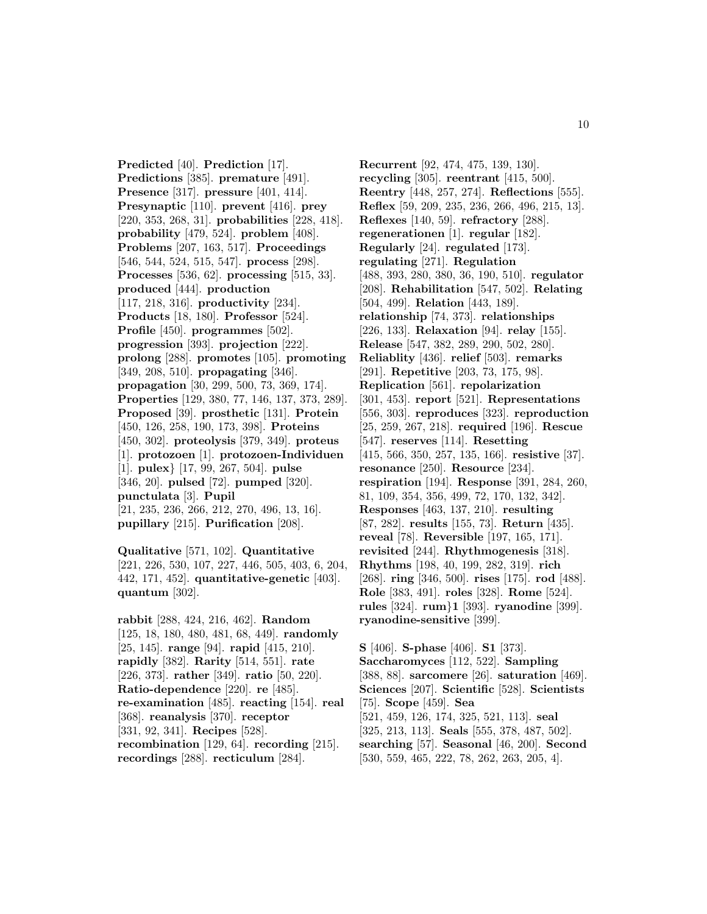**Predicted** [40]. **Prediction** [17]. **Predictions** [385]. **premature** [491]. **Presence** [317]. **pressure** [401, 414]. **Presynaptic** [110]. **prevent** [416]. **prey** [220, 353, 268, 31]. **probabilities** [228, 418]. **probability** [479, 524]. **problem** [408]. **Problems** [207, 163, 517]. **Proceedings** [546, 544, 524, 515, 547]. **process** [298]. **Processes** [536, 62]. **processing** [515, 33]. **produced** [444]. **production** [117, 218, 316]. **productivity** [234]. **Products** [18, 180]. **Professor** [524]. **Profile** [450]. **programmes** [502]. **progression** [393]. **projection** [222]. **prolong** [288]. **promotes** [105]. **promoting** [349, 208, 510]. **propagating** [346]. **propagation** [30, 299, 500, 73, 369, 174]. **Properties** [129, 380, 77, 146, 137, 373, 289]. **Proposed** [39]. **prosthetic** [131]. **Protein** [450, 126, 258, 190, 173, 398]. **Proteins** [450, 302]. **proteolysis** [379, 349]. **proteus** [1]. **protozoen** [1]. **protozoen-Individuen** [1]. **pulex**} [17, 99, 267, 504]. **pulse** [346, 20]. **pulsed** [72]. **pumped** [320]. **punctulata** [3]. **Pupil** [21, 235, 236, 266, 212, 270, 496, 13, 16]. **pupillary** [215]. **Purification** [208].

**Qualitative** [571, 102]. **Quantitative** [221, 226, 530, 107, 227, 446, 505, 403, 6, 204, 442, 171, 452]. **quantitative-genetic** [403]. **quantum** [302].

**rabbit** [288, 424, 216, 462]. **Random** [125, 18, 180, 480, 481, 68, 449]. **randomly** [25, 145]. **range** [94]. **rapid** [415, 210]. **rapidly** [382]. **Rarity** [514, 551]. **rate** [226, 373]. **rather** [349]. **ratio** [50, 220]. **Ratio-dependence** [220]. **re** [485]. **re-examination** [485]. **reacting** [154]. **real** [368]. **reanalysis** [370]. **receptor** [331, 92, 341]. **Recipes** [528]. **recombination** [129, 64]. **recording** [215]. **recordings** [288]. **recticulum** [284].

**Recurrent** [92, 474, 475, 139, 130]. **recycling** [305]. **reentrant** [415, 500]. **Reentry** [448, 257, 274]. **Reflections** [555]. **Reflex** [59, 209, 235, 236, 266, 496, 215, 13]. **Reflexes** [140, 59]. **refractory** [288]. **regenerationen** [1]. **regular** [182]. **Regularly** [24]. **regulated** [173]. **regulating** [271]. **Regulation** [488, 393, 280, 380, 36, 190, 510]. **regulator** [208]. **Rehabilitation** [547, 502]. **Relating** [504, 499]. **Relation** [443, 189]. **relationship** [74, 373]. **relationships** [226, 133]. **Relaxation** [94]. **relay** [155]. **Release** [547, 382, 289, 290, 502, 280]. **Reliablity** [436]. **relief** [503]. **remarks** [291]. **Repetitive** [203, 73, 175, 98]. **Replication** [561]. **repolarization** [301, 453]. **report** [521]. **Representations** [556, 303]. **reproduces** [323]. **reproduction** [25, 259, 267, 218]. **required** [196]. **Rescue** [547]. **reserves** [114]. **Resetting** [415, 566, 350, 257, 135, 166]. **resistive** [37]. **resonance** [250]. **Resource** [234]. **respiration** [194]. **Response** [391, 284, 260, 81, 109, 354, 356, 499, 72, 170, 132, 342]. **Responses** [463, 137, 210]. **resulting** [87, 282]. **results** [155, 73]. **Return** [435]. **reveal** [78]. **Reversible** [197, 165, 171]. **revisited** [244]. **Rhythmogenesis** [318]. **Rhythms** [198, 40, 199, 282, 319]. **rich** [268]. **ring** [346, 500]. **rises** [175]. **rod** [488]. **Role** [383, 491]. **roles** [328]. **Rome** [524]. **rules** [324]. **rum**}**1** [393]. **ryanodine** [399]. **ryanodine-sensitive** [399].

**S** [406]. **S-phase** [406]. **S1** [373]. **Saccharomyces** [112, 522]. **Sampling** [388, 88]. **sarcomere** [26]. **saturation** [469]. **Sciences** [207]. **Scientific** [528]. **Scientists** [75]. **Scope** [459]. **Sea** [521, 459, 126, 174, 325, 521, 113]. **seal** [325, 213, 113]. **Seals** [555, 378, 487, 502]. **searching** [57]. **Seasonal** [46, 200]. **Second** [530, 559, 465, 222, 78, 262, 263, 205, 4].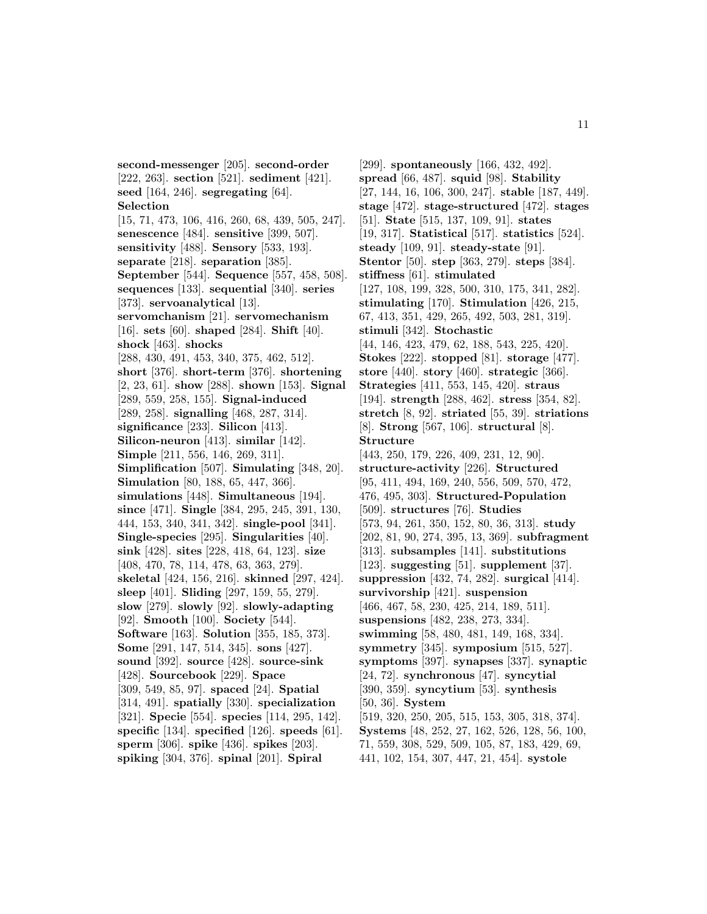**second-messenger** [205]. **second-order** [222, 263]. **section** [521]. **sediment** [421]. **seed** [164, 246]. **segregating** [64]. **Selection** [15, 71, 473, 106, 416, 260, 68, 439, 505, 247]. **senescence** [484]. **sensitive** [399, 507]. **sensitivity** [488]. **Sensory** [533, 193]. **separate** [218]. **separation** [385]. **September** [544]. **Sequence** [557, 458, 508]. **sequences** [133]. **sequential** [340]. **series** [373]. **servoanalytical** [13]. **servomchanism** [21]. **servomechanism** [16]. **sets** [60]. **shaped** [284]. **Shift** [40]. **shock** [463]. **shocks** [288, 430, 491, 453, 340, 375, 462, 512]. **short** [376]. **short-term** [376]. **shortening** [2, 23, 61]. **show** [288]. **shown** [153]. **Signal** [289, 559, 258, 155]. **Signal-induced** [289, 258]. **signalling** [468, 287, 314]. **significance** [233]. **Silicon** [413]. **Silicon-neuron** [413]. **similar** [142]. **Simple** [211, 556, 146, 269, 311]. **Simplification** [507]. **Simulating** [348, 20]. **Simulation** [80, 188, 65, 447, 366]. **simulations** [448]. **Simultaneous** [194]. **since** [471]. **Single** [384, 295, 245, 391, 130, 444, 153, 340, 341, 342]. **single-pool** [341]. **Single-species** [295]. **Singularities** [40]. **sink** [428]. **sites** [228, 418, 64, 123]. **size** [408, 470, 78, 114, 478, 63, 363, 279]. **skeletal** [424, 156, 216]. **skinned** [297, 424]. **sleep** [401]. **Sliding** [297, 159, 55, 279]. **slow** [279]. **slowly** [92]. **slowly-adapting** [92]. **Smooth** [100]. **Society** [544]. **Software** [163]. **Solution** [355, 185, 373]. **Some** [291, 147, 514, 345]. **sons** [427]. **sound** [392]. **source** [428]. **source-sink** [428]. **Sourcebook** [229]. **Space** [309, 549, 85, 97]. **spaced** [24]. **Spatial** [314, 491]. **spatially** [330]. **specialization** [321]. **Specie** [554]. **species** [114, 295, 142]. **specific** [134]. **specified** [126]. **speeds** [61]. **sperm** [306]. **spike** [436]. **spikes** [203]. **spiking** [304, 376]. **spinal** [201]. **Spiral**

[299]. **spontaneously** [166, 432, 492]. **spread** [66, 487]. **squid** [98]. **Stability** [27, 144, 16, 106, 300, 247]. **stable** [187, 449]. **stage** [472]. **stage-structured** [472]. **stages** [51]. **State** [515, 137, 109, 91]. **states** [19, 317]. **Statistical** [517]. **statistics** [524]. **steady** [109, 91]. **steady-state** [91]. **Stentor** [50]. **step** [363, 279]. **steps** [384]. **stiffness** [61]. **stimulated** [127, 108, 199, 328, 500, 310, 175, 341, 282]. **stimulating** [170]. **Stimulation** [426, 215, 67, 413, 351, 429, 265, 492, 503, 281, 319]. **stimuli** [342]. **Stochastic** [44, 146, 423, 479, 62, 188, 543, 225, 420]. **Stokes** [222]. **stopped** [81]. **storage** [477]. **store** [440]. **story** [460]. **strategic** [366]. **Strategies** [411, 553, 145, 420]. **straus** [194]. **strength** [288, 462]. **stress** [354, 82]. **stretch** [8, 92]. **striated** [55, 39]. **striations** [8]. **Strong** [567, 106]. **structural** [8]. **Structure** [443, 250, 179, 226, 409, 231, 12, 90]. **structure-activity** [226]. **Structured** [95, 411, 494, 169, 240, 556, 509, 570, 472, 476, 495, 303]. **Structured-Population** [509]. **structures** [76]. **Studies** [573, 94, 261, 350, 152, 80, 36, 313]. **study** [202, 81, 90, 274, 395, 13, 369]. **subfragment** [313]. **subsamples** [141]. **substitutions** [123]. **suggesting** [51]. **supplement** [37]. **suppression** [432, 74, 282]. **surgical** [414]. **survivorship** [421]. **suspension** [466, 467, 58, 230, 425, 214, 189, 511]. **suspensions** [482, 238, 273, 334]. **swimming** [58, 480, 481, 149, 168, 334]. **symmetry** [345]. **symposium** [515, 527]. **symptoms** [397]. **synapses** [337]. **synaptic** [24, 72]. **synchronous** [47]. **syncytial** [390, 359]. **syncytium** [53]. **synthesis** [50, 36]. **System** [519, 320, 250, 205, 515, 153, 305, 318, 374]. **Systems** [48, 252, 27, 162, 526, 128, 56, 100, 71, 559, 308, 529, 509, 105, 87, 183, 429, 69, 441, 102, 154, 307, 447, 21, 454]. **systole**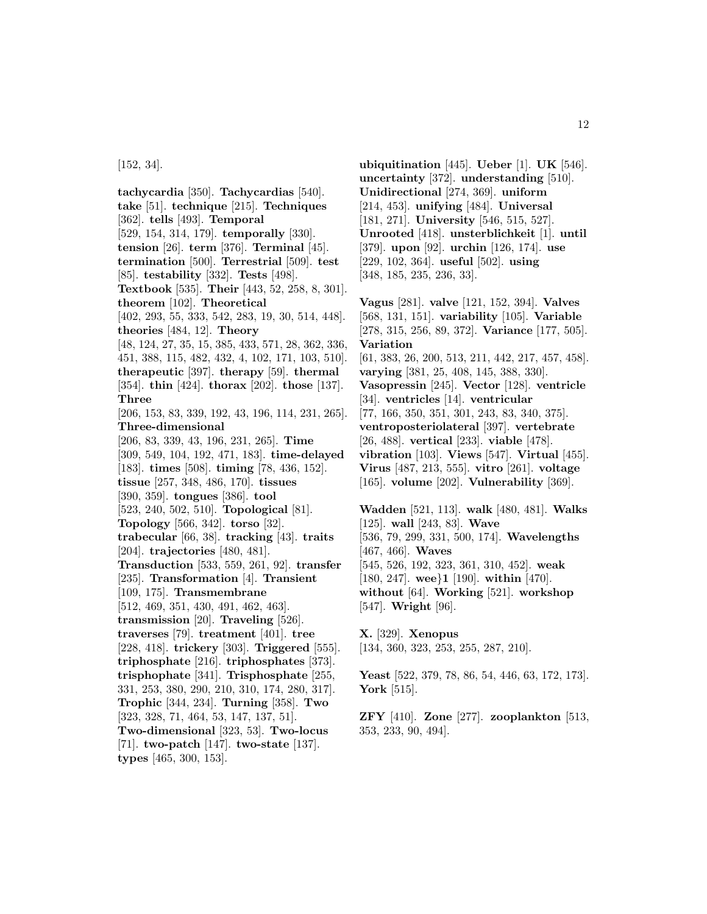[152, 34].

**tachycardia** [350]. **Tachycardias** [540]. **take** [51]. **technique** [215]. **Techniques** [362]. **tells** [493]. **Temporal** [529, 154, 314, 179]. **temporally** [330]. **tension** [26]. **term** [376]. **Terminal** [45]. **termination** [500]. **Terrestrial** [509]. **test** [85]. **testability** [332]. **Tests** [498]. **Textbook** [535]. **Their** [443, 52, 258, 8, 301]. **theorem** [102]. **Theoretical** [402, 293, 55, 333, 542, 283, 19, 30, 514, 448]. **theories** [484, 12]. **Theory** [48, 124, 27, 35, 15, 385, 433, 571, 28, 362, 336, 451, 388, 115, 482, 432, 4, 102, 171, 103, 510]. **therapeutic** [397]. **therapy** [59]. **thermal** [354]. **thin** [424]. **thorax** [202]. **those** [137]. **Three** [206, 153, 83, 339, 192, 43, 196, 114, 231, 265]. **Three-dimensional** [206, 83, 339, 43, 196, 231, 265]. **Time** [309, 549, 104, 192, 471, 183]. **time-delayed** [183]. **times** [508]. **timing** [78, 436, 152]. **tissue** [257, 348, 486, 170]. **tissues** [390, 359]. **tongues** [386]. **tool** [523, 240, 502, 510]. **Topological** [81]. **Topology** [566, 342]. **torso** [32]. **trabecular** [66, 38]. **tracking** [43]. **traits** [204]. **trajectories** [480, 481]. **Transduction** [533, 559, 261, 92]. **transfer** [235]. **Transformation** [4]. **Transient** [109, 175]. **Transmembrane** [512, 469, 351, 430, 491, 462, 463]. **transmission** [20]. **Traveling** [526]. **traverses** [79]. **treatment** [401]. **tree** [228, 418]. **trickery** [303]. **Triggered** [555]. **triphosphate** [216]. **triphosphates** [373]. **trisphophate** [341]. **Trisphosphate** [255, 331, 253, 380, 290, 210, 310, 174, 280, 317]. **Trophic** [344, 234]. **Turning** [358]. **Two** [323, 328, 71, 464, 53, 147, 137, 51]. **Two-dimensional** [323, 53]. **Two-locus** [71]. **two-patch** [147]. **two-state** [137]. **types** [465, 300, 153].

**ubiquitination** [445]. **Ueber** [1]. **UK** [546]. **uncertainty** [372]. **understanding** [510]. **Unidirectional** [274, 369]. **uniform** [214, 453]. **unifying** [484]. **Universal** [181, 271]. **University** [546, 515, 527]. **Unrooted** [418]. **unsterblichkeit** [1]. **until** [379]. **upon** [92]. **urchin** [126, 174]. **use** [229, 102, 364]. **useful** [502]. **using** [348, 185, 235, 236, 33].

**Vagus** [281]. **valve** [121, 152, 394]. **Valves** [568, 131, 151]. **variability** [105]. **Variable** [278, 315, 256, 89, 372]. **Variance** [177, 505]. **Variation** [61, 383, 26, 200, 513, 211, 442, 217, 457, 458].

**varying** [381, 25, 408, 145, 388, 330]. **Vasopressin** [245]. **Vector** [128]. **ventricle** [34]. **ventricles** [14]. **ventricular**

[77, 166, 350, 351, 301, 243, 83, 340, 375].

**ventroposteriolateral** [397]. **vertebrate**

[26, 488]. **vertical** [233]. **viable** [478].

**vibration** [103]. **Views** [547]. **Virtual** [455]. **Virus** [487, 213, 555]. **vitro** [261]. **voltage** [165]. **volume** [202]. **Vulnerability** [369].

**Wadden** [521, 113]. **walk** [480, 481]. **Walks** [125]. **wall** [243, 83]. **Wave** [536, 79, 299, 331, 500, 174]. **Wavelengths** [467, 466]. **Waves** [545, 526, 192, 323, 361, 310, 452]. **weak** [180, 247]. **wee**}**1** [190]. **within** [470].

**without** [64]. **Working** [521]. **workshop** [547]. **Wright** [96].

**X.** [329]. **Xenopus** [134, 360, 323, 253, 255, 287, 210].

**Yeast** [522, 379, 78, 86, 54, 446, 63, 172, 173]. **York** [515].

**ZFY** [410]. **Zone** [277]. **zooplankton** [513, 353, 233, 90, 494].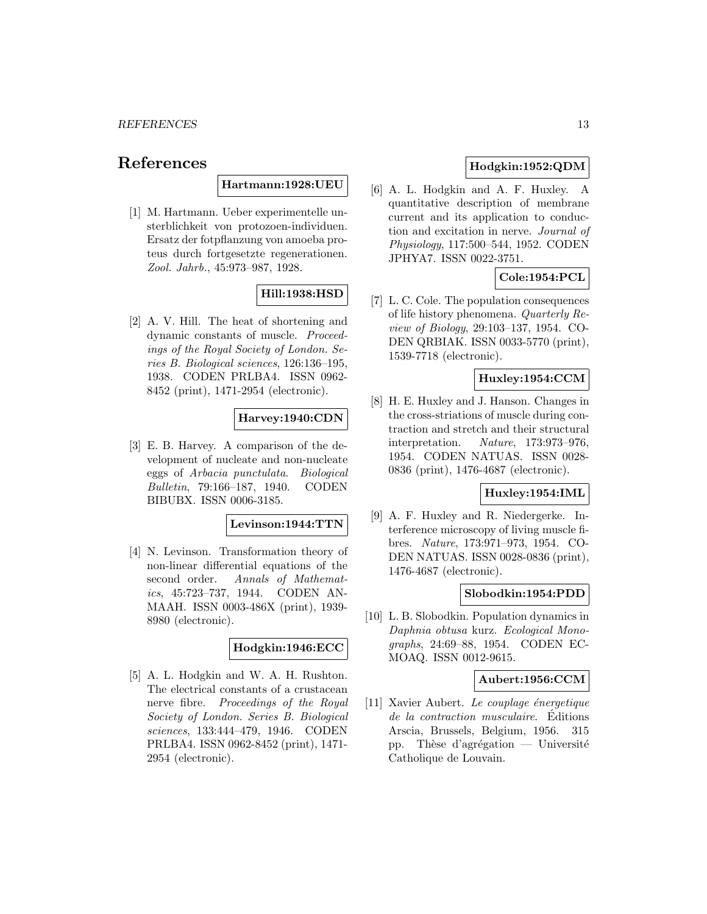# **References**

# **Hartmann:1928:UEU**

[1] M. Hartmann. Ueber experimentelle unsterblichkeit von protozoen-individuen. Ersatz der fotpflanzung von amoeba proteus durch fortgesetzte regenerationen. Zool. Jahrb., 45:973–987, 1928.

# **Hill:1938:HSD**

[2] A. V. Hill. The heat of shortening and dynamic constants of muscle. Proceedings of the Royal Society of London. Series B. Biological sciences, 126:136–195, 1938. CODEN PRLBA4. ISSN 0962- 8452 (print), 1471-2954 (electronic).

# **Harvey:1940:CDN**

[3] E. B. Harvey. A comparison of the development of nucleate and non-nucleate eggs of Arbacia punctulata. Biological Bulletin, 79:166–187, 1940. CODEN BIBUBX. ISSN 0006-3185.

#### **Levinson:1944:TTN**

[4] N. Levinson. Transformation theory of non-linear differential equations of the second order. Annals of Mathematics, 45:723–737, 1944. CODEN AN-MAAH. ISSN 0003-486X (print), 1939- 8980 (electronic).

#### **Hodgkin:1946:ECC**

[5] A. L. Hodgkin and W. A. H. Rushton. The electrical constants of a crustacean nerve fibre. Proceedings of the Royal Society of London. Series B. Biological sciences, 133:444–479, 1946. CODEN PRLBA4. ISSN 0962-8452 (print), 1471- 2954 (electronic).

# **Hodgkin:1952:QDM**

[6] A. L. Hodgkin and A. F. Huxley. A quantitative description of membrane current and its application to conduction and excitation in nerve. Journal of Physiology, 117:500–544, 1952. CODEN JPHYA7. ISSN 0022-3751.

# **Cole:1954:PCL**

[7] L. C. Cole. The population consequences of life history phenomena. Quarterly Review of Biology, 29:103–137, 1954. CO-DEN QRBIAK. ISSN 0033-5770 (print), 1539-7718 (electronic).

# **Huxley:1954:CCM**

[8] H. E. Huxley and J. Hanson. Changes in the cross-striations of muscle during contraction and stretch and their structural interpretation. Nature, 173:973–976, 1954. CODEN NATUAS. ISSN 0028- 0836 (print), 1476-4687 (electronic).

#### **Huxley:1954:IML**

[9] A. F. Huxley and R. Niedergerke. Interference microscopy of living muscle fibres. Nature, 173:971–973, 1954. CO-DEN NATUAS. ISSN 0028-0836 (print), 1476-4687 (electronic).

#### **Slobodkin:1954:PDD**

[10] L. B. Slobodkin. Population dynamics in Daphnia obtusa kurz. Ecological Monographs, 24:69–88, 1954. CODEN EC-MOAQ. ISSN 0012-9615.

### **Aubert:1956:CCM**

 $[11]$  Xavier Aubert. Le couplage énergetique de la contraction musculaire. Éditions Arscia, Brussels, Belgium, 1956. 315 pp. Thèse d'agrégation — Université Catholique de Louvain.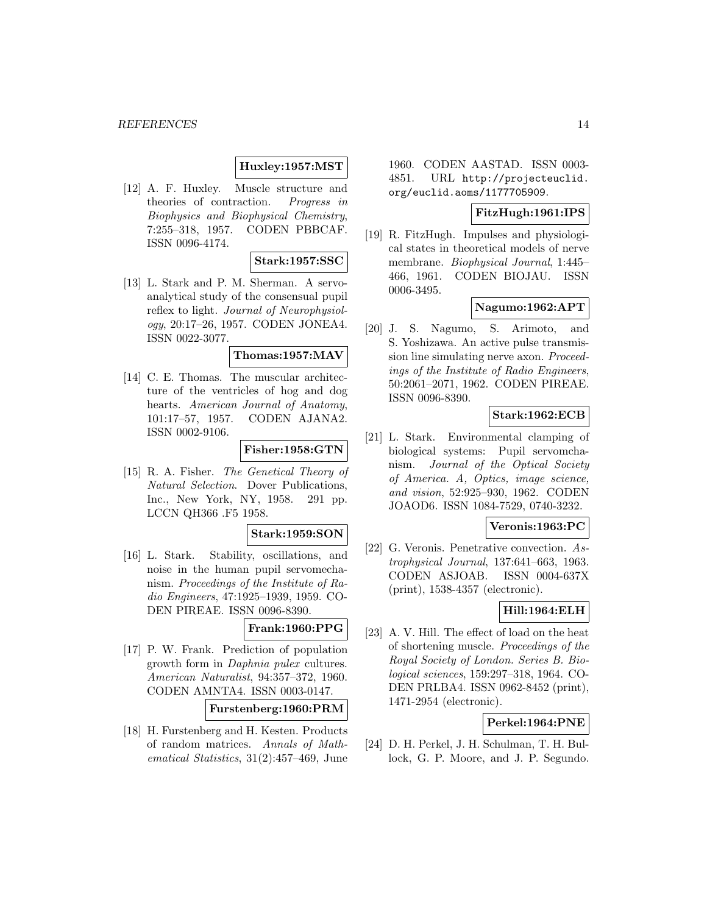# **Huxley:1957:MST**

[12] A. F. Huxley. Muscle structure and theories of contraction. Progress in Biophysics and Biophysical Chemistry, 7:255–318, 1957. CODEN PBBCAF. ISSN 0096-4174.

#### **Stark:1957:SSC**

[13] L. Stark and P. M. Sherman. A servoanalytical study of the consensual pupil reflex to light. Journal of Neurophysiology, 20:17–26, 1957. CODEN JONEA4. ISSN 0022-3077.

# **Thomas:1957:MAV**

[14] C. E. Thomas. The muscular architecture of the ventricles of hog and dog hearts. American Journal of Anatomy, 101:17–57, 1957. CODEN AJANA2. ISSN 0002-9106.

# **Fisher:1958:GTN**

[15] R. A. Fisher. The Genetical Theory of Natural Selection. Dover Publications, Inc., New York, NY, 1958. 291 pp. LCCN QH366 .F5 1958.

# **Stark:1959:SON**

[16] L. Stark. Stability, oscillations, and noise in the human pupil servomechanism. Proceedings of the Institute of Radio Engineers, 47:1925–1939, 1959. CO-DEN PIREAE. ISSN 0096-8390.

# **Frank:1960:PPG**

[17] P. W. Frank. Prediction of population growth form in Daphnia pulex cultures. American Naturalist, 94:357–372, 1960. CODEN AMNTA4. ISSN 0003-0147.

### **Furstenberg:1960:PRM**

[18] H. Furstenberg and H. Kesten. Products of random matrices. Annals of Mathematical Statistics, 31(2):457–469, June 1960. CODEN AASTAD. ISSN 0003- 4851. URL http://projecteuclid. org/euclid.aoms/1177705909.

#### **FitzHugh:1961:IPS**

[19] R. FitzHugh. Impulses and physiological states in theoretical models of nerve membrane. Biophysical Journal, 1:445– 466, 1961. CODEN BIOJAU. ISSN 0006-3495.

### **Nagumo:1962:APT**

[20] J. S. Nagumo, S. Arimoto, and S. Yoshizawa. An active pulse transmission line simulating nerve axon. Proceedings of the Institute of Radio Engineers, 50:2061–2071, 1962. CODEN PIREAE. ISSN 0096-8390.

### **Stark:1962:ECB**

[21] L. Stark. Environmental clamping of biological systems: Pupil servomchanism. Journal of the Optical Society of America. A, Optics, image science, and vision, 52:925–930, 1962. CODEN JOAOD6. ISSN 1084-7529, 0740-3232.

#### **Veronis:1963:PC**

[22] G. Veronis. Penetrative convection. Astrophysical Journal, 137:641–663, 1963. CODEN ASJOAB. ISSN 0004-637X (print), 1538-4357 (electronic).

# **Hill:1964:ELH**

[23] A. V. Hill. The effect of load on the heat of shortening muscle. Proceedings of the Royal Society of London. Series B. Biological sciences, 159:297–318, 1964. CO-DEN PRLBA4. ISSN 0962-8452 (print), 1471-2954 (electronic).

# **Perkel:1964:PNE**

[24] D. H. Perkel, J. H. Schulman, T. H. Bullock, G. P. Moore, and J. P. Segundo.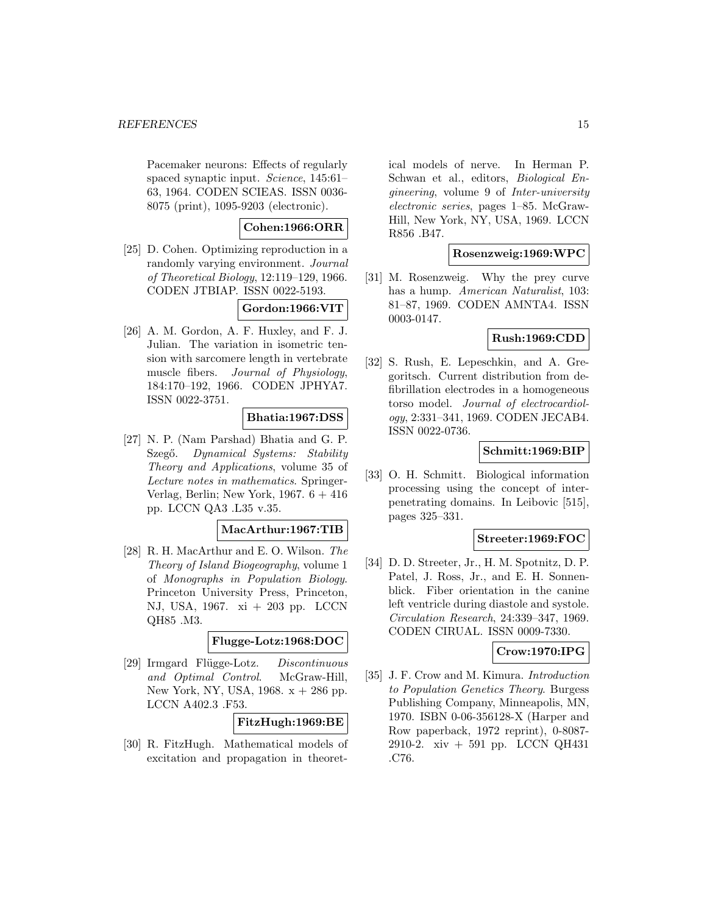Pacemaker neurons: Effects of regularly spaced synaptic input. Science, 145:61– 63, 1964. CODEN SCIEAS. ISSN 0036- 8075 (print), 1095-9203 (electronic).

**Cohen:1966:ORR**

[25] D. Cohen. Optimizing reproduction in a randomly varying environment. Journal of Theoretical Biology, 12:119–129, 1966. CODEN JTBIAP. ISSN 0022-5193.

**Gordon:1966:VIT**

[26] A. M. Gordon, A. F. Huxley, and F. J. Julian. The variation in isometric tension with sarcomere length in vertebrate muscle fibers. Journal of Physiology, 184:170–192, 1966. CODEN JPHYA7. ISSN 0022-3751.

**Bhatia:1967:DSS**

[27] N. P. (Nam Parshad) Bhatia and G. P. Szegő. Dynamical Systems: Stability Theory and Applications, volume 35 of Lecture notes in mathematics. Springer-Verlag, Berlin; New York, 1967. 6 + 416 pp. LCCN QA3 .L35 v.35.

**MacArthur:1967:TIB**

[28] R. H. MacArthur and E. O. Wilson. The Theory of Island Biogeography, volume 1 of Monographs in Population Biology. Princeton University Press, Princeton, NJ, USA, 1967. xi + 203 pp. LCCN QH85 .M3.

**Flugge-Lotz:1968:DOC**

[29] Irmgard Flügge-Lotz. Discontinuous and Optimal Control. McGraw-Hill, New York, NY, USA, 1968.  $x + 286$  pp. LCCN A402.3 .F53.

**FitzHugh:1969:BE**

[30] R. FitzHugh. Mathematical models of excitation and propagation in theoretical models of nerve. In Herman P. Schwan et al., editors, Biological Engineering, volume 9 of Inter-university electronic series, pages 1–85. McGraw-Hill, New York, NY, USA, 1969. LCCN R856 .B47.

# **Rosenzweig:1969:WPC**

[31] M. Rosenzweig. Why the prey curve has a hump. American Naturalist, 103: 81–87, 1969. CODEN AMNTA4. ISSN 0003-0147.

# **Rush:1969:CDD**

[32] S. Rush, E. Lepeschkin, and A. Gregoritsch. Current distribution from defibrillation electrodes in a homogeneous torso model. Journal of electrocardiology, 2:331–341, 1969. CODEN JECAB4. ISSN 0022-0736.

# **Schmitt:1969:BIP**

[33] O. H. Schmitt. Biological information processing using the concept of interpenetrating domains. In Leibovic [515], pages 325–331.

# **Streeter:1969:FOC**

[34] D. D. Streeter, Jr., H. M. Spotnitz, D. P. Patel, J. Ross, Jr., and E. H. Sonnenblick. Fiber orientation in the canine left ventricle during diastole and systole. Circulation Research, 24:339–347, 1969. CODEN CIRUAL. ISSN 0009-7330.

# **Crow:1970:IPG**

[35] J. F. Crow and M. Kimura. Introduction to Population Genetics Theory. Burgess Publishing Company, Minneapolis, MN, 1970. ISBN 0-06-356128-X (Harper and Row paperback, 1972 reprint), 0-8087- 2910-2. xiv + 591 pp. LCCN QH431 .C76.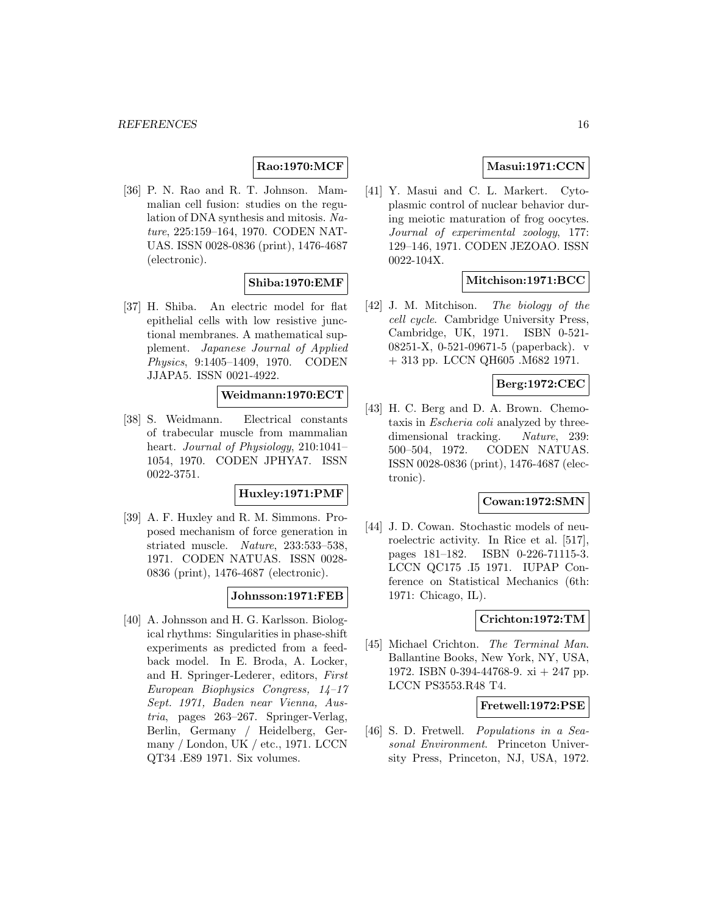# **Rao:1970:MCF**

[36] P. N. Rao and R. T. Johnson. Mammalian cell fusion: studies on the regulation of DNA synthesis and mitosis. Nature, 225:159–164, 1970. CODEN NAT-UAS. ISSN 0028-0836 (print), 1476-4687 (electronic).

# **Shiba:1970:EMF**

[37] H. Shiba. An electric model for flat epithelial cells with low resistive junctional membranes. A mathematical supplement. Japanese Journal of Applied Physics, 9:1405–1409, 1970. CODEN JJAPA5. ISSN 0021-4922.

#### **Weidmann:1970:ECT**

[38] S. Weidmann. Electrical constants of trabecular muscle from mammalian heart. Journal of Physiology, 210:1041– 1054, 1970. CODEN JPHYA7. ISSN 0022-3751.

# **Huxley:1971:PMF**

[39] A. F. Huxley and R. M. Simmons. Proposed mechanism of force generation in striated muscle. Nature, 233:533–538, 1971. CODEN NATUAS. ISSN 0028- 0836 (print), 1476-4687 (electronic).

#### **Johnsson:1971:FEB**

[40] A. Johnsson and H. G. Karlsson. Biological rhythms: Singularities in phase-shift experiments as predicted from a feedback model. In E. Broda, A. Locker, and H. Springer-Lederer, editors, First European Biophysics Congress, 14–17 Sept. 1971, Baden near Vienna, Austria, pages 263–267. Springer-Verlag, Berlin, Germany / Heidelberg, Germany / London, UK / etc., 1971. LCCN QT34 .E89 1971. Six volumes.

# **Masui:1971:CCN**

[41] Y. Masui and C. L. Markert. Cytoplasmic control of nuclear behavior during meiotic maturation of frog oocytes. Journal of experimental zoology, 177: 129–146, 1971. CODEN JEZOAO. ISSN 0022-104X.

# **Mitchison:1971:BCC**

[42] J. M. Mitchison. The biology of the cell cycle. Cambridge University Press, Cambridge, UK, 1971. ISBN 0-521- 08251-X, 0-521-09671-5 (paperback). v + 313 pp. LCCN QH605 .M682 1971.

# **Berg:1972:CEC**

[43] H. C. Berg and D. A. Brown. Chemotaxis in Escheria coli analyzed by threedimensional tracking. Nature, 239: 500–504, 1972. CODEN NATUAS. ISSN 0028-0836 (print), 1476-4687 (electronic).

### **Cowan:1972:SMN**

[44] J. D. Cowan. Stochastic models of neuroelectric activity. In Rice et al. [517], pages 181–182. ISBN 0-226-71115-3. LCCN QC175 .I5 1971. IUPAP Conference on Statistical Mechanics (6th: 1971: Chicago, IL).

# **Crichton:1972:TM**

[45] Michael Crichton. The Terminal Man. Ballantine Books, New York, NY, USA, 1972. ISBN 0-394-44768-9. xi + 247 pp. LCCN PS3553.R48 T4.

#### **Fretwell:1972:PSE**

[46] S. D. Fretwell. Populations in a Seasonal Environment. Princeton University Press, Princeton, NJ, USA, 1972.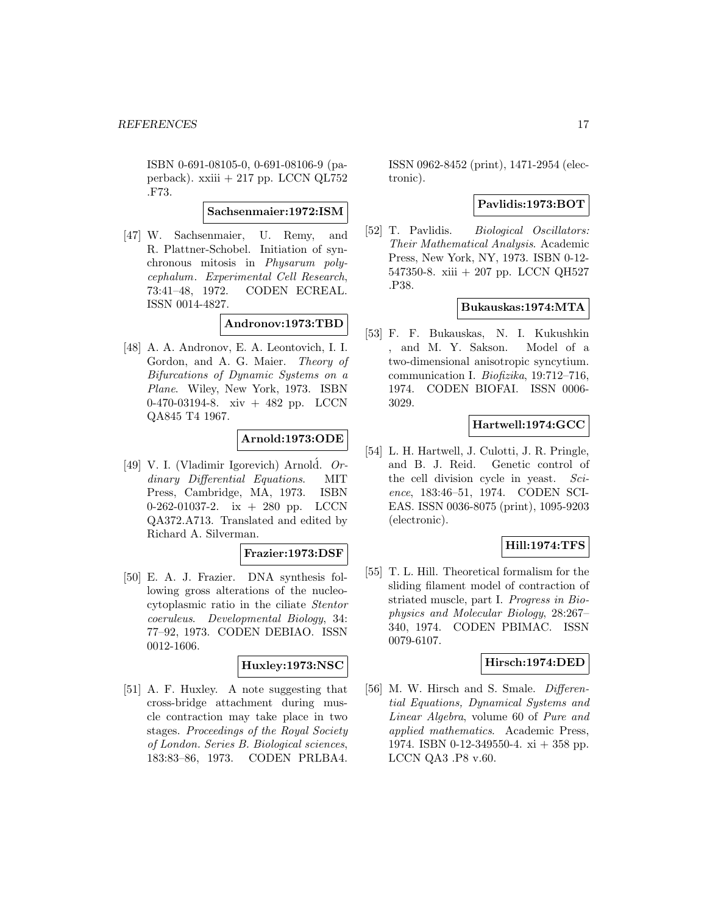ISBN 0-691-08105-0, 0-691-08106-9 (paperback). xxiii + 217 pp. LCCN QL752 .F73.

**Sachsenmaier:1972:ISM**

[47] W. Sachsenmaier, U. Remy, and R. Plattner-Schobel. Initiation of synchronous mitosis in Physarum polycephalum. Experimental Cell Research, 73:41–48, 1972. CODEN ECREAL. ISSN 0014-4827.

**Andronov:1973:TBD**

[48] A. A. Andronov, E. A. Leontovich, I. I. Gordon, and A. G. Maier. Theory of Bifurcations of Dynamic Systems on a Plane. Wiley, New York, 1973. ISBN 0-470-03194-8. xiv + 482 pp. LCCN QA845 T4 1967.

# **Arnold:1973:ODE**

[49] V. I. (Vladimir Igorevich) Arnold.  $Or$ dinary Differential Equations. MIT Press, Cambridge, MA, 1973. ISBN 0-262-01037-2. ix + 280 pp. LCCN QA372.A713. Translated and edited by Richard A. Silverman.

# **Frazier:1973:DSF**

[50] E. A. J. Frazier. DNA synthesis following gross alterations of the nucleocytoplasmic ratio in the ciliate Stentor coeruleus. Developmental Biology, 34: 77–92, 1973. CODEN DEBIAO. ISSN 0012-1606.

# **Huxley:1973:NSC**

[51] A. F. Huxley. A note suggesting that cross-bridge attachment during muscle contraction may take place in two stages. Proceedings of the Royal Society of London. Series B. Biological sciences, 183:83–86, 1973. CODEN PRLBA4.

ISSN 0962-8452 (print), 1471-2954 (electronic).

# **Pavlidis:1973:BOT**

[52] T. Pavlidis. Biological Oscillators: Their Mathematical Analysis. Academic Press, New York, NY, 1973. ISBN 0-12- 547350-8. xiii + 207 pp. LCCN QH527 .P38.

# **Bukauskas:1974:MTA**

[53] F. F. Bukauskas, N. I. Kukushkin , and M. Y. Sakson. Model of a two-dimensional anisotropic syncytium. communication I. Biofizika, 19:712–716, 1974. CODEN BIOFAI. ISSN 0006- 3029.

# **Hartwell:1974:GCC**

[54] L. H. Hartwell, J. Culotti, J. R. Pringle, and B. J. Reid. Genetic control of the cell division cycle in yeast. Science, 183:46–51, 1974. CODEN SCI-EAS. ISSN 0036-8075 (print), 1095-9203 (electronic).

# **Hill:1974:TFS**

[55] T. L. Hill. Theoretical formalism for the sliding filament model of contraction of striated muscle, part I. Progress in Biophysics and Molecular Biology, 28:267– 340, 1974. CODEN PBIMAC. ISSN 0079-6107.

#### **Hirsch:1974:DED**

[56] M. W. Hirsch and S. Smale. Differential Equations, Dynamical Systems and Linear Algebra, volume 60 of Pure and applied mathematics. Academic Press, 1974. ISBN 0-12-349550-4. xi + 358 pp. LCCN QA3 .P8 v.60.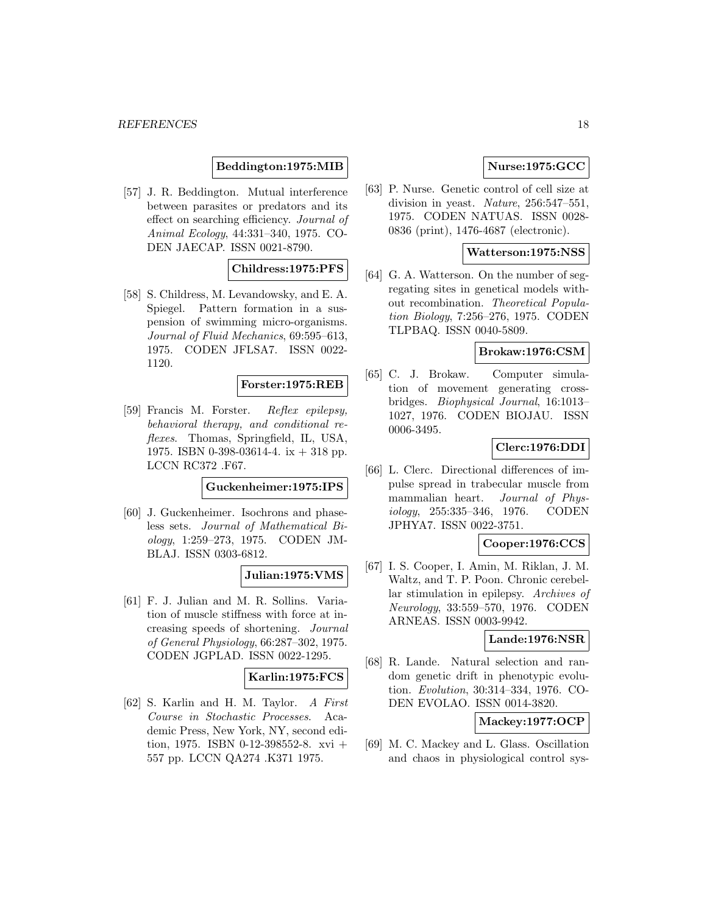**Beddington:1975:MIB**

[57] J. R. Beddington. Mutual interference between parasites or predators and its effect on searching efficiency. Journal of Animal Ecology, 44:331–340, 1975. CO-DEN JAECAP. ISSN 0021-8790.

# **Childress:1975:PFS**

[58] S. Childress, M. Levandowsky, and E. A. Spiegel. Pattern formation in a suspension of swimming micro-organisms. Journal of Fluid Mechanics, 69:595–613, 1975. CODEN JFLSA7. ISSN 0022- 1120.

**Forster:1975:REB**

[59] Francis M. Forster. Reflex epilepsy, behavioral therapy, and conditional reflexes. Thomas, Springfield, IL, USA, 1975. ISBN 0-398-03614-4. ix + 318 pp. LCCN RC372 .F67.

#### **Guckenheimer:1975:IPS**

[60] J. Guckenheimer. Isochrons and phaseless sets. Journal of Mathematical Biology, 1:259–273, 1975. CODEN JM-BLAJ. ISSN 0303-6812.

# **Julian:1975:VMS**

[61] F. J. Julian and M. R. Sollins. Variation of muscle stiffness with force at increasing speeds of shortening. Journal of General Physiology, 66:287–302, 1975. CODEN JGPLAD. ISSN 0022-1295.

# **Karlin:1975:FCS**

[62] S. Karlin and H. M. Taylor. A First Course in Stochastic Processes. Academic Press, New York, NY, second edition, 1975. ISBN 0-12-398552-8. xvi + 557 pp. LCCN QA274 .K371 1975.

# **Nurse:1975:GCC**

[63] P. Nurse. Genetic control of cell size at division in yeast. Nature, 256:547–551, 1975. CODEN NATUAS. ISSN 0028- 0836 (print), 1476-4687 (electronic).

### **Watterson:1975:NSS**

[64] G. A. Watterson. On the number of segregating sites in genetical models without recombination. Theoretical Population Biology, 7:256–276, 1975. CODEN TLPBAQ. ISSN 0040-5809.

#### **Brokaw:1976:CSM**

[65] C. J. Brokaw. Computer simulation of movement generating crossbridges. Biophysical Journal, 16:1013– 1027, 1976. CODEN BIOJAU. ISSN 0006-3495.

#### **Clerc:1976:DDI**

[66] L. Clerc. Directional differences of impulse spread in trabecular muscle from mammalian heart. Journal of Physiology, 255:335–346, 1976. CODEN JPHYA7. ISSN 0022-3751.

### **Cooper:1976:CCS**

[67] I. S. Cooper, I. Amin, M. Riklan, J. M. Waltz, and T. P. Poon. Chronic cerebellar stimulation in epilepsy. Archives of Neurology, 33:559–570, 1976. CODEN ARNEAS. ISSN 0003-9942.

### **Lande:1976:NSR**

[68] R. Lande. Natural selection and random genetic drift in phenotypic evolution. Evolution, 30:314–334, 1976. CO-DEN EVOLAO. ISSN 0014-3820.

# **Mackey:1977:OCP**

[69] M. C. Mackey and L. Glass. Oscillation and chaos in physiological control sys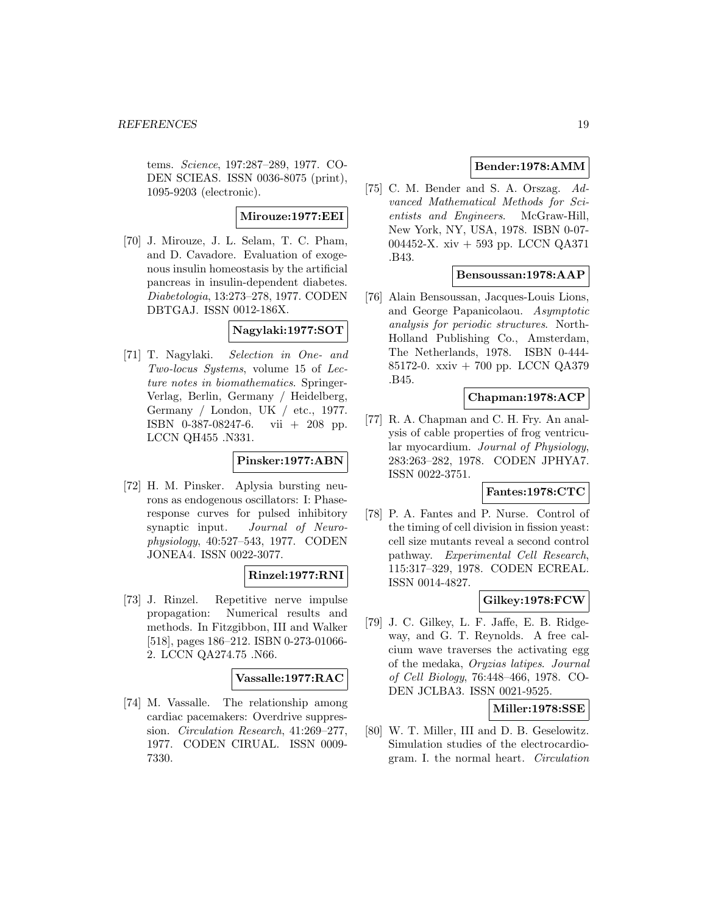tems. Science, 197:287–289, 1977. CO-DEN SCIEAS. ISSN 0036-8075 (print), 1095-9203 (electronic).

### **Mirouze:1977:EEI**

[70] J. Mirouze, J. L. Selam, T. C. Pham, and D. Cavadore. Evaluation of exogenous insulin homeostasis by the artificial pancreas in insulin-dependent diabetes. Diabetologia, 13:273–278, 1977. CODEN DBTGAJ. ISSN 0012-186X.

# **Nagylaki:1977:SOT**

[71] T. Nagylaki. Selection in One- and Two-locus Systems, volume 15 of Lecture notes in biomathematics. Springer-Verlag, Berlin, Germany / Heidelberg, Germany / London, UK / etc., 1977. ISBN 0-387-08247-6. vii + 208 pp. LCCN QH455 .N331.

# **Pinsker:1977:ABN**

[72] H. M. Pinsker. Aplysia bursting neurons as endogenous oscillators: I: Phaseresponse curves for pulsed inhibitory synaptic input. Journal of Neurophysiology, 40:527–543, 1977. CODEN JONEA4. ISSN 0022-3077.

# **Rinzel:1977:RNI**

[73] J. Rinzel. Repetitive nerve impulse propagation: Numerical results and methods. In Fitzgibbon, III and Walker [518], pages 186–212. ISBN 0-273-01066- 2. LCCN QA274.75 .N66.

#### **Vassalle:1977:RAC**

[74] M. Vassalle. The relationship among cardiac pacemakers: Overdrive suppression. Circulation Research, 41:269–277, 1977. CODEN CIRUAL. ISSN 0009- 7330.

# **Bender:1978:AMM**

[75] C. M. Bender and S. A. Orszag. Advanced Mathematical Methods for Scientists and Engineers. McGraw-Hill, New York, NY, USA, 1978. ISBN 0-07- 004452-X. xiv + 593 pp. LCCN QA371 .B43.

### **Bensoussan:1978:AAP**

[76] Alain Bensoussan, Jacques-Louis Lions, and George Papanicolaou. Asymptotic analysis for periodic structures. North-Holland Publishing Co., Amsterdam, The Netherlands, 1978. ISBN 0-444- 85172-0. xxiv + 700 pp. LCCN QA379 .B45.

### **Chapman:1978:ACP**

[77] R. A. Chapman and C. H. Fry. An analysis of cable properties of frog ventricular myocardium. Journal of Physiology, 283:263–282, 1978. CODEN JPHYA7. ISSN 0022-3751.

#### **Fantes:1978:CTC**

[78] P. A. Fantes and P. Nurse. Control of the timing of cell division in fission yeast: cell size mutants reveal a second control pathway. Experimental Cell Research, 115:317–329, 1978. CODEN ECREAL. ISSN 0014-4827.

### **Gilkey:1978:FCW**

[79] J. C. Gilkey, L. F. Jaffe, E. B. Ridgeway, and G. T. Reynolds. A free calcium wave traverses the activating egg of the medaka, Oryzias latipes. Journal of Cell Biology, 76:448–466, 1978. CO-DEN JCLBA3. ISSN 0021-9525.

# **Miller:1978:SSE**

[80] W. T. Miller, III and D. B. Geselowitz. Simulation studies of the electrocardiogram. I. the normal heart. Circulation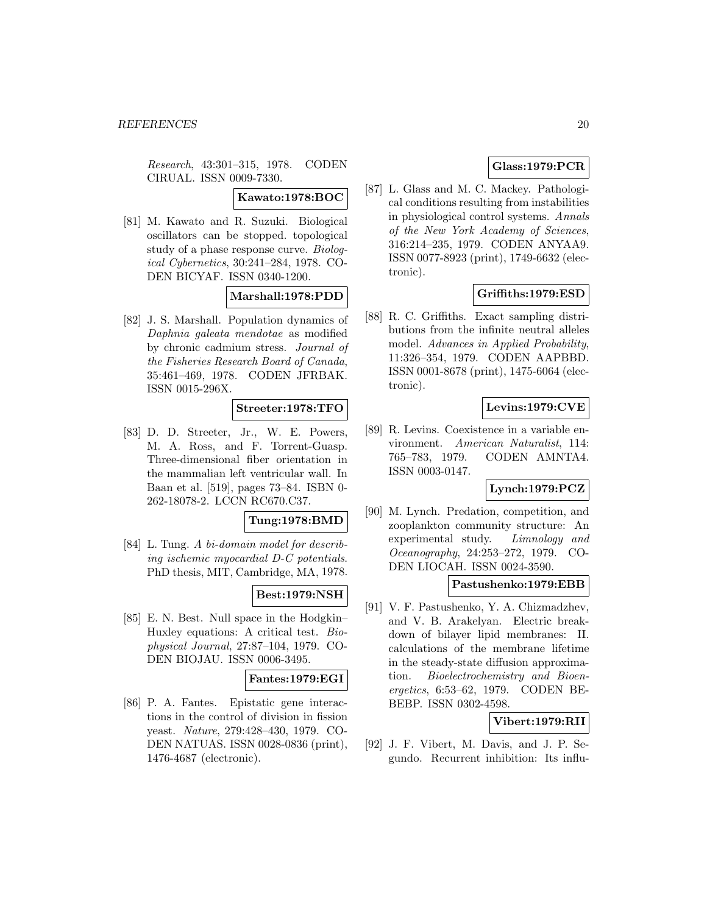Research, 43:301–315, 1978. CODEN CIRUAL. ISSN 0009-7330.

#### **Kawato:1978:BOC**

[81] M. Kawato and R. Suzuki. Biological oscillators can be stopped. topological study of a phase response curve. Biological Cybernetics, 30:241–284, 1978. CO-DEN BICYAF. ISSN 0340-1200.

# **Marshall:1978:PDD**

[82] J. S. Marshall. Population dynamics of Daphnia galeata mendotae as modified by chronic cadmium stress. Journal of the Fisheries Research Board of Canada, 35:461–469, 1978. CODEN JFRBAK. ISSN 0015-296X.

#### **Streeter:1978:TFO**

[83] D. D. Streeter, Jr., W. E. Powers, M. A. Ross, and F. Torrent-Guasp. Three-dimensional fiber orientation in the mammalian left ventricular wall. In Baan et al. [519], pages 73–84. ISBN 0- 262-18078-2. LCCN RC670.C37.

# **Tung:1978:BMD**

[84] L. Tung. A bi-domain model for describing ischemic myocardial D-C potentials. PhD thesis, MIT, Cambridge, MA, 1978.

# **Best:1979:NSH**

[85] E. N. Best. Null space in the Hodgkin– Huxley equations: A critical test. Biophysical Journal, 27:87–104, 1979. CO-DEN BIOJAU. ISSN 0006-3495.

# **Fantes:1979:EGI**

[86] P. A. Fantes. Epistatic gene interactions in the control of division in fission yeast. Nature, 279:428–430, 1979. CO-DEN NATUAS. ISSN 0028-0836 (print), 1476-4687 (electronic).

# **Glass:1979:PCR**

[87] L. Glass and M. C. Mackey. Pathological conditions resulting from instabilities in physiological control systems. Annals of the New York Academy of Sciences, 316:214–235, 1979. CODEN ANYAA9. ISSN 0077-8923 (print), 1749-6632 (electronic).

# **Griffiths:1979:ESD**

[88] R. C. Griffiths. Exact sampling distributions from the infinite neutral alleles model. Advances in Applied Probability, 11:326–354, 1979. CODEN AAPBBD. ISSN 0001-8678 (print), 1475-6064 (electronic).

# **Levins:1979:CVE**

[89] R. Levins. Coexistence in a variable environment. American Naturalist, 114: 765–783, 1979. CODEN AMNTA4. ISSN 0003-0147.

# **Lynch:1979:PCZ**

[90] M. Lynch. Predation, competition, and zooplankton community structure: An experimental study. Limnology and Oceanography, 24:253–272, 1979. CO-DEN LIOCAH. ISSN 0024-3590.

#### **Pastushenko:1979:EBB**

[91] V. F. Pastushenko, Y. A. Chizmadzhev, and V. B. Arakelyan. Electric breakdown of bilayer lipid membranes: II. calculations of the membrane lifetime in the steady-state diffusion approximation. Bioelectrochemistry and Bioenergetics, 6:53–62, 1979. CODEN BE-BEBP. ISSN 0302-4598.

# **Vibert:1979:RII**

[92] J. F. Vibert, M. Davis, and J. P. Segundo. Recurrent inhibition: Its influ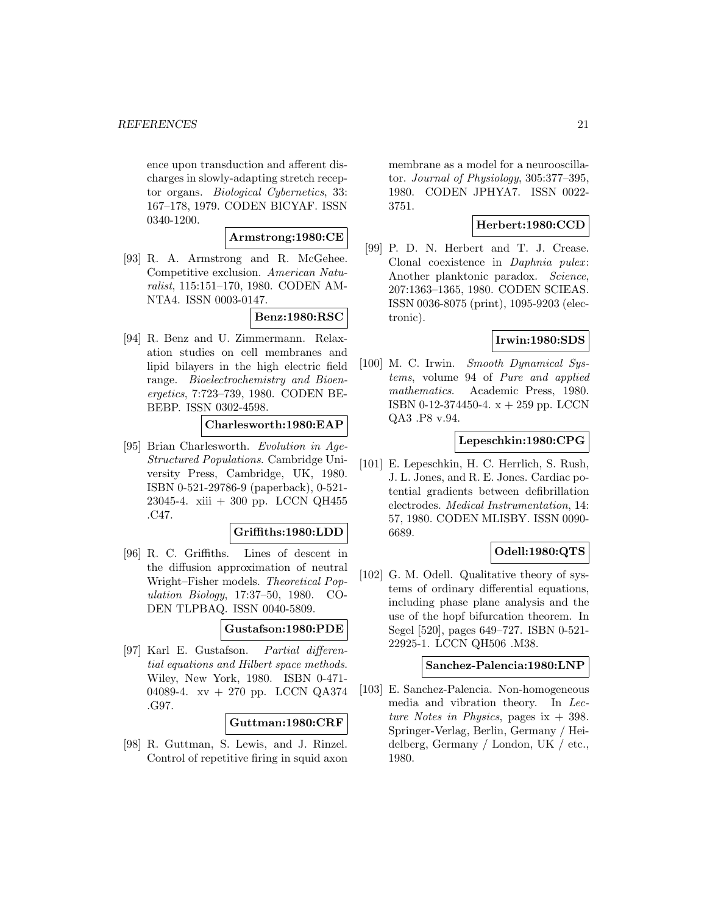ence upon transduction and afferent discharges in slowly-adapting stretch receptor organs. Biological Cybernetics, 33: 167–178, 1979. CODEN BICYAF. ISSN 0340-1200.

### **Armstrong:1980:CE**

[93] R. A. Armstrong and R. McGehee. Competitive exclusion. American Naturalist, 115:151–170, 1980. CODEN AM-NTA4. ISSN 0003-0147.

**Benz:1980:RSC**

[94] R. Benz and U. Zimmermann. Relaxation studies on cell membranes and lipid bilayers in the high electric field range. Bioelectrochemistry and Bioenergetics, 7:723–739, 1980. CODEN BE-BEBP. ISSN 0302-4598.

# **Charlesworth:1980:EAP**

[95] Brian Charlesworth. Evolution in Age-Structured Populations. Cambridge University Press, Cambridge, UK, 1980. ISBN 0-521-29786-9 (paperback), 0-521- 23045-4. xiii + 300 pp. LCCN QH455 .C47.

#### **Griffiths:1980:LDD**

[96] R. C. Griffiths. Lines of descent in the diffusion approximation of neutral Wright–Fisher models. Theoretical Population Biology, 17:37–50, 1980. CO-DEN TLPBAQ. ISSN 0040-5809.

### **Gustafson:1980:PDE**

[97] Karl E. Gustafson. Partial differential equations and Hilbert space methods. Wiley, New York, 1980. ISBN 0-471- 04089-4. xv + 270 pp. LCCN QA374 .G97.

#### **Guttman:1980:CRF**

[98] R. Guttman, S. Lewis, and J. Rinzel. Control of repetitive firing in squid axon membrane as a model for a neurooscillator. Journal of Physiology, 305:377–395, 1980. CODEN JPHYA7. ISSN 0022- 3751.

# **Herbert:1980:CCD**

[99] P. D. N. Herbert and T. J. Crease. Clonal coexistence in Daphnia pulex: Another planktonic paradox. Science, 207:1363–1365, 1980. CODEN SCIEAS. ISSN 0036-8075 (print), 1095-9203 (electronic).

#### **Irwin:1980:SDS**

[100] M. C. Irwin. Smooth Dynamical Systems, volume 94 of Pure and applied mathematics. Academic Press, 1980. ISBN 0-12-374450-4. x + 259 pp. LCCN QA3 .P8 v.94.

### **Lepeschkin:1980:CPG**

[101] E. Lepeschkin, H. C. Herrlich, S. Rush, J. L. Jones, and R. E. Jones. Cardiac potential gradients between defibrillation electrodes. Medical Instrumentation, 14: 57, 1980. CODEN MLISBY. ISSN 0090- 6689.

# **Odell:1980:QTS**

[102] G. M. Odell. Qualitative theory of systems of ordinary differential equations, including phase plane analysis and the use of the hopf bifurcation theorem. In Segel [520], pages 649–727. ISBN 0-521- 22925-1. LCCN QH506 .M38.

### **Sanchez-Palencia:1980:LNP**

[103] E. Sanchez-Palencia. Non-homogeneous media and vibration theory. In Lecture Notes in Physics, pages ix  $+$  398. Springer-Verlag, Berlin, Germany / Heidelberg, Germany / London, UK / etc., 1980.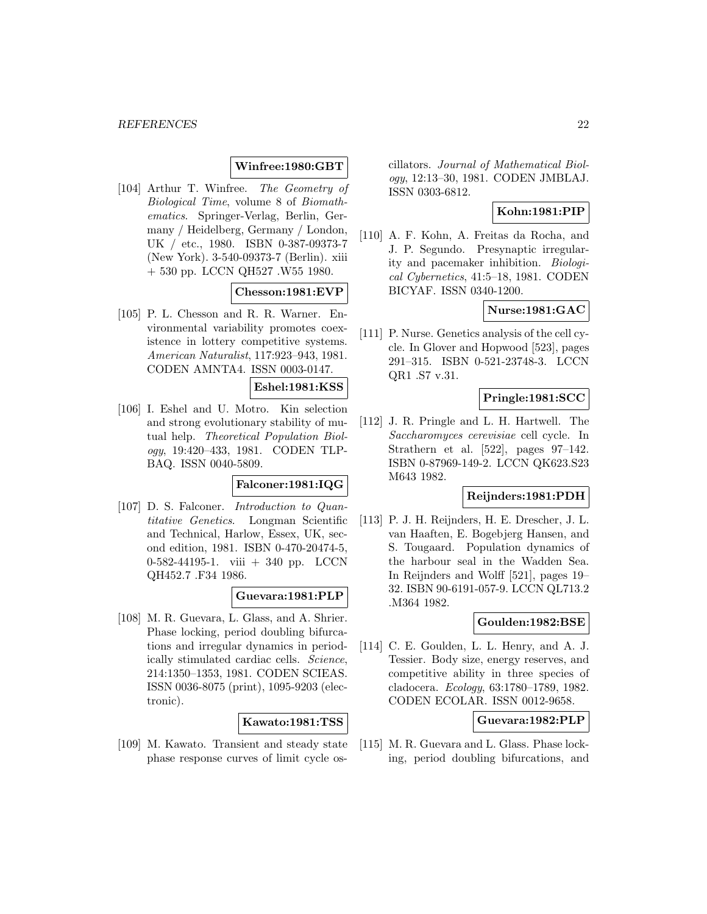# **Winfree:1980:GBT**

[104] Arthur T. Winfree. The Geometry of Biological Time, volume 8 of Biomathematics. Springer-Verlag, Berlin, Germany / Heidelberg, Germany / London, UK / etc., 1980. ISBN 0-387-09373-7 (New York). 3-540-09373-7 (Berlin). xiii + 530 pp. LCCN QH527 .W55 1980.

#### **Chesson:1981:EVP**

[105] P. L. Chesson and R. R. Warner. Environmental variability promotes coexistence in lottery competitive systems. American Naturalist, 117:923–943, 1981. CODEN AMNTA4. ISSN 0003-0147.

# **Eshel:1981:KSS**

[106] I. Eshel and U. Motro. Kin selection and strong evolutionary stability of mutual help. Theoretical Population Biology, 19:420–433, 1981. CODEN TLP-BAQ. ISSN 0040-5809.

#### **Falconer:1981:IQG**

[107] D. S. Falconer. Introduction to Quantitative Genetics. Longman Scientific and Technical, Harlow, Essex, UK, second edition, 1981. ISBN 0-470-20474-5, 0-582-44195-1. viii + 340 pp. LCCN QH452.7 .F34 1986.

#### **Guevara:1981:PLP**

[108] M. R. Guevara, L. Glass, and A. Shrier. Phase locking, period doubling bifurcations and irregular dynamics in periodically stimulated cardiac cells. Science, 214:1350–1353, 1981. CODEN SCIEAS. ISSN 0036-8075 (print), 1095-9203 (electronic).

#### **Kawato:1981:TSS**

[109] M. Kawato. Transient and steady state phase response curves of limit cycle oscillators. Journal of Mathematical Biology, 12:13–30, 1981. CODEN JMBLAJ. ISSN 0303-6812.

# **Kohn:1981:PIP**

[110] A. F. Kohn, A. Freitas da Rocha, and J. P. Segundo. Presynaptic irregularity and pacemaker inhibition. Biological Cybernetics, 41:5–18, 1981. CODEN BICYAF. ISSN 0340-1200.

#### **Nurse:1981:GAC**

[111] P. Nurse. Genetics analysis of the cell cycle. In Glover and Hopwood [523], pages 291–315. ISBN 0-521-23748-3. LCCN QR1 .S7 v.31.

# **Pringle:1981:SCC**

[112] J. R. Pringle and L. H. Hartwell. The Saccharomyces cerevisiae cell cycle. In Strathern et al. [522], pages 97–142. ISBN 0-87969-149-2. LCCN QK623.S23 M643 1982.

# **Reijnders:1981:PDH**

[113] P. J. H. Reijnders, H. E. Drescher, J. L. van Haaften, E. Bogebjerg Hansen, and S. Tougaard. Population dynamics of the harbour seal in the Wadden Sea. In Reijnders and Wolff [521], pages 19– 32. ISBN 90-6191-057-9. LCCN QL713.2 .M364 1982.

#### **Goulden:1982:BSE**

[114] C. E. Goulden, L. L. Henry, and A. J. Tessier. Body size, energy reserves, and competitive ability in three species of cladocera. Ecology, 63:1780–1789, 1982. CODEN ECOLAR. ISSN 0012-9658.

# **Guevara:1982:PLP**

[115] M. R. Guevara and L. Glass. Phase locking, period doubling bifurcations, and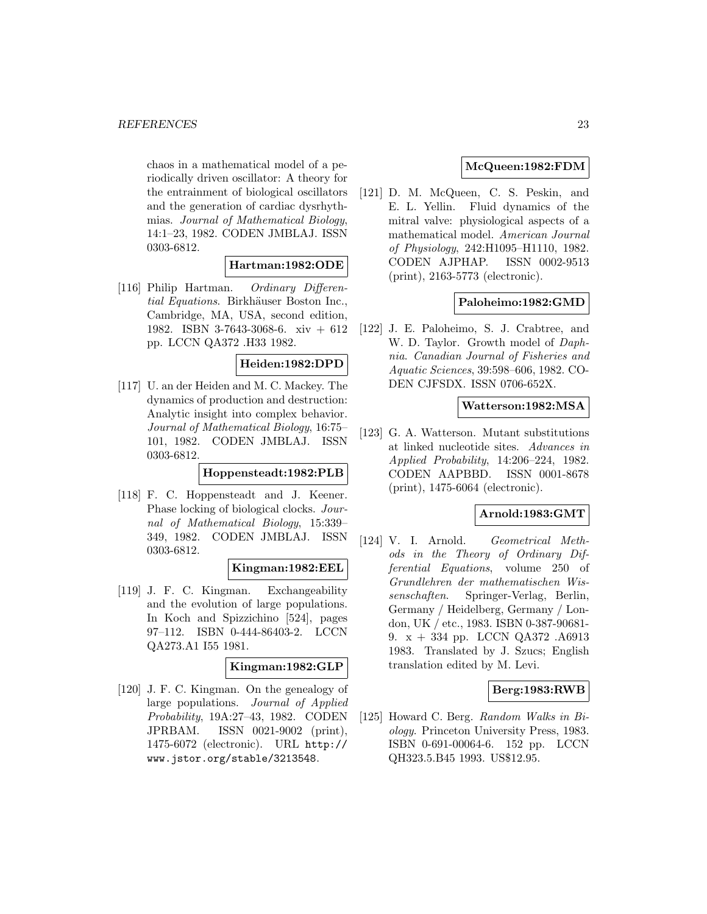#### *REFERENCES* 23

chaos in a mathematical model of a periodically driven oscillator: A theory for the entrainment of biological oscillators and the generation of cardiac dysrhythmias. Journal of Mathematical Biology, 14:1–23, 1982. CODEN JMBLAJ. ISSN 0303-6812.

# **Hartman:1982:ODE**

[116] Philip Hartman. Ordinary Differential Equations. Birkhäuser Boston Inc., Cambridge, MA, USA, second edition, 1982. ISBN 3-7643-3068-6. xiv + 612 pp. LCCN QA372 .H33 1982.

#### **Heiden:1982:DPD**

[117] U. an der Heiden and M. C. Mackey. The dynamics of production and destruction: Analytic insight into complex behavior. Journal of Mathematical Biology, 16:75– 101, 1982. CODEN JMBLAJ. ISSN 0303-6812.

# **Hoppensteadt:1982:PLB**

[118] F. C. Hoppensteadt and J. Keener. Phase locking of biological clocks. Journal of Mathematical Biology, 15:339– 349, 1982. CODEN JMBLAJ. ISSN 0303-6812.

# **Kingman:1982:EEL**

[119] J. F. C. Kingman. Exchangeability and the evolution of large populations. In Koch and Spizzichino [524], pages 97–112. ISBN 0-444-86403-2. LCCN QA273.A1 I55 1981.

### **Kingman:1982:GLP**

[120] J. F. C. Kingman. On the genealogy of large populations. Journal of Applied Probability, 19A:27–43, 1982. CODEN JPRBAM. ISSN 0021-9002 (print), 1475-6072 (electronic). URL http:// www.jstor.org/stable/3213548.

# **McQueen:1982:FDM**

[121] D. M. McQueen, C. S. Peskin, and E. L. Yellin. Fluid dynamics of the mitral valve: physiological aspects of a mathematical model. American Journal of Physiology, 242:H1095–H1110, 1982. CODEN AJPHAP. ISSN 0002-9513 (print), 2163-5773 (electronic).

# **Paloheimo:1982:GMD**

[122] J. E. Paloheimo, S. J. Crabtree, and W. D. Taylor. Growth model of Daphnia. Canadian Journal of Fisheries and Aquatic Sciences, 39:598–606, 1982. CO-DEN CJFSDX. ISSN 0706-652X.

#### **Watterson:1982:MSA**

[123] G. A. Watterson. Mutant substitutions at linked nucleotide sites. Advances in Applied Probability, 14:206–224, 1982. CODEN AAPBBD. ISSN 0001-8678 (print), 1475-6064 (electronic).

# **Arnold:1983:GMT**

[124] V. I. Arnold. Geometrical Methods in the Theory of Ordinary Differential Equations, volume 250 of Grundlehren der mathematischen Wissenschaften. Springer-Verlag, Berlin, Germany / Heidelberg, Germany / London, UK / etc., 1983. ISBN 0-387-90681- 9. x + 334 pp. LCCN QA372 .A6913 1983. Translated by J. Szucs; English translation edited by M. Levi.

# **Berg:1983:RWB**

[125] Howard C. Berg. Random Walks in Biology. Princeton University Press, 1983. ISBN 0-691-00064-6. 152 pp. LCCN QH323.5.B45 1993. US\$12.95.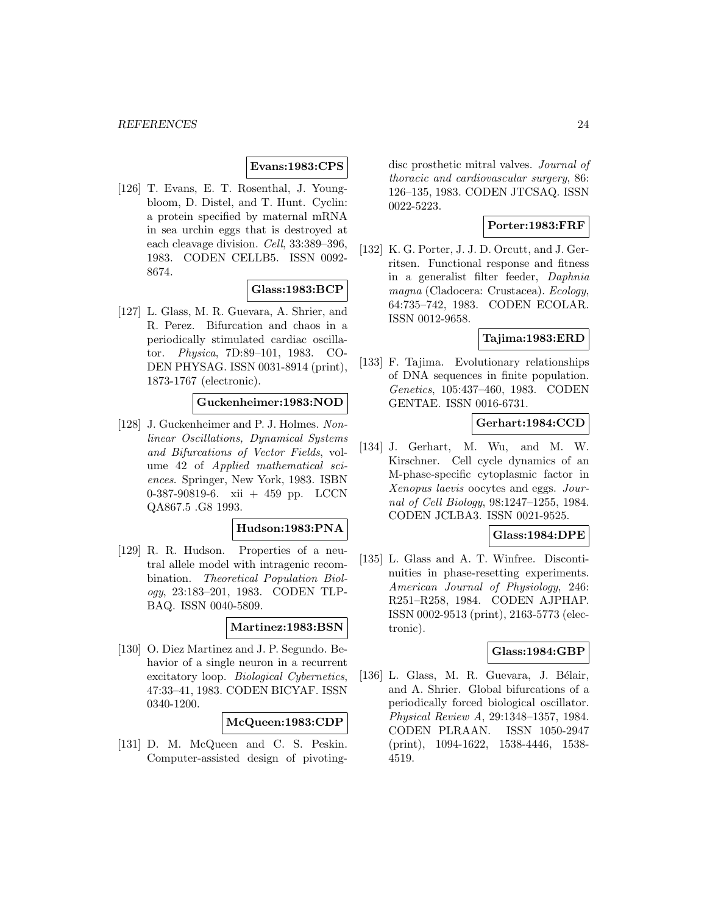### **Evans:1983:CPS**

[126] T. Evans, E. T. Rosenthal, J. Youngbloom, D. Distel, and T. Hunt. Cyclin: a protein specified by maternal mRNA in sea urchin eggs that is destroyed at each cleavage division. Cell, 33:389–396, 1983. CODEN CELLB5. ISSN 0092- 8674.

#### **Glass:1983:BCP**

[127] L. Glass, M. R. Guevara, A. Shrier, and R. Perez. Bifurcation and chaos in a periodically stimulated cardiac oscillator. Physica, 7D:89–101, 1983. CO-DEN PHYSAG. ISSN 0031-8914 (print), 1873-1767 (electronic).

# **Guckenheimer:1983:NOD**

[128] J. Guckenheimer and P. J. Holmes. Nonlinear Oscillations, Dynamical Systems and Bifurcations of Vector Fields, volume 42 of Applied mathematical sciences. Springer, New York, 1983. ISBN 0-387-90819-6. xii + 459 pp. LCCN QA867.5 .G8 1993.

#### **Hudson:1983:PNA**

[129] R. R. Hudson. Properties of a neutral allele model with intragenic recombination. Theoretical Population Biology, 23:183–201, 1983. CODEN TLP-BAQ. ISSN 0040-5809.

### **Martinez:1983:BSN**

[130] O. Diez Martinez and J. P. Segundo. Behavior of a single neuron in a recurrent excitatory loop. Biological Cybernetics, 47:33–41, 1983. CODEN BICYAF. ISSN 0340-1200.

**McQueen:1983:CDP**

[131] D. M. McQueen and C. S. Peskin. Computer-assisted design of pivotingdisc prosthetic mitral valves. Journal of thoracic and cardiovascular surgery, 86: 126–135, 1983. CODEN JTCSAQ. ISSN 0022-5223.

#### **Porter:1983:FRF**

[132] K. G. Porter, J. J. D. Orcutt, and J. Gerritsen. Functional response and fitness in a generalist filter feeder, Daphnia magna (Cladocera: Crustacea). Ecology, 64:735–742, 1983. CODEN ECOLAR. ISSN 0012-9658.

# **Tajima:1983:ERD**

[133] F. Tajima. Evolutionary relationships of DNA sequences in finite population. Genetics, 105:437–460, 1983. CODEN GENTAE. ISSN 0016-6731.

# **Gerhart:1984:CCD**

[134] J. Gerhart, M. Wu, and M. W. Kirschner. Cell cycle dynamics of an M-phase-specific cytoplasmic factor in Xenopus laevis oocytes and eggs. Journal of Cell Biology, 98:1247–1255, 1984. CODEN JCLBA3. ISSN 0021-9525.

#### **Glass:1984:DPE**

[135] L. Glass and A. T. Winfree. Discontinuities in phase-resetting experiments. American Journal of Physiology, 246: R251–R258, 1984. CODEN AJPHAP. ISSN 0002-9513 (print), 2163-5773 (electronic).

#### **Glass:1984:GBP**

 $[136]$  L. Glass, M. R. Guevara, J. Bélair, and A. Shrier. Global bifurcations of a periodically forced biological oscillator. Physical Review A, 29:1348–1357, 1984. CODEN PLRAAN. ISSN 1050-2947 (print), 1094-1622, 1538-4446, 1538- 4519.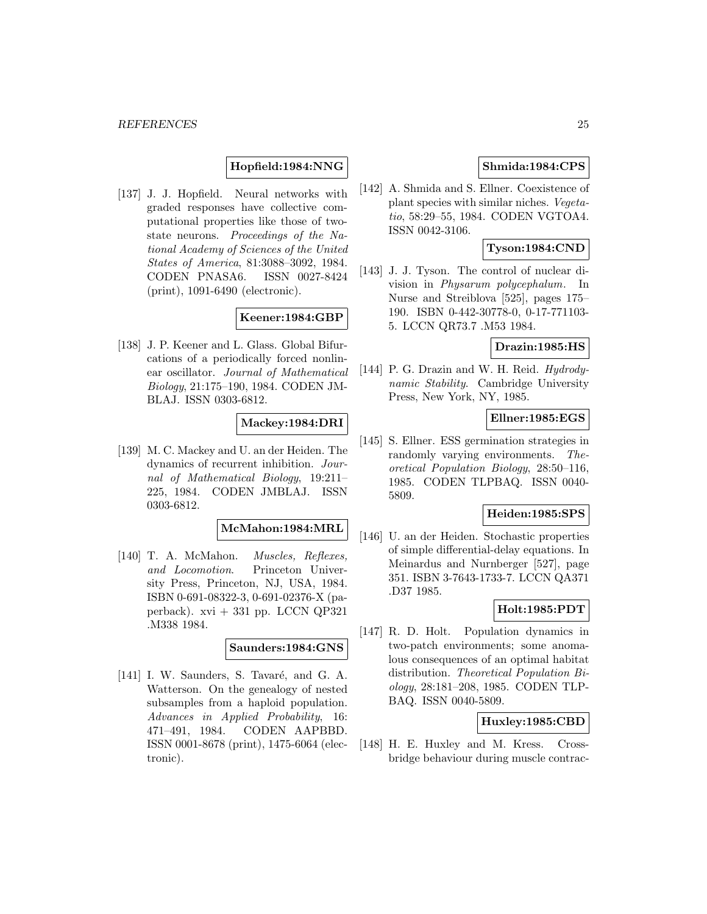# **Hopfield:1984:NNG**

[137] J. J. Hopfield. Neural networks with graded responses have collective computational properties like those of twostate neurons. Proceedings of the National Academy of Sciences of the United States of America, 81:3088–3092, 1984. CODEN PNASA6. ISSN 0027-8424 (print), 1091-6490 (electronic).

# **Keener:1984:GBP**

[138] J. P. Keener and L. Glass. Global Bifurcations of a periodically forced nonlinear oscillator. Journal of Mathematical Biology, 21:175–190, 1984. CODEN JM-BLAJ. ISSN 0303-6812.

#### **Mackey:1984:DRI**

[139] M. C. Mackey and U. an der Heiden. The dynamics of recurrent inhibition. Journal of Mathematical Biology, 19:211– 225, 1984. CODEN JMBLAJ. ISSN 0303-6812.

#### **McMahon:1984:MRL**

[140] T. A. McMahon. Muscles, Reflexes, and Locomotion. Princeton University Press, Princeton, NJ, USA, 1984. ISBN 0-691-08322-3, 0-691-02376-X (paperback).  $xvi + 331$  pp. LCCN QP321 .M338 1984.

# **Saunders:1984:GNS**

[141] I. W. Saunders, S. Tavaré, and G. A. Watterson. On the genealogy of nested subsamples from a haploid population. Advances in Applied Probability, 16: 471–491, 1984. CODEN AAPBBD. ISSN 0001-8678 (print), 1475-6064 (electronic).

# **Shmida:1984:CPS**

[142] A. Shmida and S. Ellner. Coexistence of plant species with similar niches. Vegetatio, 58:29–55, 1984. CODEN VGTOA4. ISSN 0042-3106.

# **Tyson:1984:CND**

[143] J. J. Tyson. The control of nuclear division in Physarum polycephalum. In Nurse and Streiblova [525], pages 175– 190. ISBN 0-442-30778-0, 0-17-771103- 5. LCCN QR73.7 .M53 1984.

# **Drazin:1985:HS**

[144] P. G. Drazin and W. H. Reid. Hydrodynamic Stability. Cambridge University Press, New York, NY, 1985.

# **Ellner:1985:EGS**

[145] S. Ellner. ESS germination strategies in randomly varying environments. Theoretical Population Biology, 28:50–116, 1985. CODEN TLPBAQ. ISSN 0040- 5809.

# **Heiden:1985:SPS**

[146] U. an der Heiden. Stochastic properties of simple differential-delay equations. In Meinardus and Nurnberger [527], page 351. ISBN 3-7643-1733-7. LCCN QA371 .D37 1985.

# **Holt:1985:PDT**

[147] R. D. Holt. Population dynamics in two-patch environments; some anomalous consequences of an optimal habitat distribution. Theoretical Population Biology, 28:181–208, 1985. CODEN TLP-BAQ. ISSN 0040-5809.

# **Huxley:1985:CBD**

[148] H. E. Huxley and M. Kress. Crossbridge behaviour during muscle contrac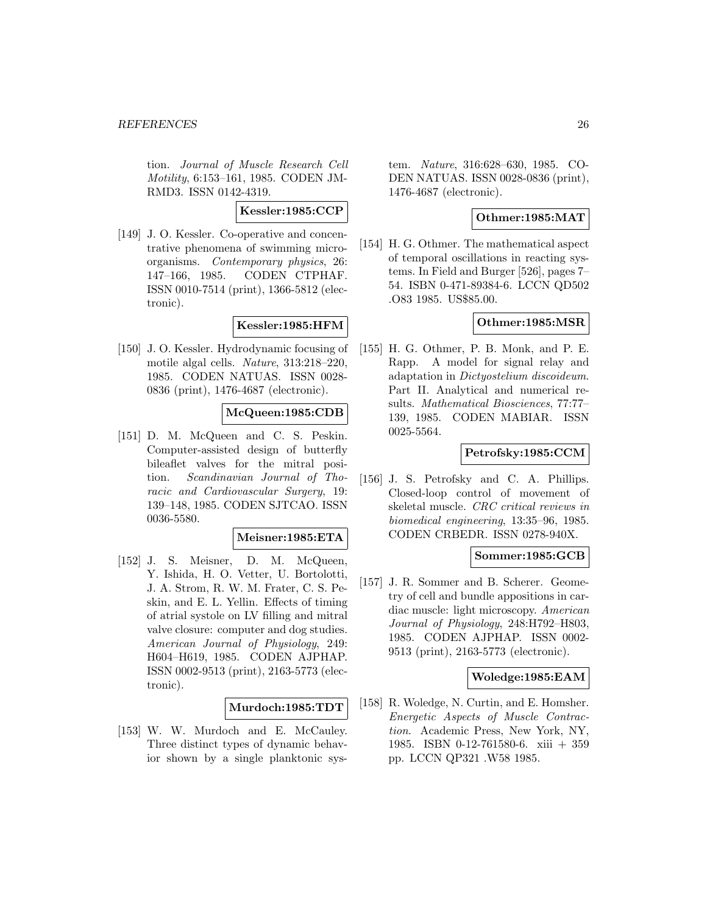tion. Journal of Muscle Research Cell Motility, 6:153–161, 1985. CODEN JM-RMD3. ISSN 0142-4319.

**Kessler:1985:CCP**

[149] J. O. Kessler. Co-operative and concentrative phenomena of swimming microorganisms. Contemporary physics, 26: 147–166, 1985. CODEN CTPHAF. ISSN 0010-7514 (print), 1366-5812 (electronic).

**Kessler:1985:HFM**

[150] J. O. Kessler. Hydrodynamic focusing of motile algal cells. Nature, 313:218–220, 1985. CODEN NATUAS. ISSN 0028- 0836 (print), 1476-4687 (electronic).

# **McQueen:1985:CDB**

[151] D. M. McQueen and C. S. Peskin. Computer-assisted design of butterfly bileaflet valves for the mitral position. Scandinavian Journal of Thoracic and Cardiovascular Surgery, 19: 139–148, 1985. CODEN SJTCAO. ISSN 0036-5580.

#### **Meisner:1985:ETA**

[152] J. S. Meisner, D. M. McQueen, Y. Ishida, H. O. Vetter, U. Bortolotti, J. A. Strom, R. W. M. Frater, C. S. Peskin, and E. L. Yellin. Effects of timing of atrial systole on LV filling and mitral valve closure: computer and dog studies. American Journal of Physiology, 249: H604–H619, 1985. CODEN AJPHAP. ISSN 0002-9513 (print), 2163-5773 (electronic).

#### **Murdoch:1985:TDT**

[153] W. W. Murdoch and E. McCauley. Three distinct types of dynamic behavior shown by a single planktonic system. Nature, 316:628–630, 1985. CO-DEN NATUAS. ISSN 0028-0836 (print), 1476-4687 (electronic).

# **Othmer:1985:MAT**

[154] H. G. Othmer. The mathematical aspect of temporal oscillations in reacting systems. In Field and Burger [526], pages 7– 54. ISBN 0-471-89384-6. LCCN QD502 .O83 1985. US\$85.00.

# **Othmer:1985:MSR**

[155] H. G. Othmer, P. B. Monk, and P. E. Rapp. A model for signal relay and adaptation in Dictyostelium discoideum. Part II. Analytical and numerical results. Mathematical Biosciences, 77:77– 139, 1985. CODEN MABIAR. ISSN 0025-5564.

### **Petrofsky:1985:CCM**

[156] J. S. Petrofsky and C. A. Phillips. Closed-loop control of movement of skeletal muscle. CRC critical reviews in biomedical engineering, 13:35–96, 1985. CODEN CRBEDR. ISSN 0278-940X.

#### **Sommer:1985:GCB**

[157] J. R. Sommer and B. Scherer. Geometry of cell and bundle appositions in cardiac muscle: light microscopy. American Journal of Physiology, 248:H792–H803, 1985. CODEN AJPHAP. ISSN 0002- 9513 (print), 2163-5773 (electronic).

#### **Woledge:1985:EAM**

[158] R. Woledge, N. Curtin, and E. Homsher. Energetic Aspects of Muscle Contraction. Academic Press, New York, NY, 1985. ISBN 0-12-761580-6. xiii + 359 pp. LCCN QP321 .W58 1985.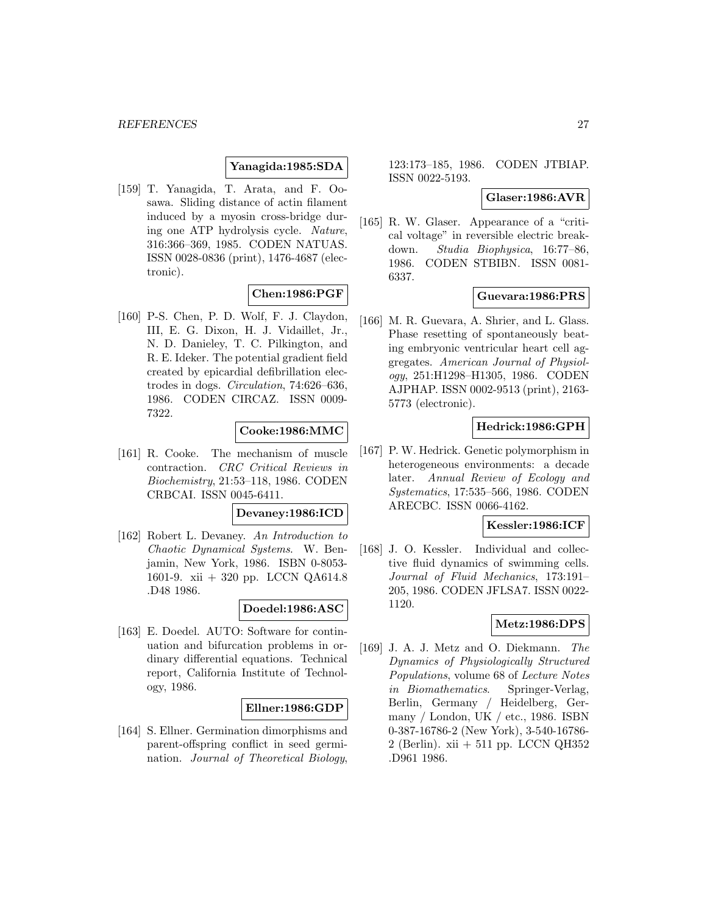# **Yanagida:1985:SDA**

[159] T. Yanagida, T. Arata, and F. Oosawa. Sliding distance of actin filament induced by a myosin cross-bridge during one ATP hydrolysis cycle. Nature, 316:366–369, 1985. CODEN NATUAS. ISSN 0028-0836 (print), 1476-4687 (electronic).

# **Chen:1986:PGF**

[160] P-S. Chen, P. D. Wolf, F. J. Claydon, III, E. G. Dixon, H. J. Vidaillet, Jr., N. D. Danieley, T. C. Pilkington, and R. E. Ideker. The potential gradient field created by epicardial defibrillation electrodes in dogs. Circulation, 74:626–636, 1986. CODEN CIRCAZ. ISSN 0009- 7322.

# **Cooke:1986:MMC**

[161] R. Cooke. The mechanism of muscle contraction. CRC Critical Reviews in Biochemistry, 21:53–118, 1986. CODEN CRBCAI. ISSN 0045-6411.

# **Devaney:1986:ICD**

[162] Robert L. Devaney. An Introduction to Chaotic Dynamical Systems. W. Benjamin, New York, 1986. ISBN 0-8053- 1601-9. xii + 320 pp. LCCN QA614.8 .D48 1986.

#### **Doedel:1986:ASC**

[163] E. Doedel. AUTO: Software for continuation and bifurcation problems in ordinary differential equations. Technical report, California Institute of Technology, 1986.

# **Ellner:1986:GDP**

[164] S. Ellner. Germination dimorphisms and parent-offspring conflict in seed germination. Journal of Theoretical Biology,

123:173–185, 1986. CODEN JTBIAP. ISSN 0022-5193.

#### **Glaser:1986:AVR**

[165] R. W. Glaser. Appearance of a "critical voltage" in reversible electric breakdown. Studia Biophysica, 16:77–86, 1986. CODEN STBIBN. ISSN 0081- 6337.

# **Guevara:1986:PRS**

[166] M. R. Guevara, A. Shrier, and L. Glass. Phase resetting of spontaneously beating embryonic ventricular heart cell aggregates. American Journal of Physiology, 251:H1298–H1305, 1986. CODEN AJPHAP. ISSN 0002-9513 (print), 2163- 5773 (electronic).

# **Hedrick:1986:GPH**

[167] P. W. Hedrick. Genetic polymorphism in heterogeneous environments: a decade later. Annual Review of Ecology and Systematics, 17:535–566, 1986. CODEN ARECBC. ISSN 0066-4162.

#### **Kessler:1986:ICF**

[168] J. O. Kessler. Individual and collective fluid dynamics of swimming cells. Journal of Fluid Mechanics, 173:191– 205, 1986. CODEN JFLSA7. ISSN 0022- 1120.

# **Metz:1986:DPS**

[169] J. A. J. Metz and O. Diekmann. The Dynamics of Physiologically Structured Populations, volume 68 of Lecture Notes in Biomathematics. Springer-Verlag, Berlin, Germany / Heidelberg, Germany / London, UK / etc., 1986. ISBN 0-387-16786-2 (New York), 3-540-16786- 2 (Berlin). xii + 511 pp. LCCN QH352 .D961 1986.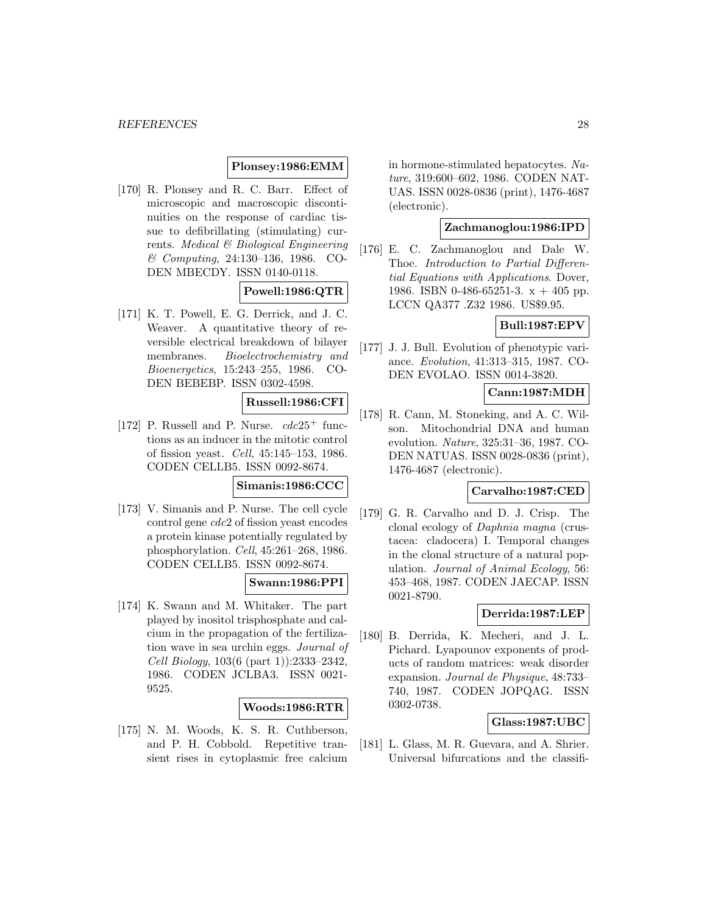# **Plonsey:1986:EMM**

[170] R. Plonsey and R. C. Barr. Effect of microscopic and macroscopic discontinuities on the response of cardiac tissue to defibrillating (stimulating) currents. Medical & Biological Engineering & Computing, 24:130–136, 1986. CO-DEN MBECDY. ISSN 0140-0118.

# **Powell:1986:QTR**

[171] K. T. Powell, E. G. Derrick, and J. C. Weaver. A quantitative theory of reversible electrical breakdown of bilayer membranes. Bioelectrochemistry and Bioenergetics, 15:243–255, 1986. CO-DEN BEBEBP. ISSN 0302-4598.

# **Russell:1986:CFI**

[172] P. Russell and P. Nurse.  $cdc25^+$  functions as an inducer in the mitotic control of fission yeast. Cell, 45:145–153, 1986. CODEN CELLB5. ISSN 0092-8674.

#### **Simanis:1986:CCC**

[173] V. Simanis and P. Nurse. The cell cycle control gene cdc2 of fission yeast encodes a protein kinase potentially regulated by phosphorylation. Cell, 45:261–268, 1986. CODEN CELLB5. ISSN 0092-8674.

# **Swann:1986:PPI**

[174] K. Swann and M. Whitaker. The part played by inositol trisphosphate and calcium in the propagation of the fertilization wave in sea urchin eggs. Journal of Cell Biology, 103(6 (part 1)):2333–2342, 1986. CODEN JCLBA3. ISSN 0021- 9525.

#### **Woods:1986:RTR**

[175] N. M. Woods, K. S. R. Cuthberson, and P. H. Cobbold. Repetitive transient rises in cytoplasmic free calcium in hormone-stimulated hepatocytes. Nature, 319:600–602, 1986. CODEN NAT-UAS. ISSN 0028-0836 (print), 1476-4687 (electronic).

# **Zachmanoglou:1986:IPD**

[176] E. C. Zachmanoglou and Dale W. Thoe. Introduction to Partial Differential Equations with Applications. Dover, 1986. ISBN 0-486-65251-3.  $x + 405$  pp. LCCN QA377 .Z32 1986. US\$9.95.

# **Bull:1987:EPV**

[177] J. J. Bull. Evolution of phenotypic variance. Evolution, 41:313–315, 1987. CO-DEN EVOLAO. ISSN 0014-3820.

#### **Cann:1987:MDH**

[178] R. Cann, M. Stoneking, and A. C. Wilson. Mitochondrial DNA and human evolution. Nature, 325:31–36, 1987. CO-DEN NATUAS. ISSN 0028-0836 (print), 1476-4687 (electronic).

# **Carvalho:1987:CED**

[179] G. R. Carvalho and D. J. Crisp. The clonal ecology of Daphnia magna (crustacea: cladocera) I. Temporal changes in the clonal structure of a natural population. Journal of Animal Ecology, 56: 453–468, 1987. CODEN JAECAP. ISSN 0021-8790.

### **Derrida:1987:LEP**

[180] B. Derrida, K. Mecheri, and J. L. Pichard. Lyapounov exponents of products of random matrices: weak disorder expansion. Journal de Physique, 48:733– 740, 1987. CODEN JOPQAG. ISSN 0302-0738.

# **Glass:1987:UBC**

[181] L. Glass, M. R. Guevara, and A. Shrier. Universal bifurcations and the classifi-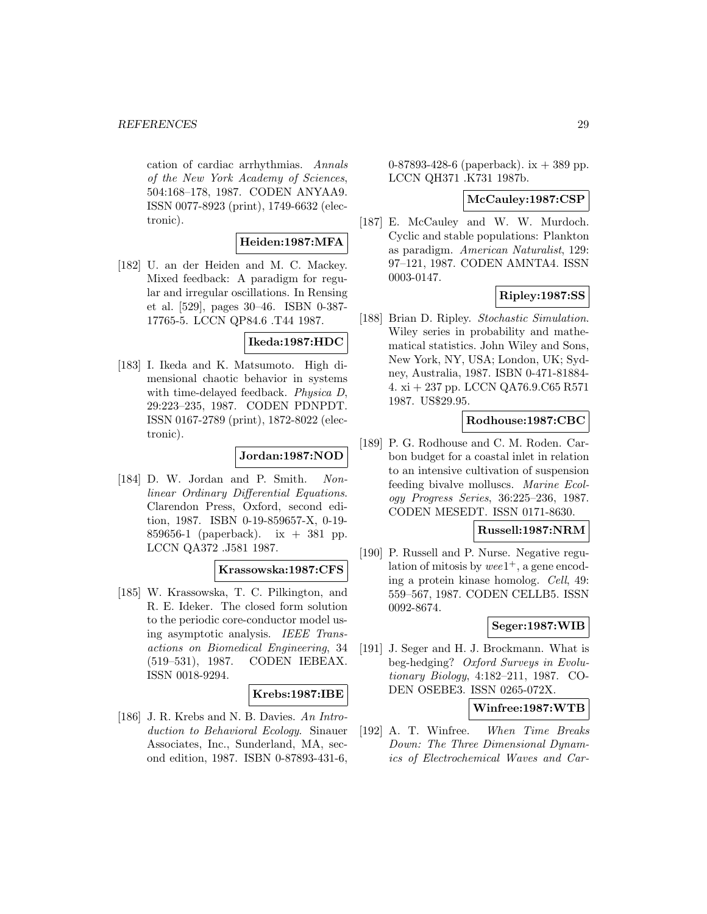#### *REFERENCES* 29

cation of cardiac arrhythmias. Annals of the New York Academy of Sciences, 504:168–178, 1987. CODEN ANYAA9. ISSN 0077-8923 (print), 1749-6632 (electronic).

# **Heiden:1987:MFA**

[182] U. an der Heiden and M. C. Mackey. Mixed feedback: A paradigm for regular and irregular oscillations. In Rensing et al. [529], pages 30–46. ISBN 0-387- 17765-5. LCCN QP84.6 .T44 1987.

# **Ikeda:1987:HDC**

[183] I. Ikeda and K. Matsumoto. High dimensional chaotic behavior in systems with time-delayed feedback. Physica D, 29:223–235, 1987. CODEN PDNPDT. ISSN 0167-2789 (print), 1872-8022 (electronic).

# **Jordan:1987:NOD**

[184] D. W. Jordan and P. Smith. Nonlinear Ordinary Differential Equations. Clarendon Press, Oxford, second edition, 1987. ISBN 0-19-859657-X, 0-19- 859656-1 (paperback). ix + 381 pp. LCCN QA372 .J581 1987.

# **Krassowska:1987:CFS**

[185] W. Krassowska, T. C. Pilkington, and R. E. Ideker. The closed form solution to the periodic core-conductor model using asymptotic analysis. IEEE Transactions on Biomedical Engineering, 34 (519–531), 1987. CODEN IEBEAX. ISSN 0018-9294.

#### **Krebs:1987:IBE**

[186] J. R. Krebs and N. B. Davies. An Introduction to Behavioral Ecology. Sinauer Associates, Inc., Sunderland, MA, second edition, 1987. ISBN 0-87893-431-6,

0-87893-428-6 (paperback).  $ix + 389$  pp. LCCN QH371 .K731 1987b.

#### **McCauley:1987:CSP**

[187] E. McCauley and W. W. Murdoch. Cyclic and stable populations: Plankton as paradigm. American Naturalist, 129: 97–121, 1987. CODEN AMNTA4. ISSN 0003-0147.

# **Ripley:1987:SS**

[188] Brian D. Ripley. Stochastic Simulation. Wiley series in probability and mathematical statistics. John Wiley and Sons, New York, NY, USA; London, UK; Sydney, Australia, 1987. ISBN 0-471-81884- 4. xi + 237 pp. LCCN QA76.9.C65 R571 1987. US\$29.95.

# **Rodhouse:1987:CBC**

[189] P. G. Rodhouse and C. M. Roden. Carbon budget for a coastal inlet in relation to an intensive cultivation of suspension feeding bivalve molluscs. Marine Ecology Progress Series, 36:225–236, 1987. CODEN MESEDT. ISSN 0171-8630.

# **Russell:1987:NRM**

[190] P. Russell and P. Nurse. Negative regulation of mitosis by wee $1^+$ , a gene encoding a protein kinase homolog. Cell, 49: 559–567, 1987. CODEN CELLB5. ISSN 0092-8674.

### **Seger:1987:WIB**

[191] J. Seger and H. J. Brockmann. What is beg-hedging? Oxford Surveys in Evolutionary Biology, 4:182–211, 1987. CO-DEN OSEBE3. ISSN 0265-072X.

# **Winfree:1987:WTB**

[192] A. T. Winfree. When Time Breaks Down: The Three Dimensional Dynamics of Electrochemical Waves and Car-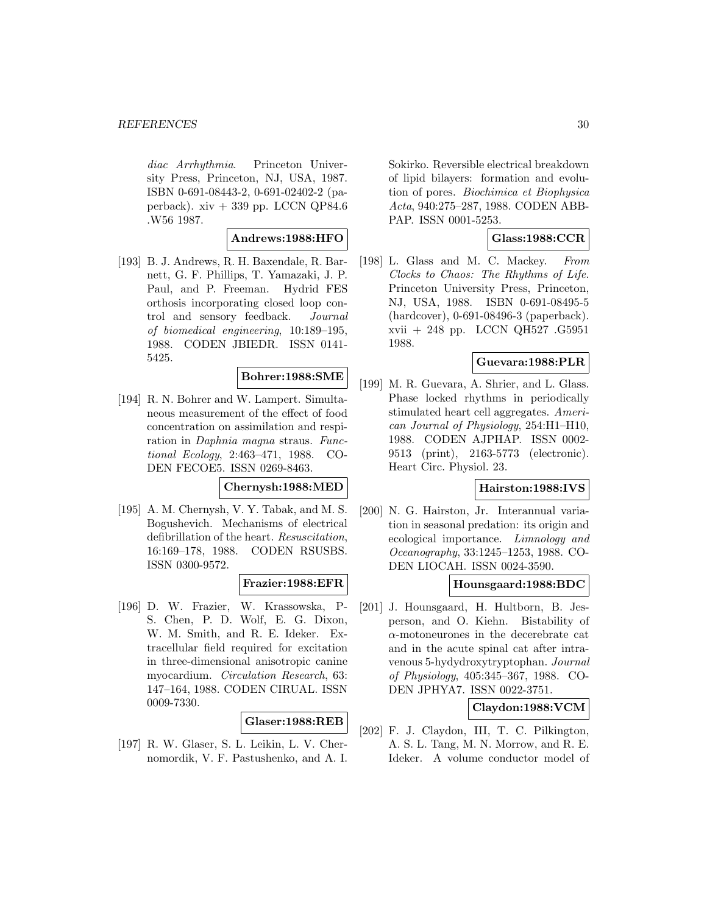diac Arrhythmia. Princeton University Press, Princeton, NJ, USA, 1987. ISBN 0-691-08443-2, 0-691-02402-2 (paperback). xiv + 339 pp. LCCN QP84.6 .W56 1987.

# **Andrews:1988:HFO**

[193] B. J. Andrews, R. H. Baxendale, R. Barnett, G. F. Phillips, T. Yamazaki, J. P. Paul, and P. Freeman. Hydrid FES orthosis incorporating closed loop control and sensory feedback. Journal of biomedical engineering, 10:189–195, 1988. CODEN JBIEDR. ISSN 0141- 5425.

#### **Bohrer:1988:SME**

[194] R. N. Bohrer and W. Lampert. Simultaneous measurement of the effect of food concentration on assimilation and respiration in Daphnia magna straus. Functional Ecology, 2:463–471, 1988. CO-DEN FECOE5. ISSN 0269-8463.

#### **Chernysh:1988:MED**

[195] A. M. Chernysh, V. Y. Tabak, and M. S. Bogushevich. Mechanisms of electrical defibrillation of the heart. Resuscitation, 16:169–178, 1988. CODEN RSUSBS. ISSN 0300-9572.

# **Frazier:1988:EFR**

[196] D. W. Frazier, W. Krassowska, P-S. Chen, P. D. Wolf, E. G. Dixon, W. M. Smith, and R. E. Ideker. Extracellular field required for excitation in three-dimensional anisotropic canine myocardium. Circulation Research, 63: 147–164, 1988. CODEN CIRUAL. ISSN 0009-7330.

#### **Glaser:1988:REB**

[197] R. W. Glaser, S. L. Leikin, L. V. Chernomordik, V. F. Pastushenko, and A. I. Sokirko. Reversible electrical breakdown of lipid bilayers: formation and evolution of pores. Biochimica et Biophysica Acta, 940:275–287, 1988. CODEN ABB-PAP. ISSN 0001-5253.

# **Glass:1988:CCR**

[198] L. Glass and M. C. Mackey. From Clocks to Chaos: The Rhythms of Life. Princeton University Press, Princeton, NJ, USA, 1988. ISBN 0-691-08495-5 (hardcover), 0-691-08496-3 (paperback). xvii + 248 pp. LCCN QH527 .G5951 1988.

# **Guevara:1988:PLR**

[199] M. R. Guevara, A. Shrier, and L. Glass. Phase locked rhythms in periodically stimulated heart cell aggregates. American Journal of Physiology, 254:H1–H10, 1988. CODEN AJPHAP. ISSN 0002- 9513 (print), 2163-5773 (electronic). Heart Circ. Physiol. 23.

# **Hairston:1988:IVS**

[200] N. G. Hairston, Jr. Interannual variation in seasonal predation: its origin and ecological importance. Limnology and Oceanography, 33:1245–1253, 1988. CO-DEN LIOCAH. ISSN 0024-3590.

# **Hounsgaard:1988:BDC**

[201] J. Hounsgaard, H. Hultborn, B. Jesperson, and O. Kiehn. Bistability of  $\alpha$ -motoneurones in the decerebrate cat and in the acute spinal cat after intravenous 5-hydydroxytryptophan. Journal of Physiology, 405:345–367, 1988. CO-DEN JPHYA7. ISSN 0022-3751.

# **Claydon:1988:VCM**

[202] F. J. Claydon, III, T. C. Pilkington, A. S. L. Tang, M. N. Morrow, and R. E. Ideker. A volume conductor model of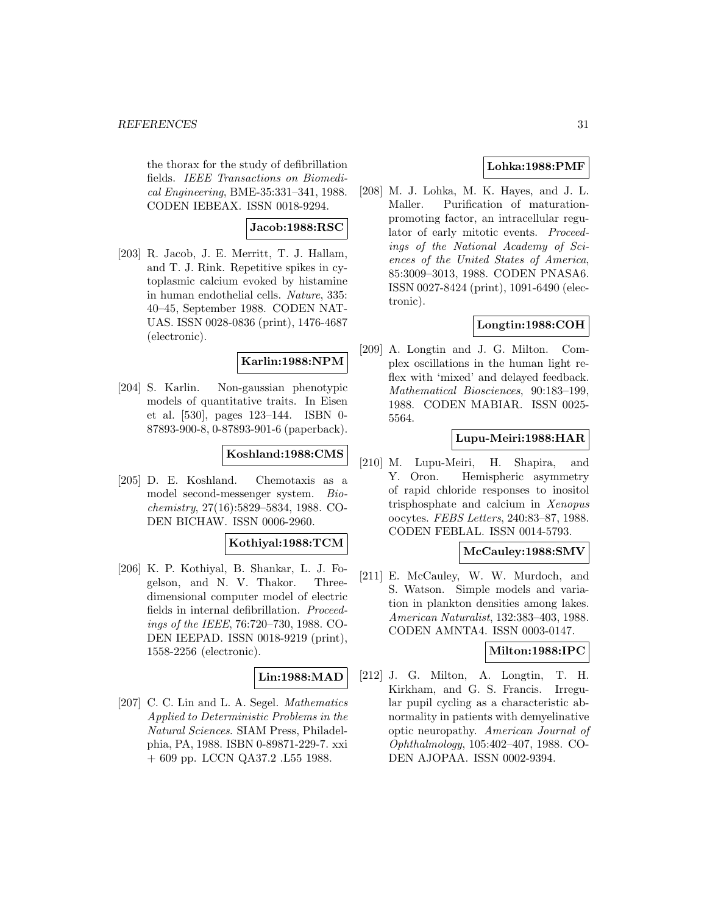the thorax for the study of defibrillation fields. IEEE Transactions on Biomedical Engineering, BME-35:331–341, 1988. CODEN IEBEAX. ISSN 0018-9294.

# **Jacob:1988:RSC**

[203] R. Jacob, J. E. Merritt, T. J. Hallam, and T. J. Rink. Repetitive spikes in cytoplasmic calcium evoked by histamine in human endothelial cells. Nature, 335: 40–45, September 1988. CODEN NAT-UAS. ISSN 0028-0836 (print), 1476-4687 (electronic).

# **Karlin:1988:NPM**

[204] S. Karlin. Non-gaussian phenotypic models of quantitative traits. In Eisen et al. [530], pages 123–144. ISBN 0- 87893-900-8, 0-87893-901-6 (paperback).

# **Koshland:1988:CMS**

[205] D. E. Koshland. Chemotaxis as a model second-messenger system. Biochemistry, 27(16):5829–5834, 1988. CO-DEN BICHAW. ISSN 0006-2960.

#### **Kothiyal:1988:TCM**

[206] K. P. Kothiyal, B. Shankar, L. J. Fogelson, and N. V. Thakor. Threedimensional computer model of electric fields in internal defibrillation. Proceedings of the IEEE, 76:720–730, 1988. CO-DEN IEEPAD. ISSN 0018-9219 (print), 1558-2256 (electronic).

# **Lin:1988:MAD**

[207] C. C. Lin and L. A. Segel. Mathematics Applied to Deterministic Problems in the Natural Sciences. SIAM Press, Philadelphia, PA, 1988. ISBN 0-89871-229-7. xxi + 609 pp. LCCN QA37.2 .L55 1988.

# **Lohka:1988:PMF**

[208] M. J. Lohka, M. K. Hayes, and J. L. Maller. Purification of maturationpromoting factor, an intracellular regulator of early mitotic events. Proceedings of the National Academy of Sciences of the United States of America, 85:3009–3013, 1988. CODEN PNASA6. ISSN 0027-8424 (print), 1091-6490 (electronic).

# **Longtin:1988:COH**

[209] A. Longtin and J. G. Milton. Complex oscillations in the human light reflex with 'mixed' and delayed feedback. Mathematical Biosciences, 90:183–199, 1988. CODEN MABIAR. ISSN 0025- 5564.

# **Lupu-Meiri:1988:HAR**

[210] M. Lupu-Meiri, H. Shapira, and Y. Oron. Hemispheric asymmetry of rapid chloride responses to inositol trisphosphate and calcium in Xenopus oocytes. FEBS Letters, 240:83–87, 1988. CODEN FEBLAL. ISSN 0014-5793.

# **McCauley:1988:SMV**

[211] E. McCauley, W. W. Murdoch, and S. Watson. Simple models and variation in plankton densities among lakes. American Naturalist, 132:383–403, 1988. CODEN AMNTA4. ISSN 0003-0147.

### **Milton:1988:IPC**

[212] J. G. Milton, A. Longtin, T. H. Kirkham, and G. S. Francis. Irregular pupil cycling as a characteristic abnormality in patients with demyelinative optic neuropathy. American Journal of Ophthalmology, 105:402–407, 1988. CO-DEN AJOPAA. ISSN 0002-9394.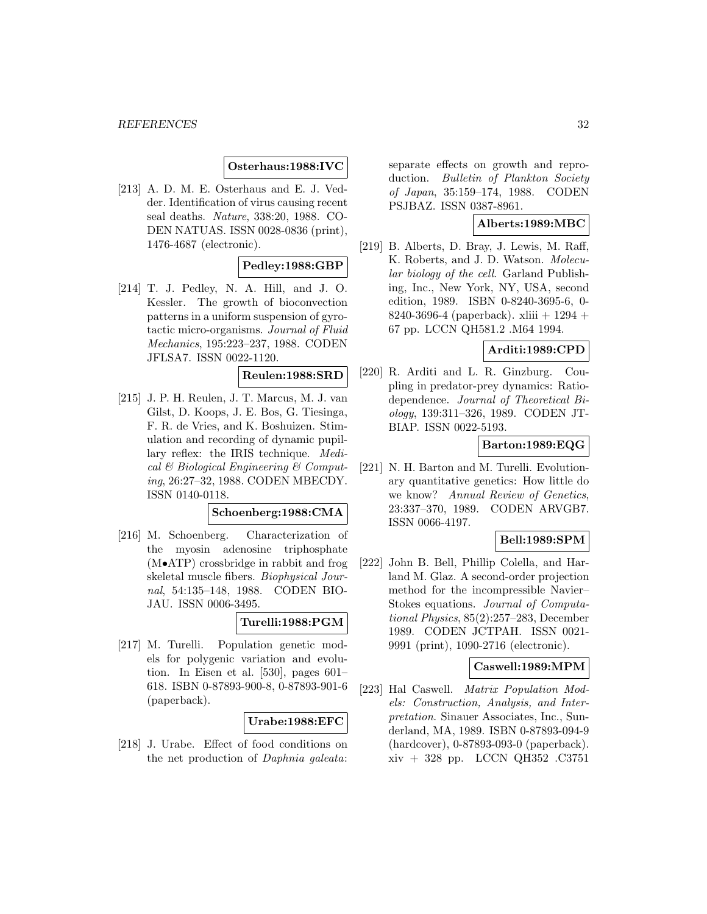# **Osterhaus:1988:IVC**

[213] A. D. M. E. Osterhaus and E. J. Vedder. Identification of virus causing recent seal deaths. Nature, 338:20, 1988. CO-DEN NATUAS. ISSN 0028-0836 (print), 1476-4687 (electronic).

# **Pedley:1988:GBP**

[214] T. J. Pedley, N. A. Hill, and J. O. Kessler. The growth of bioconvection patterns in a uniform suspension of gyrotactic micro-organisms. Journal of Fluid Mechanics, 195:223–237, 1988. CODEN JFLSA7. ISSN 0022-1120.

#### **Reulen:1988:SRD**

[215] J. P. H. Reulen, J. T. Marcus, M. J. van Gilst, D. Koops, J. E. Bos, G. Tiesinga, F. R. de Vries, and K. Boshuizen. Stimulation and recording of dynamic pupillary reflex: the IRIS technique. Medical & Biological Engineering & Computing, 26:27–32, 1988. CODEN MBECDY. ISSN 0140-0118.

### **Schoenberg:1988:CMA**

[216] M. Schoenberg. Characterization of the myosin adenosine triphosphate (M•ATP) crossbridge in rabbit and frog skeletal muscle fibers. Biophysical Journal, 54:135–148, 1988. CODEN BIO-JAU. ISSN 0006-3495.

### **Turelli:1988:PGM**

[217] M. Turelli. Population genetic models for polygenic variation and evolution. In Eisen et al. [530], pages 601– 618. ISBN 0-87893-900-8, 0-87893-901-6 (paperback).

#### **Urabe:1988:EFC**

[218] J. Urabe. Effect of food conditions on the net production of Daphnia galeata: separate effects on growth and reproduction. Bulletin of Plankton Society of Japan, 35:159–174, 1988. CODEN PSJBAZ. ISSN 0387-8961.

#### **Alberts:1989:MBC**

[219] B. Alberts, D. Bray, J. Lewis, M. Raff, K. Roberts, and J. D. Watson. Molecular biology of the cell. Garland Publishing, Inc., New York, NY, USA, second edition, 1989. ISBN 0-8240-3695-6, 0- 8240-3696-4 (paperback). xliii  $+1294 +$ 67 pp. LCCN QH581.2 .M64 1994.

#### **Arditi:1989:CPD**

[220] R. Arditi and L. R. Ginzburg. Coupling in predator-prey dynamics: Ratiodependence. Journal of Theoretical Biology, 139:311–326, 1989. CODEN JT-BIAP. ISSN 0022-5193.

# **Barton:1989:EQG**

[221] N. H. Barton and M. Turelli. Evolutionary quantitative genetics: How little do we know? Annual Review of Genetics, 23:337–370, 1989. CODEN ARVGB7. ISSN 0066-4197.

### **Bell:1989:SPM**

[222] John B. Bell, Phillip Colella, and Harland M. Glaz. A second-order projection method for the incompressible Navier– Stokes equations. Journal of Computational Physics, 85(2):257–283, December 1989. CODEN JCTPAH. ISSN 0021- 9991 (print), 1090-2716 (electronic).

# **Caswell:1989:MPM**

[223] Hal Caswell. Matrix Population Models: Construction, Analysis, and Interpretation. Sinauer Associates, Inc., Sunderland, MA, 1989. ISBN 0-87893-094-9 (hardcover), 0-87893-093-0 (paperback). xiv + 328 pp. LCCN QH352 .C3751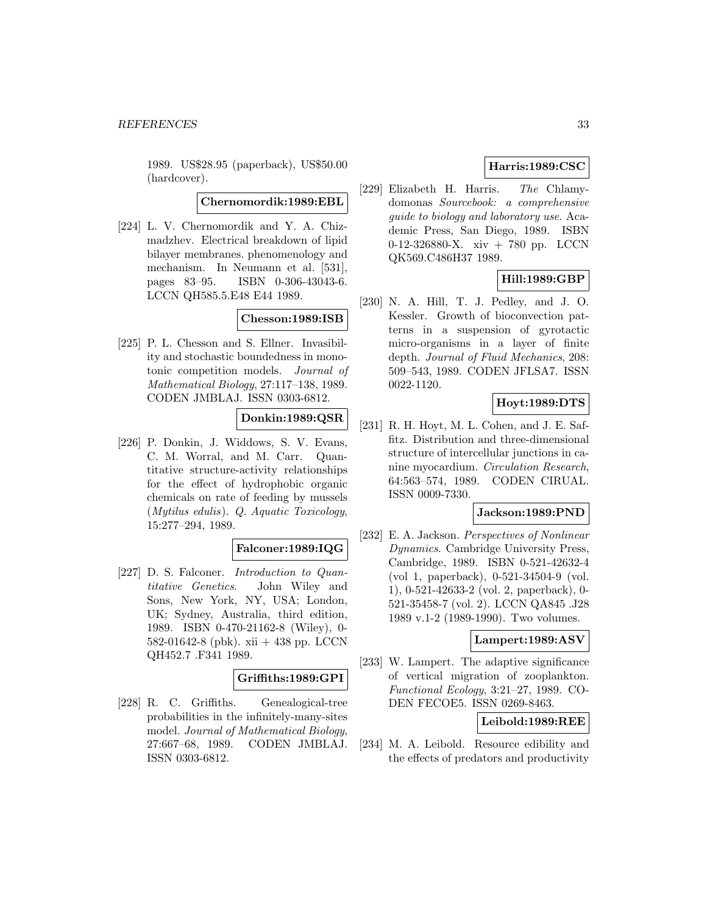1989. US\$28.95 (paperback), US\$50.00 (hardcover).

# **Chernomordik:1989:EBL**

[224] L. V. Chernomordik and Y. A. Chizmadzhev. Electrical breakdown of lipid bilayer membranes. phenomenology and mechanism. In Neumann et al. [531], pages 83–95. ISBN 0-306-43043-6. LCCN QH585.5.E48 E44 1989.

# **Chesson:1989:ISB**

[225] P. L. Chesson and S. Ellner. Invasibility and stochastic boundedness in monotonic competition models. Journal of Mathematical Biology, 27:117–138, 1989. CODEN JMBLAJ. ISSN 0303-6812.

# **Donkin:1989:QSR**

[226] P. Donkin, J. Widdows, S. V. Evans, C. M. Worral, and M. Carr. Quantitative structure-activity relationships for the effect of hydrophobic organic chemicals on rate of feeding by mussels (Mytilus edulis). Q. Aquatic Toxicology, 15:277–294, 1989.

# **Falconer:1989:IQG**

[227] D. S. Falconer. *Introduction to Quan*titative Genetics. John Wiley and Sons, New York, NY, USA; London, UK; Sydney, Australia, third edition, 1989. ISBN 0-470-21162-8 (Wiley), 0- 582-01642-8 (pbk). xii + 438 pp. LCCN QH452.7 .F341 1989.

### **Griffiths:1989:GPI**

[228] R. C. Griffiths. Genealogical-tree probabilities in the infinitely-many-sites model. Journal of Mathematical Biology, 27:667–68, 1989. CODEN JMBLAJ. ISSN 0303-6812.

# **Harris:1989:CSC**

[229] Elizabeth H. Harris. The Chlamydomonas Sourcebook: a comprehensive guide to biology and laboratory use. Academic Press, San Diego, 1989. ISBN 0-12-326880-X. xiv + 780 pp. LCCN QK569.C486H37 1989.

# **Hill:1989:GBP**

[230] N. A. Hill, T. J. Pedley, and J. O. Kessler. Growth of bioconvection patterns in a suspension of gyrotactic micro-organisms in a layer of finite depth. Journal of Fluid Mechanics, 208: 509–543, 1989. CODEN JFLSA7. ISSN 0022-1120.

# **Hoyt:1989:DTS**

[231] R. H. Hoyt, M. L. Cohen, and J. E. Saffitz. Distribution and three-dimensional structure of intercellular junctions in canine myocardium. Circulation Research, 64:563–574, 1989. CODEN CIRUAL. ISSN 0009-7330.

# **Jackson:1989:PND**

[232] E. A. Jackson. Perspectives of Nonlinear Dynamics. Cambridge University Press, Cambridge, 1989. ISBN 0-521-42632-4 (vol 1, paperback), 0-521-34504-9 (vol. 1), 0-521-42633-2 (vol. 2, paperback), 0- 521-35458-7 (vol. 2). LCCN QA845 .J28 1989 v.1-2 (1989-1990). Two volumes.

#### **Lampert:1989:ASV**

[233] W. Lampert. The adaptive significance of vertical migration of zooplankton. Functional Ecology, 3:21–27, 1989. CO-DEN FECOE5. ISSN 0269-8463.

#### **Leibold:1989:REE**

[234] M. A. Leibold. Resource edibility and the effects of predators and productivity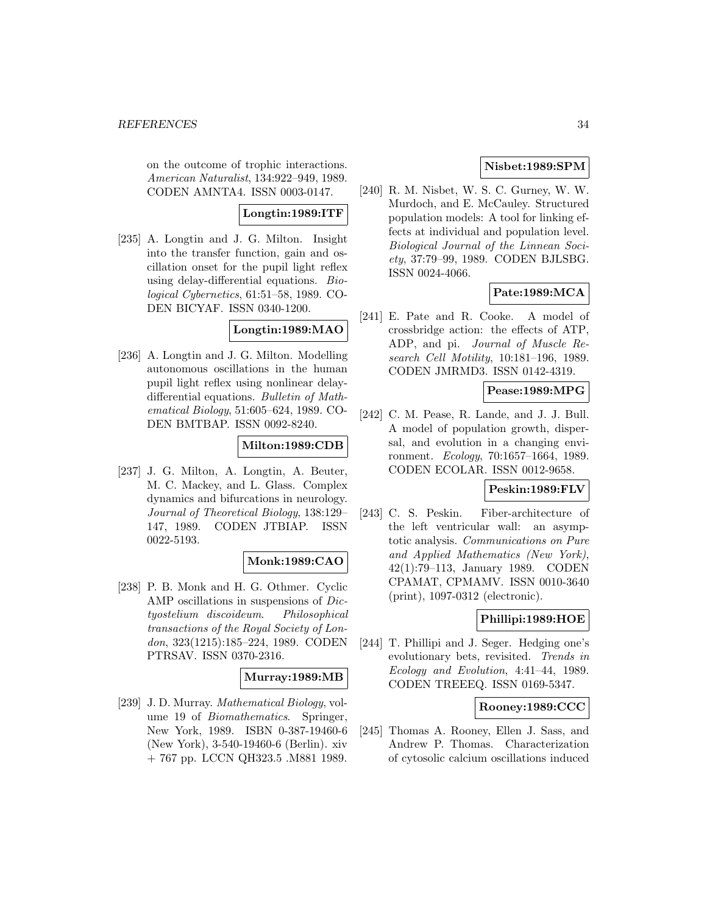on the outcome of trophic interactions. American Naturalist, 134:922–949, 1989. CODEN AMNTA4. ISSN 0003-0147.

# **Longtin:1989:ITF**

[235] A. Longtin and J. G. Milton. Insight into the transfer function, gain and oscillation onset for the pupil light reflex using delay-differential equations. Biological Cybernetics, 61:51–58, 1989. CO-DEN BICYAF. ISSN 0340-1200.

# **Longtin:1989:MAO**

[236] A. Longtin and J. G. Milton. Modelling autonomous oscillations in the human pupil light reflex using nonlinear delaydifferential equations. Bulletin of Mathematical Biology, 51:605–624, 1989. CO-DEN BMTBAP. ISSN 0092-8240.

# **Milton:1989:CDB**

[237] J. G. Milton, A. Longtin, A. Beuter, M. C. Mackey, and L. Glass. Complex dynamics and bifurcations in neurology. Journal of Theoretical Biology, 138:129– 147, 1989. CODEN JTBIAP. ISSN 0022-5193.

# **Monk:1989:CAO**

[238] P. B. Monk and H. G. Othmer. Cyclic AMP oscillations in suspensions of Dictyostelium discoideum. Philosophical transactions of the Royal Society of London, 323(1215):185–224, 1989. CODEN PTRSAV. ISSN 0370-2316.

# **Murray:1989:MB**

[239] J. D. Murray. Mathematical Biology, volume 19 of Biomathematics. Springer, New York, 1989. ISBN 0-387-19460-6 (New York), 3-540-19460-6 (Berlin). xiv + 767 pp. LCCN QH323.5 .M881 1989.

# **Nisbet:1989:SPM**

[240] R. M. Nisbet, W. S. C. Gurney, W. W. Murdoch, and E. McCauley. Structured population models: A tool for linking effects at individual and population level. Biological Journal of the Linnean Society, 37:79–99, 1989. CODEN BJLSBG. ISSN 0024-4066.

# **Pate:1989:MCA**

[241] E. Pate and R. Cooke. A model of crossbridge action: the effects of ATP, ADP, and pi. Journal of Muscle Research Cell Motility, 10:181–196, 1989. CODEN JMRMD3. ISSN 0142-4319.

#### **Pease:1989:MPG**

[242] C. M. Pease, R. Lande, and J. J. Bull. A model of population growth, dispersal, and evolution in a changing environment. Ecology, 70:1657–1664, 1989. CODEN ECOLAR. ISSN 0012-9658.

#### **Peskin:1989:FLV**

[243] C. S. Peskin. Fiber-architecture of the left ventricular wall: an asymptotic analysis. Communications on Pure and Applied Mathematics (New York), 42(1):79–113, January 1989. CODEN CPAMAT, CPMAMV. ISSN 0010-3640 (print), 1097-0312 (electronic).

# **Phillipi:1989:HOE**

[244] T. Phillipi and J. Seger. Hedging one's evolutionary bets, revisited. Trends in Ecology and Evolution, 4:41–44, 1989. CODEN TREEEQ. ISSN 0169-5347.

#### **Rooney:1989:CCC**

[245] Thomas A. Rooney, Ellen J. Sass, and Andrew P. Thomas. Characterization of cytosolic calcium oscillations induced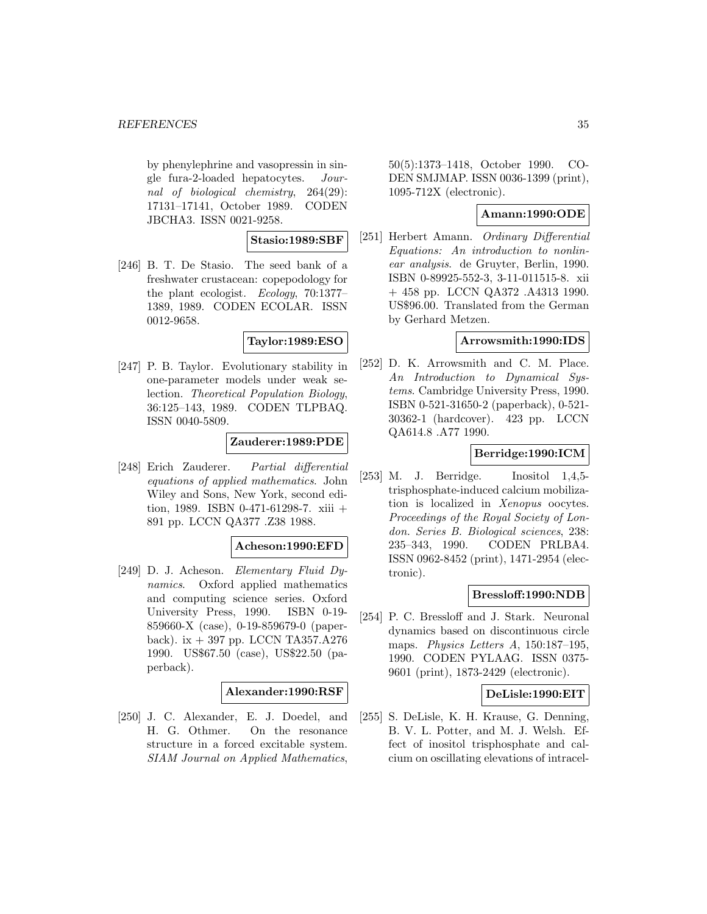by phenylephrine and vasopressin in single fura-2-loaded hepatocytes. Journal of biological chemistry, 264(29): 17131–17141, October 1989. CODEN JBCHA3. ISSN 0021-9258.

### **Stasio:1989:SBF**

[246] B. T. De Stasio. The seed bank of a freshwater crustacean: copepodology for the plant ecologist. Ecology, 70:1377– 1389, 1989. CODEN ECOLAR. ISSN 0012-9658.

# **Taylor:1989:ESO**

[247] P. B. Taylor. Evolutionary stability in one-parameter models under weak selection. Theoretical Population Biology, 36:125–143, 1989. CODEN TLPBAQ. ISSN 0040-5809.

# **Zauderer:1989:PDE**

[248] Erich Zauderer. Partial differential equations of applied mathematics. John Wiley and Sons, New York, second edition, 1989. ISBN 0-471-61298-7. xiii + 891 pp. LCCN QA377 .Z38 1988.

#### **Acheson:1990:EFD**

[249] D. J. Acheson. Elementary Fluid Dynamics. Oxford applied mathematics and computing science series. Oxford University Press, 1990. ISBN 0-19-859660-X (case), 0-19-859679-0 (paperback). ix  $+$  397 pp. LCCN TA357.A276 1990. US\$67.50 (case), US\$22.50 (paperback).

# **Alexander:1990:RSF**

[250] J. C. Alexander, E. J. Doedel, and H. G. Othmer. On the resonance structure in a forced excitable system. SIAM Journal on Applied Mathematics,

50(5):1373–1418, October 1990. CO-DEN SMJMAP. ISSN 0036-1399 (print), 1095-712X (electronic).

# **Amann:1990:ODE**

[251] Herbert Amann. Ordinary Differential Equations: An introduction to nonlinear analysis. de Gruyter, Berlin, 1990. ISBN 0-89925-552-3, 3-11-011515-8. xii + 458 pp. LCCN QA372 .A4313 1990. US\$96.00. Translated from the German by Gerhard Metzen.

### **Arrowsmith:1990:IDS**

[252] D. K. Arrowsmith and C. M. Place. An Introduction to Dynamical Systems. Cambridge University Press, 1990. ISBN 0-521-31650-2 (paperback), 0-521- 30362-1 (hardcover). 423 pp. LCCN QA614.8 .A77 1990.

#### **Berridge:1990:ICM**

[253] M. J. Berridge. Inositol 1,4,5 trisphosphate-induced calcium mobilization is localized in Xenopus oocytes. Proceedings of the Royal Society of London. Series B. Biological sciences, 238: 235–343, 1990. CODEN PRLBA4. ISSN 0962-8452 (print), 1471-2954 (electronic).

### **Bressloff:1990:NDB**

[254] P. C. Bressloff and J. Stark. Neuronal dynamics based on discontinuous circle maps. *Physics Letters A*, 150:187-195, 1990. CODEN PYLAAG. ISSN 0375- 9601 (print), 1873-2429 (electronic).

#### **DeLisle:1990:EIT**

[255] S. DeLisle, K. H. Krause, G. Denning, B. V. L. Potter, and M. J. Welsh. Effect of inositol trisphosphate and calcium on oscillating elevations of intracel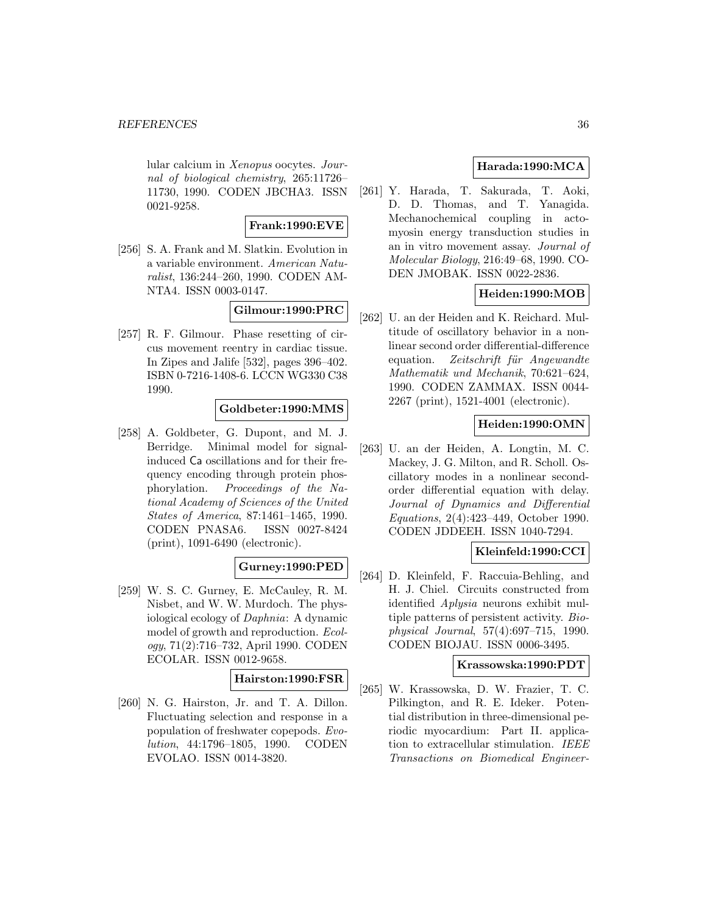lular calcium in Xenopus oocytes. Journal of biological chemistry, 265:11726– 11730, 1990. CODEN JBCHA3. ISSN 0021-9258.

# **Frank:1990:EVE**

[256] S. A. Frank and M. Slatkin. Evolution in a variable environment. American Naturalist, 136:244–260, 1990. CODEN AM-NTA4. ISSN 0003-0147.

# **Gilmour:1990:PRC**

[257] R. F. Gilmour. Phase resetting of circus movement reentry in cardiac tissue. In Zipes and Jalife [532], pages 396–402. ISBN 0-7216-1408-6. LCCN WG330 C38 1990.

# **Goldbeter:1990:MMS**

[258] A. Goldbeter, G. Dupont, and M. J. Berridge. Minimal model for signalinduced Ca oscillations and for their frequency encoding through protein phosphorylation. Proceedings of the National Academy of Sciences of the United States of America, 87:1461–1465, 1990. CODEN PNASA6. ISSN 0027-8424 (print), 1091-6490 (electronic).

#### **Gurney:1990:PED**

[259] W. S. C. Gurney, E. McCauley, R. M. Nisbet, and W. W. Murdoch. The physiological ecology of Daphnia: A dynamic model of growth and reproduction. Ecology, 71(2):716–732, April 1990. CODEN ECOLAR. ISSN 0012-9658.

#### **Hairston:1990:FSR**

[260] N. G. Hairston, Jr. and T. A. Dillon. Fluctuating selection and response in a population of freshwater copepods. Evolution, 44:1796–1805, 1990. CODEN EVOLAO. ISSN 0014-3820.

# **Harada:1990:MCA**

[261] Y. Harada, T. Sakurada, T. Aoki, D. D. Thomas, and T. Yanagida. Mechanochemical coupling in actomyosin energy transduction studies in an in vitro movement assay. Journal of Molecular Biology, 216:49–68, 1990. CO-DEN JMOBAK. ISSN 0022-2836.

# **Heiden:1990:MOB**

[262] U. an der Heiden and K. Reichard. Multitude of oscillatory behavior in a nonlinear second order differential-difference equation. Zeitschrift für Angewandte Mathematik und Mechanik, 70:621–624, 1990. CODEN ZAMMAX. ISSN 0044- 2267 (print), 1521-4001 (electronic).

# **Heiden:1990:OMN**

[263] U. an der Heiden, A. Longtin, M. C. Mackey, J. G. Milton, and R. Scholl. Oscillatory modes in a nonlinear secondorder differential equation with delay. Journal of Dynamics and Differential Equations, 2(4):423–449, October 1990. CODEN JDDEEH. ISSN 1040-7294.

# **Kleinfeld:1990:CCI**

[264] D. Kleinfeld, F. Raccuia-Behling, and H. J. Chiel. Circuits constructed from identified Aplysia neurons exhibit multiple patterns of persistent activity. Biophysical Journal, 57(4):697–715, 1990. CODEN BIOJAU. ISSN 0006-3495.

#### **Krassowska:1990:PDT**

[265] W. Krassowska, D. W. Frazier, T. C. Pilkington, and R. E. Ideker. Potential distribution in three-dimensional periodic myocardium: Part II. application to extracellular stimulation. IEEE Transactions on Biomedical Engineer-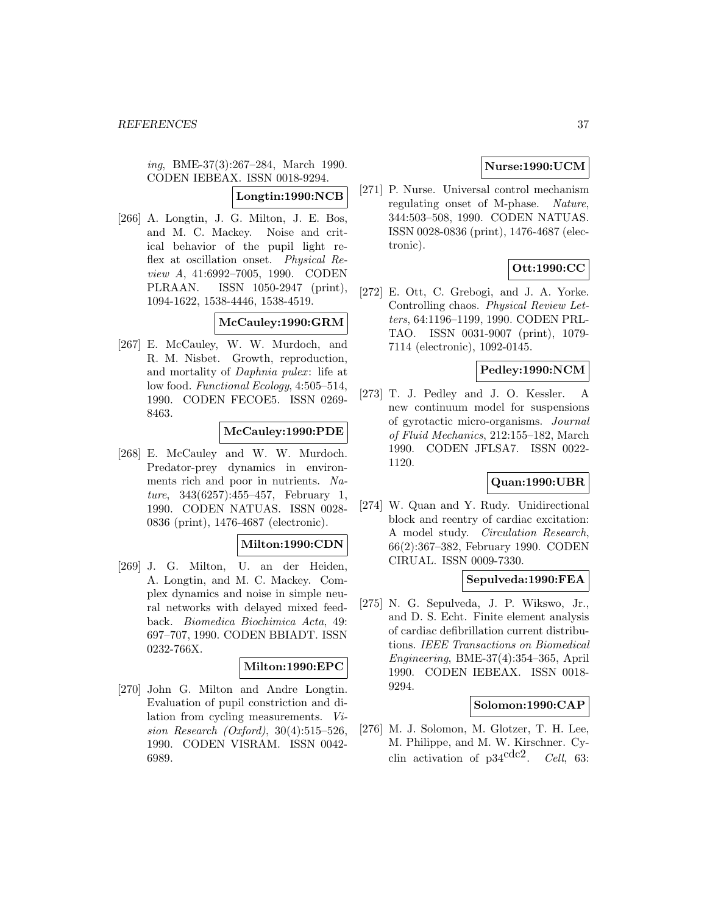ing, BME-37(3):267–284, March 1990. CODEN IEBEAX. ISSN 0018-9294.

# **Longtin:1990:NCB**

[266] A. Longtin, J. G. Milton, J. E. Bos, and M. C. Mackey. Noise and critical behavior of the pupil light reflex at oscillation onset. Physical Review A, 41:6992–7005, 1990. CODEN PLRAAN. ISSN 1050-2947 (print), 1094-1622, 1538-4446, 1538-4519.

# **McCauley:1990:GRM**

[267] E. McCauley, W. W. Murdoch, and R. M. Nisbet. Growth, reproduction, and mortality of *Daphnia pulex*: life at low food. Functional Ecology, 4:505–514, 1990. CODEN FECOE5. ISSN 0269- 8463.

# **McCauley:1990:PDE**

[268] E. McCauley and W. W. Murdoch. Predator-prey dynamics in environments rich and poor in nutrients. Nature, 343(6257):455–457, February 1, 1990. CODEN NATUAS. ISSN 0028- 0836 (print), 1476-4687 (electronic).

#### **Milton:1990:CDN**

[269] J. G. Milton, U. an der Heiden, A. Longtin, and M. C. Mackey. Complex dynamics and noise in simple neural networks with delayed mixed feedback. Biomedica Biochimica Acta, 49: 697–707, 1990. CODEN BBIADT. ISSN 0232-766X.

# **Milton:1990:EPC**

[270] John G. Milton and Andre Longtin. Evaluation of pupil constriction and dilation from cycling measurements. Vision Research (Oxford), 30(4):515–526, 1990. CODEN VISRAM. ISSN 0042- 6989.

# **Nurse:1990:UCM**

[271] P. Nurse. Universal control mechanism regulating onset of M-phase. Nature, 344:503–508, 1990. CODEN NATUAS. ISSN 0028-0836 (print), 1476-4687 (electronic).

# **Ott:1990:CC**

[272] E. Ott, C. Grebogi, and J. A. Yorke. Controlling chaos. Physical Review Letters, 64:1196–1199, 1990. CODEN PRL-TAO. ISSN 0031-9007 (print), 1079- 7114 (electronic), 1092-0145.

# **Pedley:1990:NCM**

[273] T. J. Pedley and J. O. Kessler. A new continuum model for suspensions of gyrotactic micro-organisms. Journal of Fluid Mechanics, 212:155–182, March 1990. CODEN JFLSA7. ISSN 0022- 1120.

# **Quan:1990:UBR**

[274] W. Quan and Y. Rudy. Unidirectional block and reentry of cardiac excitation: A model study. Circulation Research, 66(2):367–382, February 1990. CODEN CIRUAL. ISSN 0009-7330.

# **Sepulveda:1990:FEA**

[275] N. G. Sepulveda, J. P. Wikswo, Jr., and D. S. Echt. Finite element analysis of cardiac defibrillation current distributions. IEEE Transactions on Biomedical Engineering, BME-37(4):354–365, April 1990. CODEN IEBEAX. ISSN 0018- 9294.

#### **Solomon:1990:CAP**

[276] M. J. Solomon, M. Glotzer, T. H. Lee, M. Philippe, and M. W. Kirschner. Cyclin activation of  $p34^{\text{cdc2}}$ . Cell, 63: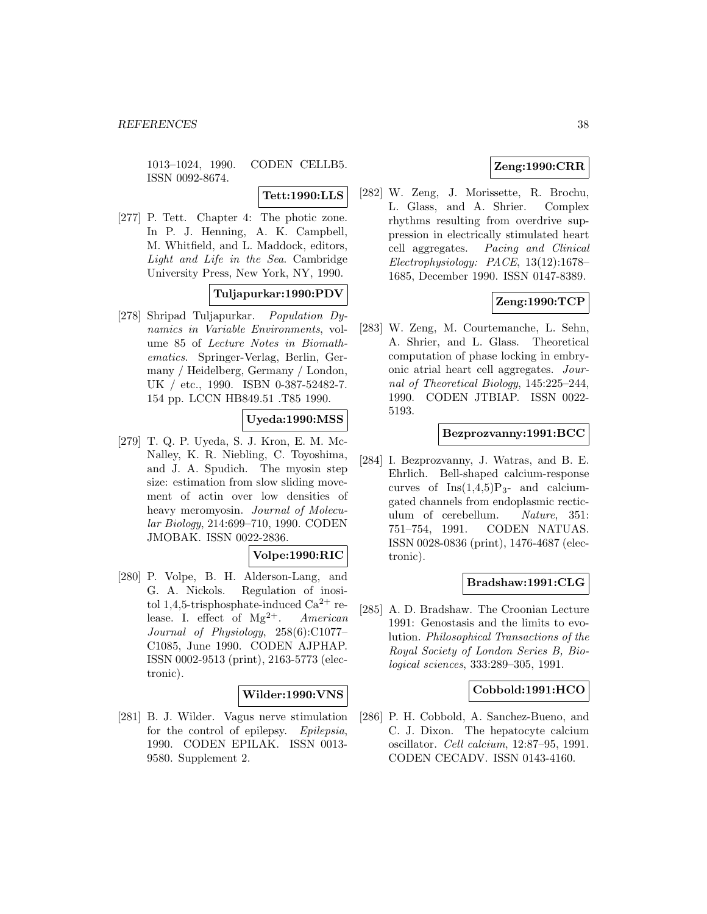1013–1024, 1990. CODEN CELLB5. ISSN 0092-8674.

### **Tett:1990:LLS**

[277] P. Tett. Chapter 4: The photic zone. In P. J. Henning, A. K. Campbell, M. Whitfield, and L. Maddock, editors, Light and Life in the Sea. Cambridge University Press, New York, NY, 1990.

# **Tuljapurkar:1990:PDV**

[278] Shripad Tuljapurkar. Population Dynamics in Variable Environments, volume 85 of Lecture Notes in Biomathematics. Springer-Verlag, Berlin, Germany / Heidelberg, Germany / London, UK / etc., 1990. ISBN 0-387-52482-7. 154 pp. LCCN HB849.51 .T85 1990.

# **Uyeda:1990:MSS**

[279] T. Q. P. Uyeda, S. J. Kron, E. M. Mc-Nalley, K. R. Niebling, C. Toyoshima, and J. A. Spudich. The myosin step size: estimation from slow sliding movement of actin over low densities of heavy meromyosin. Journal of Molecular Biology, 214:699–710, 1990. CODEN JMOBAK. ISSN 0022-2836.

# **Volpe:1990:RIC**

[280] P. Volpe, B. H. Alderson-Lang, and G. A. Nickols. Regulation of inositol 1,4,5-trisphosphate-induced  $Ca^{2+}$  release. I. effect of  $Mg^{2+}$ . American Journal of Physiology, 258(6):C1077– C1085, June 1990. CODEN AJPHAP. ISSN 0002-9513 (print), 2163-5773 (electronic).

#### **Wilder:1990:VNS**

[281] B. J. Wilder. Vagus nerve stimulation for the control of epilepsy. Epilepsia, 1990. CODEN EPILAK. ISSN 0013- 9580. Supplement 2.

# **Zeng:1990:CRR**

[282] W. Zeng, J. Morissette, R. Brochu, L. Glass, and A. Shrier. Complex rhythms resulting from overdrive suppression in electrically stimulated heart cell aggregates. Pacing and Clinical Electrophysiology: PACE, 13(12):1678– 1685, December 1990. ISSN 0147-8389.

# **Zeng:1990:TCP**

[283] W. Zeng, M. Courtemanche, L. Sehn, A. Shrier, and L. Glass. Theoretical computation of phase locking in embryonic atrial heart cell aggregates. Journal of Theoretical Biology, 145:225–244, 1990. CODEN JTBIAP. ISSN 0022- 5193.

#### **Bezprozvanny:1991:BCC**

[284] I. Bezprozvanny, J. Watras, and B. E. Ehrlich. Bell-shaped calcium-response curves of  $Ins(1,4,5)P_{3}$ - and calciumgated channels from endoplasmic recticulum of cerebellum. Nature, 351: 751–754, 1991. CODEN NATUAS. ISSN 0028-0836 (print), 1476-4687 (electronic).

# **Bradshaw:1991:CLG**

[285] A. D. Bradshaw. The Croonian Lecture 1991: Genostasis and the limits to evolution. Philosophical Transactions of the Royal Society of London Series B, Biological sciences, 333:289–305, 1991.

#### **Cobbold:1991:HCO**

[286] P. H. Cobbold, A. Sanchez-Bueno, and C. J. Dixon. The hepatocyte calcium oscillator. Cell calcium, 12:87–95, 1991. CODEN CECADV. ISSN 0143-4160.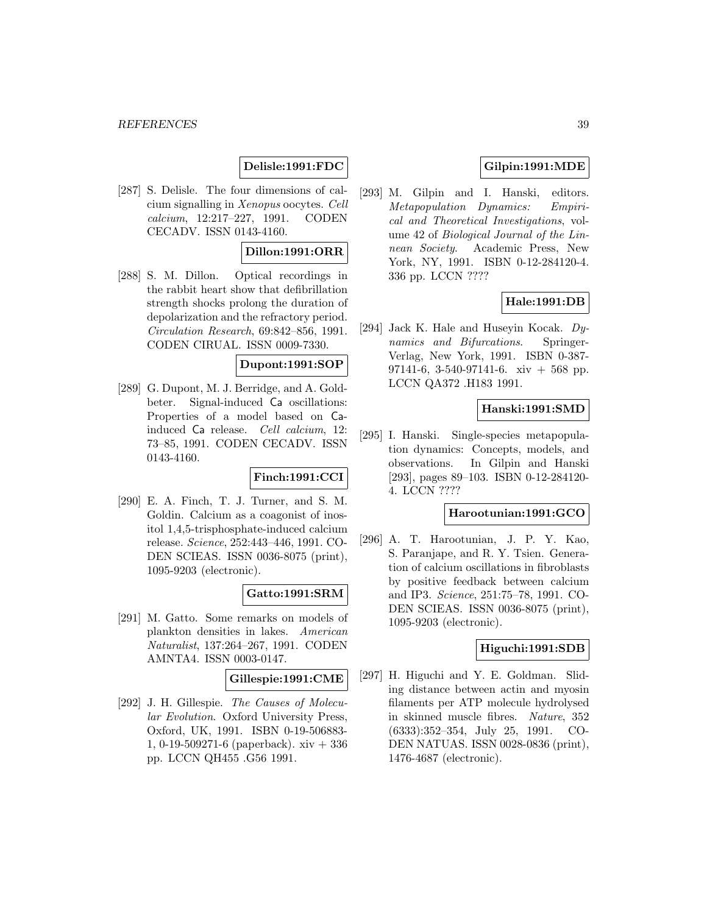# **Delisle:1991:FDC**

[287] S. Delisle. The four dimensions of calcium signalling in Xenopus oocytes. Cell calcium, 12:217–227, 1991. CODEN CECADV. ISSN 0143-4160.

# **Dillon:1991:ORR**

[288] S. M. Dillon. Optical recordings in the rabbit heart show that defibrillation strength shocks prolong the duration of depolarization and the refractory period. Circulation Research, 69:842–856, 1991. CODEN CIRUAL. ISSN 0009-7330.

#### **Dupont:1991:SOP**

[289] G. Dupont, M. J. Berridge, and A. Goldbeter. Signal-induced Ca oscillations: Properties of a model based on Cainduced Ca release. Cell calcium, 12: 73–85, 1991. CODEN CECADV. ISSN 0143-4160.

# **Finch:1991:CCI**

[290] E. A. Finch, T. J. Turner, and S. M. Goldin. Calcium as a coagonist of inositol 1,4,5-trisphosphate-induced calcium release. Science, 252:443–446, 1991. CO-DEN SCIEAS. ISSN 0036-8075 (print), 1095-9203 (electronic).

# **Gatto:1991:SRM**

[291] M. Gatto. Some remarks on models of plankton densities in lakes. American Naturalist, 137:264–267, 1991. CODEN AMNTA4. ISSN 0003-0147.

#### **Gillespie:1991:CME**

[292] J. H. Gillespie. The Causes of Molecular Evolution. Oxford University Press, Oxford, UK, 1991. ISBN 0-19-506883- 1, 0-19-509271-6 (paperback). xiv + 336 pp. LCCN QH455 .G56 1991.

# **Gilpin:1991:MDE**

[293] M. Gilpin and I. Hanski, editors. Metapopulation Dynamics: Empirical and Theoretical Investigations, volume 42 of Biological Journal of the Linnean Society. Academic Press, New York, NY, 1991. ISBN 0-12-284120-4. 336 pp. LCCN ????

#### **Hale:1991:DB**

[294] Jack K. Hale and Huseyin Kocak. Dynamics and Bifurcations. Springer-Verlag, New York, 1991. ISBN 0-387- 97141-6, 3-540-97141-6. xiv  $+$  568 pp. LCCN QA372 .H183 1991.

# **Hanski:1991:SMD**

[295] I. Hanski. Single-species metapopulation dynamics: Concepts, models, and observations. In Gilpin and Hanski [293], pages 89–103. ISBN 0-12-284120- 4. LCCN ????

# **Harootunian:1991:GCO**

[296] A. T. Harootunian, J. P. Y. Kao, S. Paranjape, and R. Y. Tsien. Generation of calcium oscillations in fibroblasts by positive feedback between calcium and IP3. Science, 251:75–78, 1991. CO-DEN SCIEAS. ISSN 0036-8075 (print), 1095-9203 (electronic).

#### **Higuchi:1991:SDB**

[297] H. Higuchi and Y. E. Goldman. Sliding distance between actin and myosin filaments per ATP molecule hydrolysed in skinned muscle fibres. Nature, 352 (6333):352–354, July 25, 1991. CO-DEN NATUAS. ISSN 0028-0836 (print), 1476-4687 (electronic).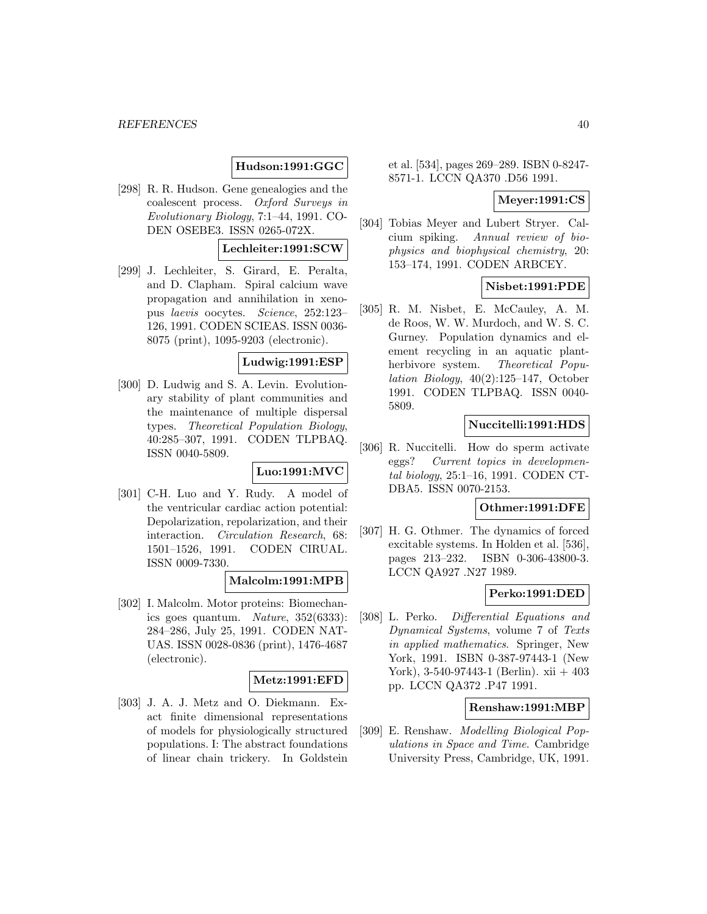# **Hudson:1991:GGC**

[298] R. R. Hudson. Gene genealogies and the coalescent process. Oxford Surveys in Evolutionary Biology, 7:1–44, 1991. CO-DEN OSEBE3. ISSN 0265-072X.

# **Lechleiter:1991:SCW**

[299] J. Lechleiter, S. Girard, E. Peralta, and D. Clapham. Spiral calcium wave propagation and annihilation in xenopus laevis oocytes. Science, 252:123– 126, 1991. CODEN SCIEAS. ISSN 0036- 8075 (print), 1095-9203 (electronic).

# **Ludwig:1991:ESP**

[300] D. Ludwig and S. A. Levin. Evolutionary stability of plant communities and the maintenance of multiple dispersal types. Theoretical Population Biology, 40:285–307, 1991. CODEN TLPBAQ. ISSN 0040-5809.

# **Luo:1991:MVC**

[301] C-H. Luo and Y. Rudy. A model of the ventricular cardiac action potential: Depolarization, repolarization, and their interaction. Circulation Research, 68: 1501–1526, 1991. CODEN CIRUAL. ISSN 0009-7330.

# **Malcolm:1991:MPB**

[302] I. Malcolm. Motor proteins: Biomechanics goes quantum. Nature, 352(6333): 284–286, July 25, 1991. CODEN NAT-UAS. ISSN 0028-0836 (print), 1476-4687 (electronic).

#### **Metz:1991:EFD**

[303] J. A. J. Metz and O. Diekmann. Exact finite dimensional representations of models for physiologically structured populations. I: The abstract foundations of linear chain trickery. In Goldstein

et al. [534], pages 269–289. ISBN 0-8247- 8571-1. LCCN QA370 .D56 1991.

### **Meyer:1991:CS**

[304] Tobias Meyer and Lubert Stryer. Calcium spiking. Annual review of biophysics and biophysical chemistry, 20: 153–174, 1991. CODEN ARBCEY.

# **Nisbet:1991:PDE**

[305] R. M. Nisbet, E. McCauley, A. M. de Roos, W. W. Murdoch, and W. S. C. Gurney. Population dynamics and element recycling in an aquatic plantherbivore system. Theoretical Population Biology, 40(2):125–147, October 1991. CODEN TLPBAQ. ISSN 0040- 5809.

### **Nuccitelli:1991:HDS**

[306] R. Nuccitelli. How do sperm activate eggs? Current topics in developmental biology, 25:1–16, 1991. CODEN CT-DBA5. ISSN 0070-2153.

### **Othmer:1991:DFE**

[307] H. G. Othmer. The dynamics of forced excitable systems. In Holden et al. [536], pages 213–232. ISBN 0-306-43800-3. LCCN QA927 .N27 1989.

#### **Perko:1991:DED**

[308] L. Perko. Differential Equations and Dynamical Systems, volume 7 of Texts in applied mathematics. Springer, New York, 1991. ISBN 0-387-97443-1 (New York), 3-540-97443-1 (Berlin). xii + 403 pp. LCCN QA372 .P47 1991.

### **Renshaw:1991:MBP**

[309] E. Renshaw. Modelling Biological Populations in Space and Time. Cambridge University Press, Cambridge, UK, 1991.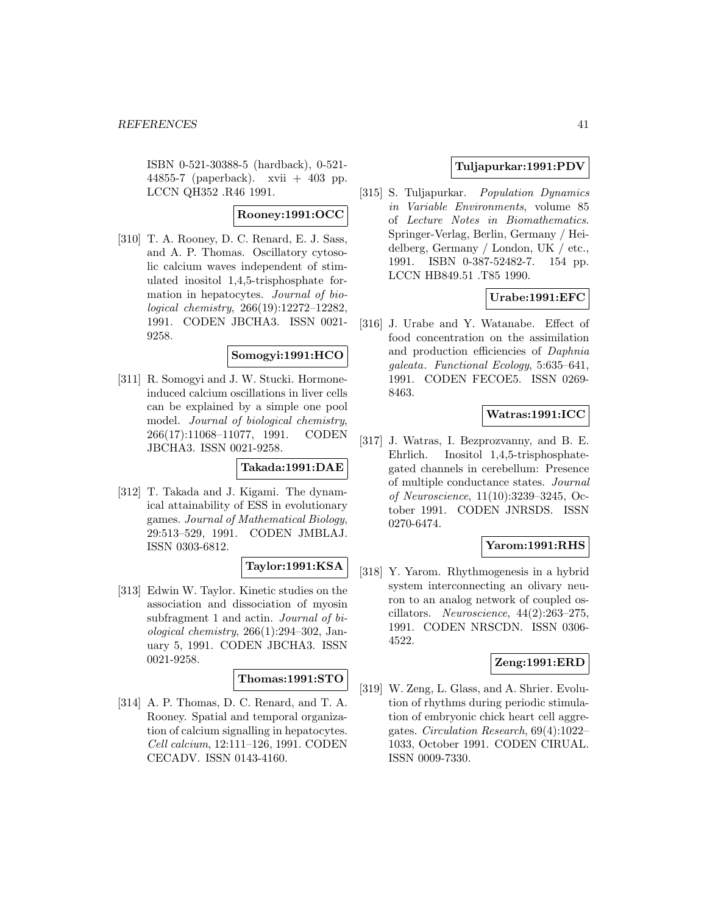ISBN 0-521-30388-5 (hardback), 0-521- 44855-7 (paperback). xvii + 403 pp. LCCN QH352 .R46 1991.

# **Rooney:1991:OCC**

[310] T. A. Rooney, D. C. Renard, E. J. Sass, and A. P. Thomas. Oscillatory cytosolic calcium waves independent of stimulated inositol 1,4,5-trisphosphate formation in hepatocytes. Journal of biological chemistry, 266(19):12272–12282, 1991. CODEN JBCHA3. ISSN 0021- 9258.

#### **Somogyi:1991:HCO**

[311] R. Somogyi and J. W. Stucki. Hormoneinduced calcium oscillations in liver cells can be explained by a simple one pool model. Journal of biological chemistry, 266(17):11068–11077, 1991. CODEN JBCHA3. ISSN 0021-9258.

# **Takada:1991:DAE**

[312] T. Takada and J. Kigami. The dynamical attainability of ESS in evolutionary games. Journal of Mathematical Biology, 29:513–529, 1991. CODEN JMBLAJ. ISSN 0303-6812.

# **Taylor:1991:KSA**

[313] Edwin W. Taylor. Kinetic studies on the association and dissociation of myosin subfragment 1 and actin. Journal of biological chemistry, 266(1):294–302, January 5, 1991. CODEN JBCHA3. ISSN 0021-9258.

# **Thomas:1991:STO**

[314] A. P. Thomas, D. C. Renard, and T. A. Rooney. Spatial and temporal organization of calcium signalling in hepatocytes. Cell calcium, 12:111–126, 1991. CODEN CECADV. ISSN 0143-4160.

# **Tuljapurkar:1991:PDV**

[315] S. Tuljapurkar. Population Dynamics in Variable Environments, volume 85 of Lecture Notes in Biomathematics. Springer-Verlag, Berlin, Germany / Heidelberg, Germany / London, UK / etc., 1991. ISBN 0-387-52482-7. 154 pp. LCCN HB849.51 .T85 1990.

# **Urabe:1991:EFC**

[316] J. Urabe and Y. Watanabe. Effect of food concentration on the assimilation and production efficiencies of Daphnia galeata. Functional Ecology, 5:635–641, 1991. CODEN FECOE5. ISSN 0269- 8463.

### **Watras:1991:ICC**

[317] J. Watras, I. Bezprozvanny, and B. E. Ehrlich. Inositol 1,4,5-trisphosphategated channels in cerebellum: Presence of multiple conductance states. Journal of Neuroscience, 11(10):3239–3245, October 1991. CODEN JNRSDS. ISSN 0270-6474.

# **Yarom:1991:RHS**

[318] Y. Yarom. Rhythmogenesis in a hybrid system interconnecting an olivary neuron to an analog network of coupled oscillators. Neuroscience, 44(2):263–275, 1991. CODEN NRSCDN. ISSN 0306- 4522.

# **Zeng:1991:ERD**

[319] W. Zeng, L. Glass, and A. Shrier. Evolution of rhythms during periodic stimulation of embryonic chick heart cell aggregates. Circulation Research, 69(4):1022– 1033, October 1991. CODEN CIRUAL. ISSN 0009-7330.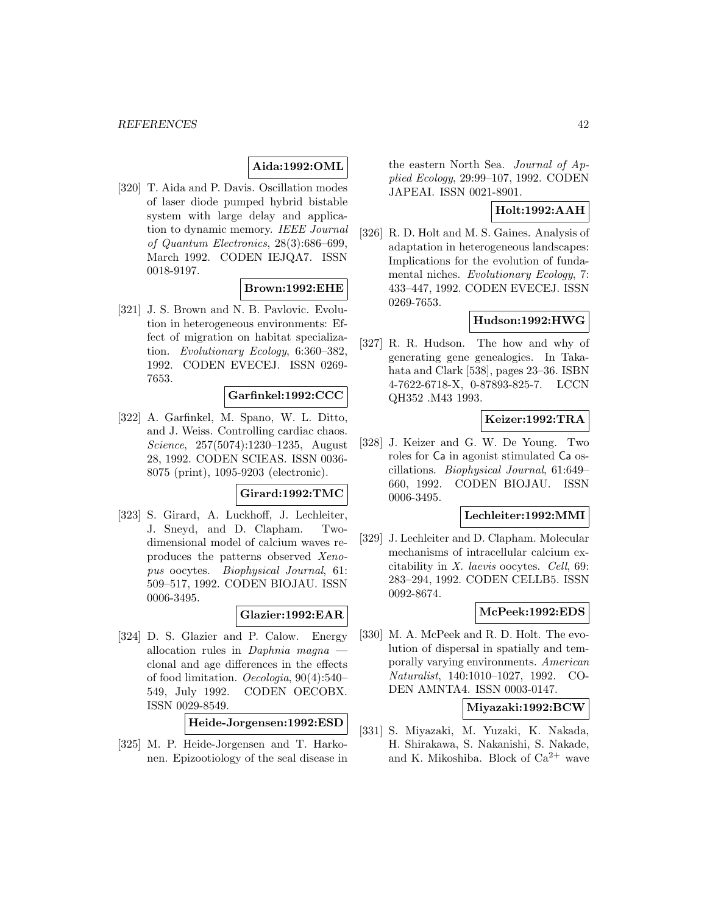# **Aida:1992:OML**

[320] T. Aida and P. Davis. Oscillation modes of laser diode pumped hybrid bistable system with large delay and application to dynamic memory. IEEE Journal of Quantum Electronics, 28(3):686–699, March 1992. CODEN IEJQA7. ISSN 0018-9197.

# **Brown:1992:EHE**

[321] J. S. Brown and N. B. Pavlovic. Evolution in heterogeneous environments: Effect of migration on habitat specialization. Evolutionary Ecology, 6:360–382, 1992. CODEN EVECEJ. ISSN 0269- 7653.

# **Garfinkel:1992:CCC**

[322] A. Garfinkel, M. Spano, W. L. Ditto, and J. Weiss. Controlling cardiac chaos. Science, 257(5074):1230–1235, August 28, 1992. CODEN SCIEAS. ISSN 0036- 8075 (print), 1095-9203 (electronic).

# **Girard:1992:TMC**

[323] S. Girard, A. Luckhoff, J. Lechleiter, J. Sneyd, and D. Clapham. Twodimensional model of calcium waves reproduces the patterns observed Xenopus oocytes. Biophysical Journal, 61: 509–517, 1992. CODEN BIOJAU. ISSN 0006-3495.

#### **Glazier:1992:EAR**

[324] D. S. Glazier and P. Calow. Energy allocation rules in *Daphnia magna* clonal and age differences in the effects of food limitation. Oecologia, 90(4):540– 549, July 1992. CODEN OECOBX. ISSN 0029-8549.

# **Heide-Jorgensen:1992:ESD**

[325] M. P. Heide-Jorgensen and T. Harkonen. Epizootiology of the seal disease in the eastern North Sea. Journal of Applied Ecology, 29:99–107, 1992. CODEN JAPEAI. ISSN 0021-8901.

# **Holt:1992:AAH**

[326] R. D. Holt and M. S. Gaines. Analysis of adaptation in heterogeneous landscapes: Implications for the evolution of fundamental niches. Evolutionary Ecology, 7: 433–447, 1992. CODEN EVECEJ. ISSN 0269-7653.

#### **Hudson:1992:HWG**

[327] R. R. Hudson. The how and why of generating gene genealogies. In Takahata and Clark [538], pages 23–36. ISBN 4-7622-6718-X, 0-87893-825-7. LCCN QH352 .M43 1993.

# **Keizer:1992:TRA**

[328] J. Keizer and G. W. De Young. Two roles for Ca in agonist stimulated Ca oscillations. Biophysical Journal, 61:649– 660, 1992. CODEN BIOJAU. ISSN 0006-3495.

# **Lechleiter:1992:MMI**

[329] J. Lechleiter and D. Clapham. Molecular mechanisms of intracellular calcium excitability in X. laevis oocytes. Cell, 69: 283–294, 1992. CODEN CELLB5. ISSN 0092-8674.

# **McPeek:1992:EDS**

[330] M. A. McPeek and R. D. Holt. The evolution of dispersal in spatially and temporally varying environments. American Naturalist, 140:1010–1027, 1992. CO-DEN AMNTA4. ISSN 0003-0147.

### **Miyazaki:1992:BCW**

[331] S. Miyazaki, M. Yuzaki, K. Nakada, H. Shirakawa, S. Nakanishi, S. Nakade, and K. Mikoshiba. Block of  $Ca^{2+}$  wave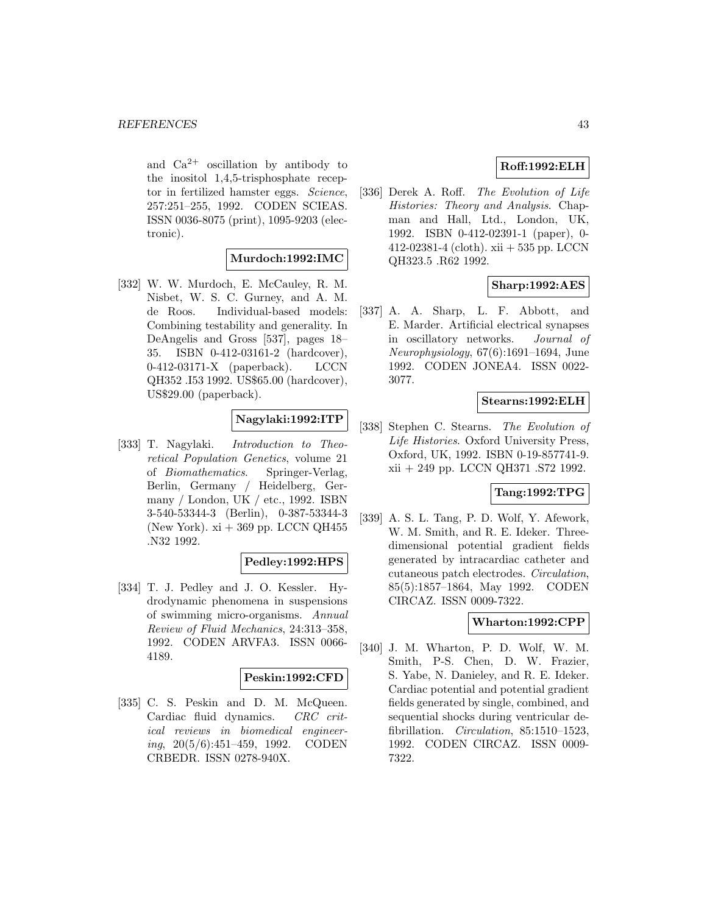and  $Ca^{2+}$  oscillation by antibody to the inositol 1,4,5-trisphosphate receptor in fertilized hamster eggs. Science, 257:251–255, 1992. CODEN SCIEAS. ISSN 0036-8075 (print), 1095-9203 (electronic).

# **Murdoch:1992:IMC**

[332] W. W. Murdoch, E. McCauley, R. M. Nisbet, W. S. C. Gurney, and A. M. de Roos. Individual-based models: Combining testability and generality. In DeAngelis and Gross [537], pages 18– 35. ISBN 0-412-03161-2 (hardcover), 0-412-03171-X (paperback). LCCN QH352 .I53 1992. US\$65.00 (hardcover), US\$29.00 (paperback).

# **Nagylaki:1992:ITP**

[333] T. Nagylaki. Introduction to Theoretical Population Genetics, volume 21 of Biomathematics. Springer-Verlag, Berlin, Germany / Heidelberg, Germany / London, UK / etc., 1992. ISBN 3-540-53344-3 (Berlin), 0-387-53344-3 (New York).  $xi + 369$  pp. LCCN QH455 .N32 1992.

# **Pedley:1992:HPS**

[334] T. J. Pedley and J. O. Kessler. Hydrodynamic phenomena in suspensions of swimming micro-organisms. Annual Review of Fluid Mechanics, 24:313–358, 1992. CODEN ARVFA3. ISSN 0066- 4189.

#### **Peskin:1992:CFD**

[335] C. S. Peskin and D. M. McQueen. Cardiac fluid dynamics. CRC critical reviews in biomedical engineering, 20(5/6):451–459, 1992. CODEN CRBEDR. ISSN 0278-940X.

# **Roff:1992:ELH**

[336] Derek A. Roff. The Evolution of Life Histories: Theory and Analysis. Chapman and Hall, Ltd., London, UK, 1992. ISBN 0-412-02391-1 (paper), 0- 412-02381-4 (cloth). xii + 535 pp. LCCN QH323.5 .R62 1992.

# **Sharp:1992:AES**

[337] A. A. Sharp, L. F. Abbott, and E. Marder. Artificial electrical synapses in oscillatory networks. Journal of Neurophysiology, 67(6):1691–1694, June 1992. CODEN JONEA4. ISSN 0022- 3077.

# **Stearns:1992:ELH**

[338] Stephen C. Stearns. The Evolution of Life Histories. Oxford University Press, Oxford, UK, 1992. ISBN 0-19-857741-9. xii + 249 pp. LCCN QH371 .S72 1992.

#### **Tang:1992:TPG**

[339] A. S. L. Tang, P. D. Wolf, Y. Afework, W. M. Smith, and R. E. Ideker. Threedimensional potential gradient fields generated by intracardiac catheter and cutaneous patch electrodes. Circulation, 85(5):1857–1864, May 1992. CODEN CIRCAZ. ISSN 0009-7322.

# **Wharton:1992:CPP**

[340] J. M. Wharton, P. D. Wolf, W. M. Smith, P-S. Chen, D. W. Frazier, S. Yabe, N. Danieley, and R. E. Ideker. Cardiac potential and potential gradient fields generated by single, combined, and sequential shocks during ventricular defibrillation. Circulation, 85:1510-1523, 1992. CODEN CIRCAZ. ISSN 0009- 7322.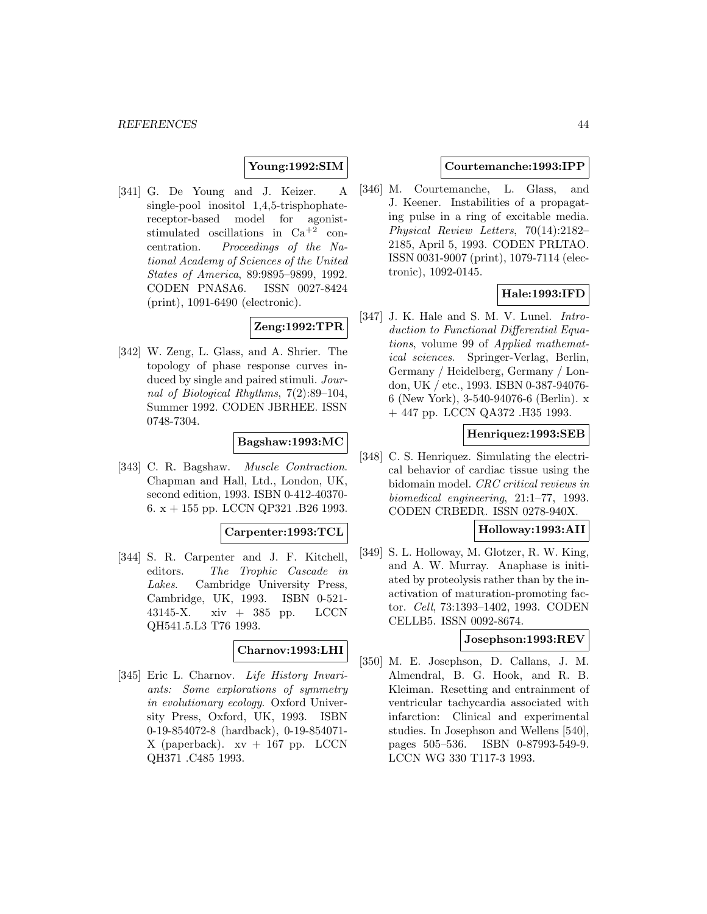# **Young:1992:SIM**

[341] G. De Young and J. Keizer. A single-pool inositol 1,4,5-trisphophatereceptor-based model for agoniststimulated oscillations in Ca+2 concentration. Proceedings of the National Academy of Sciences of the United States of America, 89:9895–9899, 1992. CODEN PNASA6. ISSN 0027-8424 (print), 1091-6490 (electronic).

#### **Zeng:1992:TPR**

[342] W. Zeng, L. Glass, and A. Shrier. The topology of phase response curves induced by single and paired stimuli. Journal of Biological Rhythms, 7(2):89–104, Summer 1992. CODEN JBRHEE. ISSN 0748-7304.

# **Bagshaw:1993:MC**

[343] C. R. Bagshaw. Muscle Contraction. Chapman and Hall, Ltd., London, UK, second edition, 1993. ISBN 0-412-40370- 6. x + 155 pp. LCCN QP321 .B26 1993.

#### **Carpenter:1993:TCL**

[344] S. R. Carpenter and J. F. Kitchell, editors. The Trophic Cascade in Lakes. Cambridge University Press, Cambridge, UK, 1993. ISBN 0-521- 43145-X. xiv + 385 pp. LCCN QH541.5.L3 T76 1993.

#### **Charnov:1993:LHI**

[345] Eric L. Charnov. Life History Invariants: Some explorations of symmetry in evolutionary ecology. Oxford University Press, Oxford, UK, 1993. ISBN 0-19-854072-8 (hardback), 0-19-854071- X (paperback).  $xy + 167$  pp. LCCN QH371 .C485 1993.

#### **Courtemanche:1993:IPP**

[346] M. Courtemanche, L. Glass, and J. Keener. Instabilities of a propagating pulse in a ring of excitable media. Physical Review Letters, 70(14):2182– 2185, April 5, 1993. CODEN PRLTAO. ISSN 0031-9007 (print), 1079-7114 (electronic), 1092-0145.

### **Hale:1993:IFD**

[347] J. K. Hale and S. M. V. Lunel. *Intro*duction to Functional Differential Equations, volume 99 of Applied mathematical sciences. Springer-Verlag, Berlin, Germany / Heidelberg, Germany / London, UK / etc., 1993. ISBN 0-387-94076- 6 (New York), 3-540-94076-6 (Berlin). x + 447 pp. LCCN QA372 .H35 1993.

#### **Henriquez:1993:SEB**

[348] C. S. Henriquez. Simulating the electrical behavior of cardiac tissue using the bidomain model. CRC critical reviews in biomedical engineering, 21:1–77, 1993. CODEN CRBEDR. ISSN 0278-940X.

#### **Holloway:1993:AII**

[349] S. L. Holloway, M. Glotzer, R. W. King, and A. W. Murray. Anaphase is initiated by proteolysis rather than by the inactivation of maturation-promoting factor. Cell, 73:1393–1402, 1993. CODEN CELLB5. ISSN 0092-8674.

### **Josephson:1993:REV**

[350] M. E. Josephson, D. Callans, J. M. Almendral, B. G. Hook, and R. B. Kleiman. Resetting and entrainment of ventricular tachycardia associated with infarction: Clinical and experimental studies. In Josephson and Wellens [540], pages 505–536. ISBN 0-87993-549-9. LCCN WG 330 T117-3 1993.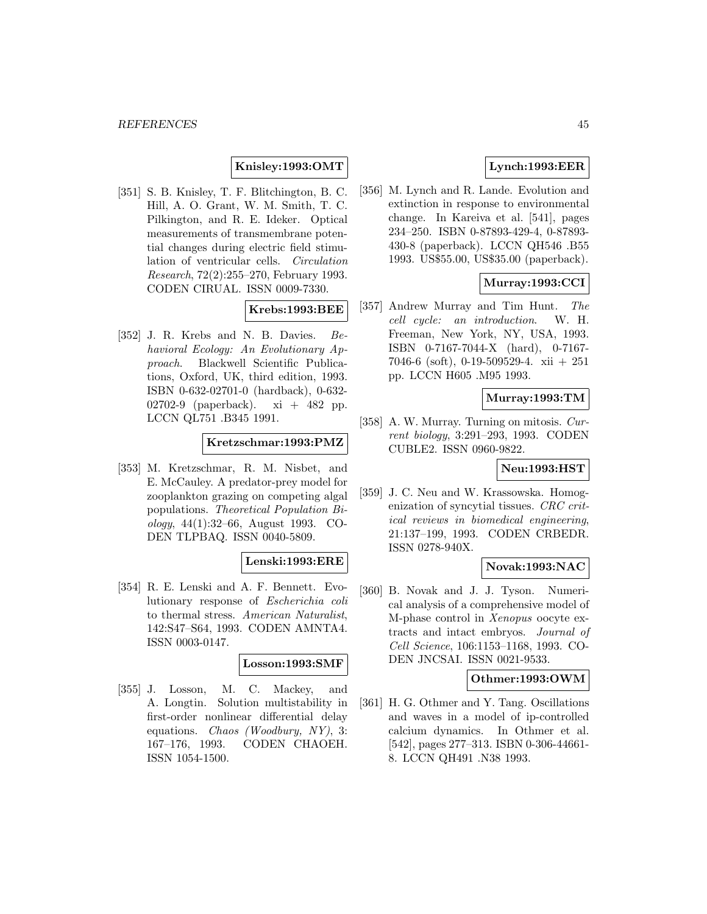# **Knisley:1993:OMT**

[351] S. B. Knisley, T. F. Blitchington, B. C. Hill, A. O. Grant, W. M. Smith, T. C. Pilkington, and R. E. Ideker. Optical measurements of transmembrane potential changes during electric field stimulation of ventricular cells. Circulation Research, 72(2):255–270, February 1993. CODEN CIRUAL. ISSN 0009-7330.

# **Krebs:1993:BEE**

[352] J. R. Krebs and N. B. Davies. Behavioral Ecology: An Evolutionary Approach. Blackwell Scientific Publications, Oxford, UK, third edition, 1993. ISBN 0-632-02701-0 (hardback), 0-632- 02702-9 (paperback).  $xi + 482$  pp. LCCN QL751 .B345 1991.

# **Kretzschmar:1993:PMZ**

[353] M. Kretzschmar, R. M. Nisbet, and E. McCauley. A predator-prey model for zooplankton grazing on competing algal populations. Theoretical Population Biology, 44(1):32–66, August 1993. CO-DEN TLPBAQ. ISSN 0040-5809.

#### **Lenski:1993:ERE**

[354] R. E. Lenski and A. F. Bennett. Evolutionary response of Escherichia coli to thermal stress. American Naturalist, 142:S47–S64, 1993. CODEN AMNTA4. ISSN 0003-0147.

#### **Losson:1993:SMF**

[355] J. Losson, M. C. Mackey, and A. Longtin. Solution multistability in first-order nonlinear differential delay equations. Chaos (Woodbury, NY), 3: 167–176, 1993. CODEN CHAOEH. ISSN 1054-1500.

# **Lynch:1993:EER**

[356] M. Lynch and R. Lande. Evolution and extinction in response to environmental change. In Kareiva et al. [541], pages 234–250. ISBN 0-87893-429-4, 0-87893- 430-8 (paperback). LCCN QH546 .B55 1993. US\$55.00, US\$35.00 (paperback).

# **Murray:1993:CCI**

[357] Andrew Murray and Tim Hunt. The cell cycle: an introduction. W. H. Freeman, New York, NY, USA, 1993. ISBN 0-7167-7044-X (hard), 0-7167- 7046-6 (soft), 0-19-509529-4. xii + 251 pp. LCCN H605 .M95 1993.

# **Murray:1993:TM**

[358] A. W. Murray. Turning on mitosis. Current biology, 3:291–293, 1993. CODEN CUBLE2. ISSN 0960-9822.

#### **Neu:1993:HST**

[359] J. C. Neu and W. Krassowska. Homogenization of syncytial tissues. CRC critical reviews in biomedical engineering, 21:137–199, 1993. CODEN CRBEDR. ISSN 0278-940X.

### **Novak:1993:NAC**

[360] B. Novak and J. J. Tyson. Numerical analysis of a comprehensive model of M-phase control in Xenopus oocyte extracts and intact embryos. Journal of Cell Science, 106:1153–1168, 1993. CO-DEN JNCSAI. ISSN 0021-9533.

#### **Othmer:1993:OWM**

[361] H. G. Othmer and Y. Tang. Oscillations and waves in a model of ip-controlled calcium dynamics. In Othmer et al. [542], pages 277–313. ISBN 0-306-44661- 8. LCCN QH491 .N38 1993.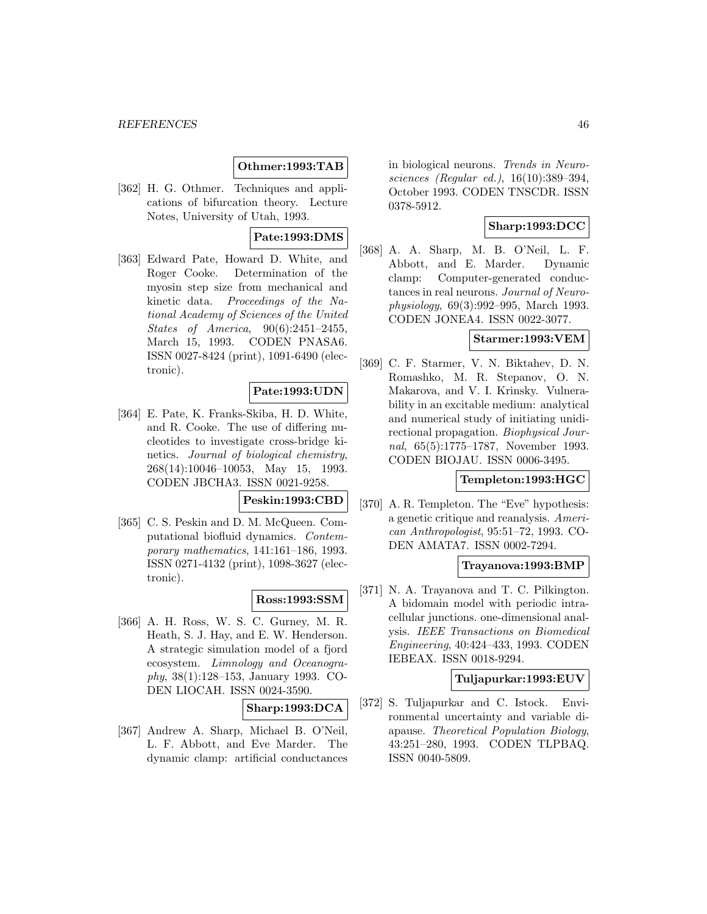### **Othmer:1993:TAB**

[362] H. G. Othmer. Techniques and applications of bifurcation theory. Lecture Notes, University of Utah, 1993.

#### **Pate:1993:DMS**

[363] Edward Pate, Howard D. White, and Roger Cooke. Determination of the myosin step size from mechanical and kinetic data. Proceedings of the National Academy of Sciences of the United States of America, 90(6):2451–2455, March 15, 1993. CODEN PNASA6. ISSN 0027-8424 (print), 1091-6490 (electronic).

#### **Pate:1993:UDN**

[364] E. Pate, K. Franks-Skiba, H. D. White, and R. Cooke. The use of differing nucleotides to investigate cross-bridge kinetics. Journal of biological chemistry, 268(14):10046–10053, May 15, 1993. CODEN JBCHA3. ISSN 0021-9258.

### **Peskin:1993:CBD**

[365] C. S. Peskin and D. M. McQueen. Computational biofluid dynamics. Contemporary mathematics, 141:161–186, 1993. ISSN 0271-4132 (print), 1098-3627 (electronic).

# **Ross:1993:SSM**

[366] A. H. Ross, W. S. C. Gurney, M. R. Heath, S. J. Hay, and E. W. Henderson. A strategic simulation model of a fjord ecosystem. Limnology and Oceanography, 38(1):128–153, January 1993. CO-DEN LIOCAH. ISSN 0024-3590.

#### **Sharp:1993:DCA**

[367] Andrew A. Sharp, Michael B. O'Neil, L. F. Abbott, and Eve Marder. The dynamic clamp: artificial conductances

in biological neurons. Trends in Neurosciences (Regular ed.), 16(10):389–394, October 1993. CODEN TNSCDR. ISSN 0378-5912.

# **Sharp:1993:DCC**

[368] A. A. Sharp, M. B. O'Neil, L. F. Abbott, and E. Marder. Dynamic clamp: Computer-generated conductances in real neurons. Journal of Neurophysiology, 69(3):992–995, March 1993. CODEN JONEA4. ISSN 0022-3077.

#### **Starmer:1993:VEM**

[369] C. F. Starmer, V. N. Biktahev, D. N. Romashko, M. R. Stepanov, O. N. Makarova, and V. I. Krinsky. Vulnerability in an excitable medium: analytical and numerical study of initiating unidirectional propagation. Biophysical Journal, 65(5):1775–1787, November 1993. CODEN BIOJAU. ISSN 0006-3495.

#### **Templeton:1993:HGC**

[370] A. R. Templeton. The "Eve" hypothesis: a genetic critique and reanalysis. American Anthropologist, 95:51–72, 1993. CO-DEN AMATA7. ISSN 0002-7294.

### **Trayanova:1993:BMP**

[371] N. A. Trayanova and T. C. Pilkington. A bidomain model with periodic intracellular junctions. one-dimensional analysis. IEEE Transactions on Biomedical Engineering, 40:424–433, 1993. CODEN IEBEAX. ISSN 0018-9294.

#### **Tuljapurkar:1993:EUV**

[372] S. Tuljapurkar and C. Istock. Environmental uncertainty and variable diapause. Theoretical Population Biology, 43:251–280, 1993. CODEN TLPBAQ. ISSN 0040-5809.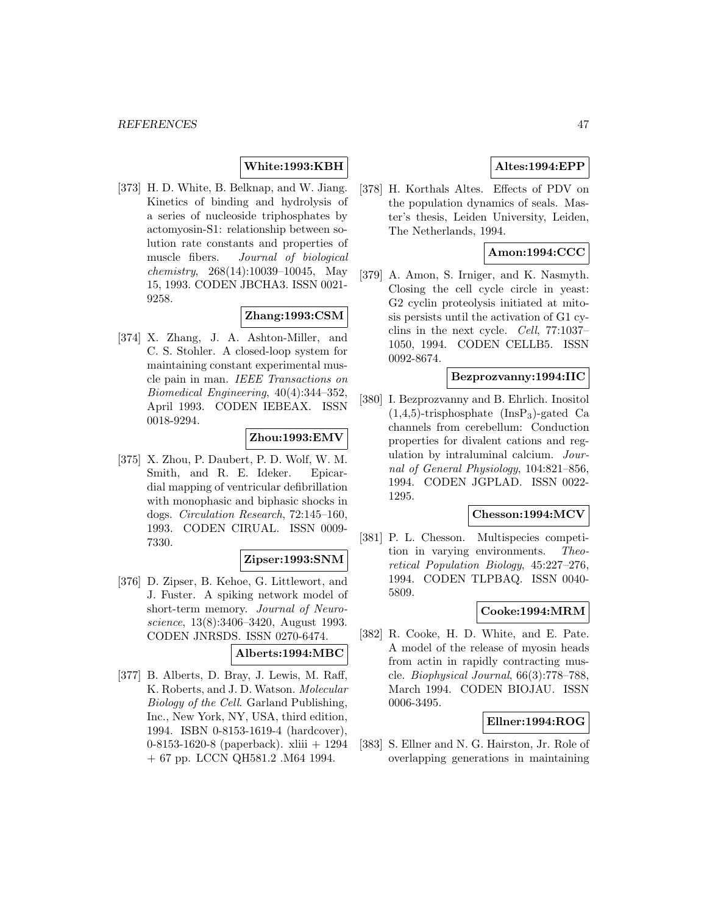# **White:1993:KBH**

[373] H. D. White, B. Belknap, and W. Jiang. Kinetics of binding and hydrolysis of a series of nucleoside triphosphates by actomyosin-S1: relationship between solution rate constants and properties of muscle fibers. Journal of biological chemistry, 268(14):10039–10045, May 15, 1993. CODEN JBCHA3. ISSN 0021- 9258.

# **Zhang:1993:CSM**

[374] X. Zhang, J. A. Ashton-Miller, and C. S. Stohler. A closed-loop system for maintaining constant experimental muscle pain in man. IEEE Transactions on Biomedical Engineering, 40(4):344–352, April 1993. CODEN IEBEAX. ISSN 0018-9294.

# **Zhou:1993:EMV**

[375] X. Zhou, P. Daubert, P. D. Wolf, W. M. Smith, and R. E. Ideker. Epicardial mapping of ventricular defibrillation with monophasic and biphasic shocks in dogs. Circulation Research, 72:145–160, 1993. CODEN CIRUAL. ISSN 0009- 7330.

#### **Zipser:1993:SNM**

[376] D. Zipser, B. Kehoe, G. Littlewort, and J. Fuster. A spiking network model of short-term memory. Journal of Neuroscience, 13(8):3406–3420, August 1993. CODEN JNRSDS. ISSN 0270-6474.

#### **Alberts:1994:MBC**

[377] B. Alberts, D. Bray, J. Lewis, M. Raff, K. Roberts, and J. D. Watson. Molecular Biology of the Cell. Garland Publishing, Inc., New York, NY, USA, third edition, 1994. ISBN 0-8153-1619-4 (hardcover), 0-8153-1620-8 (paperback). xliii + 1294 + 67 pp. LCCN QH581.2 .M64 1994.

# **Altes:1994:EPP**

[378] H. Korthals Altes. Effects of PDV on the population dynamics of seals. Master's thesis, Leiden University, Leiden, The Netherlands, 1994.

# **Amon:1994:CCC**

[379] A. Amon, S. Irniger, and K. Nasmyth. Closing the cell cycle circle in yeast: G2 cyclin proteolysis initiated at mitosis persists until the activation of G1 cyclins in the next cycle. Cell, 77:1037– 1050, 1994. CODEN CELLB5. ISSN 0092-8674.

#### **Bezprozvanny:1994:IIC**

[380] I. Bezprozvanny and B. Ehrlich. Inositol  $(1,4,5)$ -trisphosphate  $(InsP_3)$ -gated Ca channels from cerebellum: Conduction properties for divalent cations and regulation by intraluminal calcium. Journal of General Physiology, 104:821–856, 1994. CODEN JGPLAD. ISSN 0022- 1295.

# **Chesson:1994:MCV**

[381] P. L. Chesson. Multispecies competition in varying environments. Theoretical Population Biology, 45:227–276, 1994. CODEN TLPBAQ. ISSN 0040- 5809.

# **Cooke:1994:MRM**

[382] R. Cooke, H. D. White, and E. Pate. A model of the release of myosin heads from actin in rapidly contracting muscle. Biophysical Journal, 66(3):778–788, March 1994. CODEN BIOJAU. ISSN 0006-3495.

#### **Ellner:1994:ROG**

[383] S. Ellner and N. G. Hairston, Jr. Role of overlapping generations in maintaining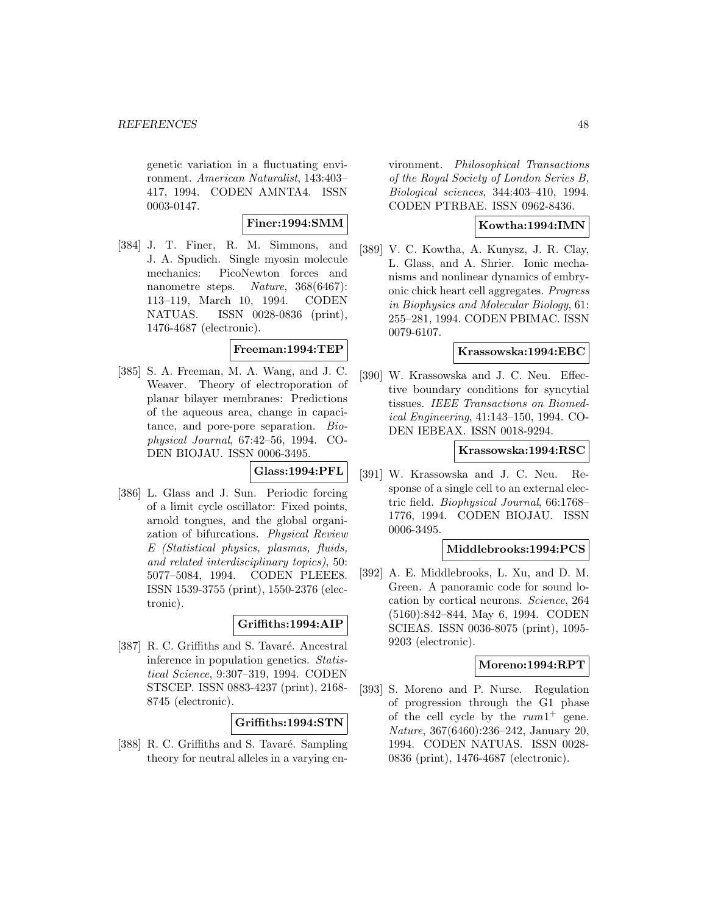genetic variation in a fluctuating environment. American Naturalist, 143:403– 417, 1994. CODEN AMNTA4. ISSN 0003-0147.

# **Finer:1994:SMM**

[384] J. T. Finer, R. M. Simmons, and J. A. Spudich. Single myosin molecule mechanics: PicoNewton forces and nanometre steps. Nature, 368(6467): 113–119, March 10, 1994. CODEN NATUAS. ISSN 0028-0836 (print), 1476-4687 (electronic).

# **Freeman:1994:TEP**

[385] S. A. Freeman, M. A. Wang, and J. C. Weaver. Theory of electroporation of planar bilayer membranes: Predictions of the aqueous area, change in capacitance, and pore-pore separation. Biophysical Journal, 67:42–56, 1994. CO-DEN BIOJAU. ISSN 0006-3495.

### **Glass:1994:PFL**

[386] L. Glass and J. Sun. Periodic forcing of a limit cycle oscillator: Fixed points, arnold tongues, and the global organization of bifurcations. Physical Review E (Statistical physics, plasmas, fluids, and related interdisciplinary topics), 50: 5077–5084, 1994. CODEN PLEEE8. ISSN 1539-3755 (print), 1550-2376 (electronic).

### **Griffiths:1994:AIP**

[387] R. C. Griffiths and S. Tavaré. Ancestral inference in population genetics. Statistical Science, 9:307–319, 1994. CODEN STSCEP. ISSN 0883-4237 (print), 2168- 8745 (electronic).

# **Griffiths:1994:STN**

[388] R. C. Griffiths and S. Tavaré. Sampling theory for neutral alleles in a varying environment. Philosophical Transactions of the Royal Society of London Series B, Biological sciences, 344:403–410, 1994. CODEN PTRBAE. ISSN 0962-8436.

### **Kowtha:1994:IMN**

[389] V. C. Kowtha, A. Kunysz, J. R. Clay, L. Glass, and A. Shrier. Ionic mechanisms and nonlinear dynamics of embryonic chick heart cell aggregates. Progress in Biophysics and Molecular Biology, 61: 255–281, 1994. CODEN PBIMAC. ISSN 0079-6107.

#### **Krassowska:1994:EBC**

[390] W. Krassowska and J. C. Neu. Effective boundary conditions for syncytial tissues. IEEE Transactions on Biomedical Engineering, 41:143–150, 1994. CO-DEN IEBEAX. ISSN 0018-9294.

#### **Krassowska:1994:RSC**

[391] W. Krassowska and J. C. Neu. Response of a single cell to an external electric field. Biophysical Journal, 66:1768– 1776, 1994. CODEN BIOJAU. ISSN 0006-3495.

#### **Middlebrooks:1994:PCS**

[392] A. E. Middlebrooks, L. Xu, and D. M. Green. A panoramic code for sound location by cortical neurons. Science, 264 (5160):842–844, May 6, 1994. CODEN SCIEAS. ISSN 0036-8075 (print), 1095- 9203 (electronic).

#### **Moreno:1994:RPT**

[393] S. Moreno and P. Nurse. Regulation of progression through the G1 phase of the cell cycle by the  $rum1^+$  gene. Nature, 367(6460):236–242, January 20, 1994. CODEN NATUAS. ISSN 0028- 0836 (print), 1476-4687 (electronic).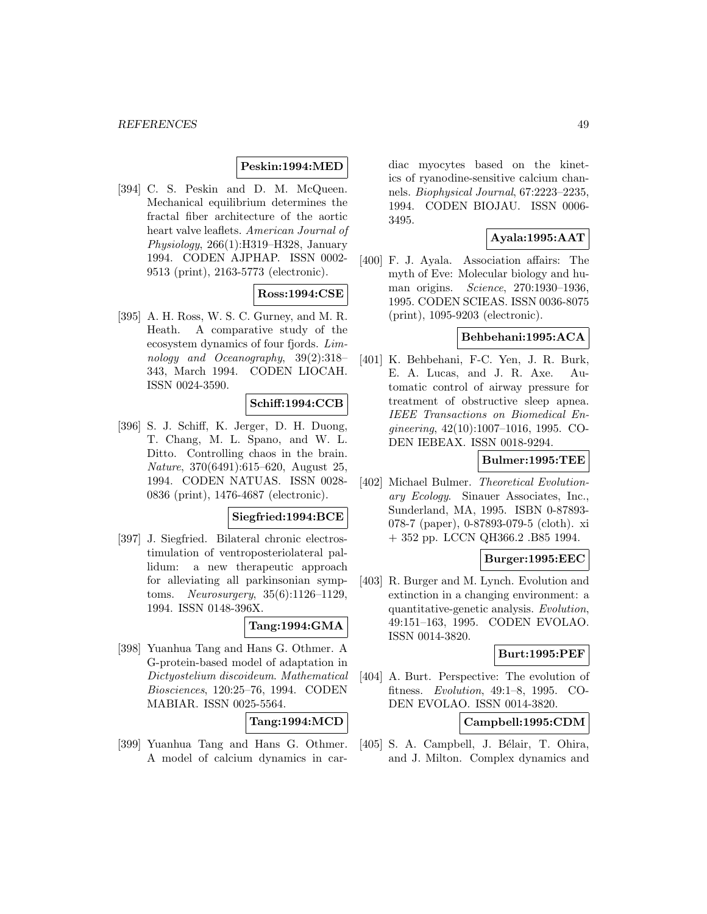# **Peskin:1994:MED**

[394] C. S. Peskin and D. M. McQueen. Mechanical equilibrium determines the fractal fiber architecture of the aortic heart valve leaflets. American Journal of Physiology, 266(1):H319–H328, January 1994. CODEN AJPHAP. ISSN 0002- 9513 (print), 2163-5773 (electronic).

# **Ross:1994:CSE**

[395] A. H. Ross, W. S. C. Gurney, and M. R. Heath. A comparative study of the ecosystem dynamics of four fjords. Limnology and Oceanography, 39(2):318– 343, March 1994. CODEN LIOCAH. ISSN 0024-3590.

# **Schiff:1994:CCB**

[396] S. J. Schiff, K. Jerger, D. H. Duong, T. Chang, M. L. Spano, and W. L. Ditto. Controlling chaos in the brain. Nature, 370(6491):615–620, August 25, 1994. CODEN NATUAS. ISSN 0028- 0836 (print), 1476-4687 (electronic).

#### **Siegfried:1994:BCE**

[397] J. Siegfried. Bilateral chronic electrostimulation of ventroposteriolateral pallidum: a new therapeutic approach for alleviating all parkinsonian symptoms. Neurosurgery, 35(6):1126–1129, 1994. ISSN 0148-396X.

# **Tang:1994:GMA**

[398] Yuanhua Tang and Hans G. Othmer. A G-protein-based model of adaptation in Dictyostelium discoideum. Mathematical Biosciences, 120:25–76, 1994. CODEN MABIAR. ISSN 0025-5564.

**Tang:1994:MCD**

[399] Yuanhua Tang and Hans G. Othmer. A model of calcium dynamics in cardiac myocytes based on the kinetics of ryanodine-sensitive calcium channels. Biophysical Journal, 67:2223–2235, 1994. CODEN BIOJAU. ISSN 0006- 3495.

# **Ayala:1995:AAT**

[400] F. J. Ayala. Association affairs: The myth of Eve: Molecular biology and human origins. Science, 270:1930–1936, 1995. CODEN SCIEAS. ISSN 0036-8075 (print), 1095-9203 (electronic).

# **Behbehani:1995:ACA**

[401] K. Behbehani, F-C. Yen, J. R. Burk, E. A. Lucas, and J. R. Axe. Automatic control of airway pressure for treatment of obstructive sleep apnea. IEEE Transactions on Biomedical Engineering, 42(10):1007–1016, 1995. CO-DEN IEBEAX. ISSN 0018-9294.

# **Bulmer:1995:TEE**

[402] Michael Bulmer. Theoretical Evolutionary Ecology. Sinauer Associates, Inc., Sunderland, MA, 1995. ISBN 0-87893- 078-7 (paper), 0-87893-079-5 (cloth). xi + 352 pp. LCCN QH366.2 .B85 1994.

#### **Burger:1995:EEC**

[403] R. Burger and M. Lynch. Evolution and extinction in a changing environment: a quantitative-genetic analysis. Evolution, 49:151–163, 1995. CODEN EVOLAO. ISSN 0014-3820.

### **Burt:1995:PEF**

[404] A. Burt. Perspective: The evolution of fitness. Evolution, 49:1–8, 1995. CO-DEN EVOLAO. ISSN 0014-3820.

# **Campbell:1995:CDM**

[405] S. A. Campbell, J. Bélair, T. Ohira, and J. Milton. Complex dynamics and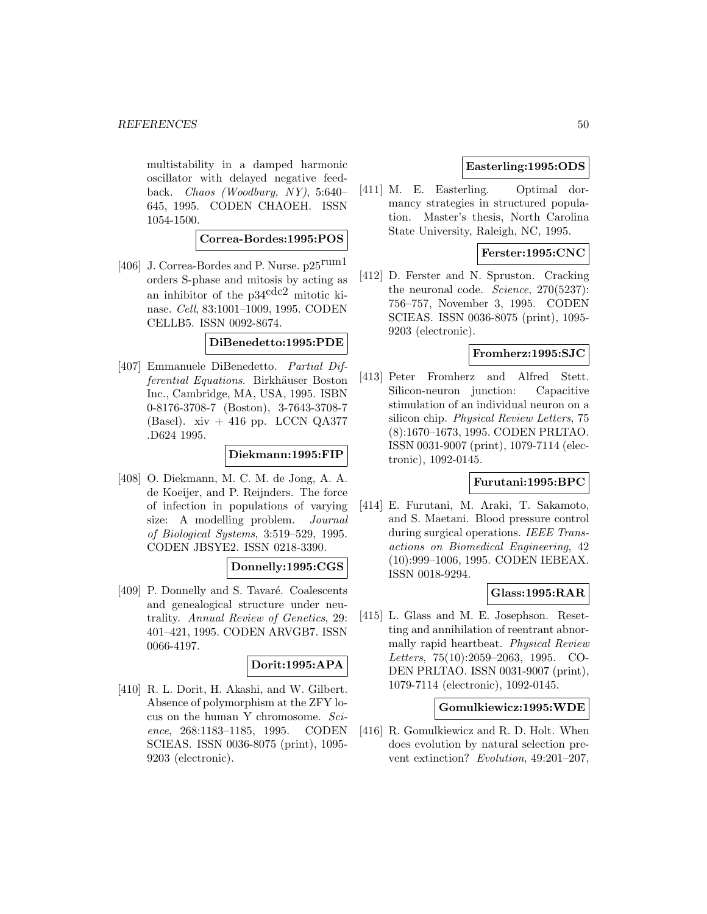multistability in a damped harmonic oscillator with delayed negative feedback. Chaos (Woodbury, NY), 5:640– 645, 1995. CODEN CHAOEH. ISSN 1054-1500.

# **Correa-Bordes:1995:POS**

[406] J. Correa-Bordes and P. Nurse. p25rum1 orders S-phase and mitosis by acting as an inhibitor of the  $p34^{\text{cdc2}}$  mitotic kinase. Cell, 83:1001–1009, 1995. CODEN CELLB5. ISSN 0092-8674.

#### **DiBenedetto:1995:PDE**

[407] Emmanuele DiBenedetto. Partial Differential Equations. Birkhäuser Boston Inc., Cambridge, MA, USA, 1995. ISBN 0-8176-3708-7 (Boston), 3-7643-3708-7 (Basel). xiv  $+416$  pp. LCCN QA377 .D624 1995.

#### **Diekmann:1995:FIP**

[408] O. Diekmann, M. C. M. de Jong, A. A. de Koeijer, and P. Reijnders. The force of infection in populations of varying size: A modelling problem. Journal of Biological Systems, 3:519–529, 1995. CODEN JBSYE2. ISSN 0218-3390.

#### **Donnelly:1995:CGS**

[409] P. Donnelly and S. Tavaré. Coalescents and genealogical structure under neutrality. Annual Review of Genetics, 29: 401–421, 1995. CODEN ARVGB7. ISSN 0066-4197.

# **Dorit:1995:APA**

[410] R. L. Dorit, H. Akashi, and W. Gilbert. Absence of polymorphism at the ZFY locus on the human Y chromosome. Science, 268:1183–1185, 1995. CODEN SCIEAS. ISSN 0036-8075 (print), 1095- 9203 (electronic).

### **Easterling:1995:ODS**

[411] M. E. Easterling. Optimal dormancy strategies in structured population. Master's thesis, North Carolina State University, Raleigh, NC, 1995.

### **Ferster:1995:CNC**

[412] D. Ferster and N. Spruston. Cracking the neuronal code. *Science*, 270(5237): 756–757, November 3, 1995. CODEN SCIEAS. ISSN 0036-8075 (print), 1095- 9203 (electronic).

#### **Fromherz:1995:SJC**

[413] Peter Fromherz and Alfred Stett. Silicon-neuron junction: Capacitive stimulation of an individual neuron on a silicon chip. Physical Review Letters, 75 (8):1670–1673, 1995. CODEN PRLTAO. ISSN 0031-9007 (print), 1079-7114 (electronic), 1092-0145.

### **Furutani:1995:BPC**

[414] E. Furutani, M. Araki, T. Sakamoto, and S. Maetani. Blood pressure control during surgical operations. IEEE Transactions on Biomedical Engineering, 42 (10):999–1006, 1995. CODEN IEBEAX. ISSN 0018-9294.

#### **Glass:1995:RAR**

[415] L. Glass and M. E. Josephson. Resetting and annihilation of reentrant abnormally rapid heartbeat. Physical Review Letters, 75(10):2059–2063, 1995. CO-DEN PRLTAO. ISSN 0031-9007 (print), 1079-7114 (electronic), 1092-0145.

#### **Gomulkiewicz:1995:WDE**

[416] R. Gomulkiewicz and R. D. Holt. When does evolution by natural selection prevent extinction? Evolution, 49:201–207,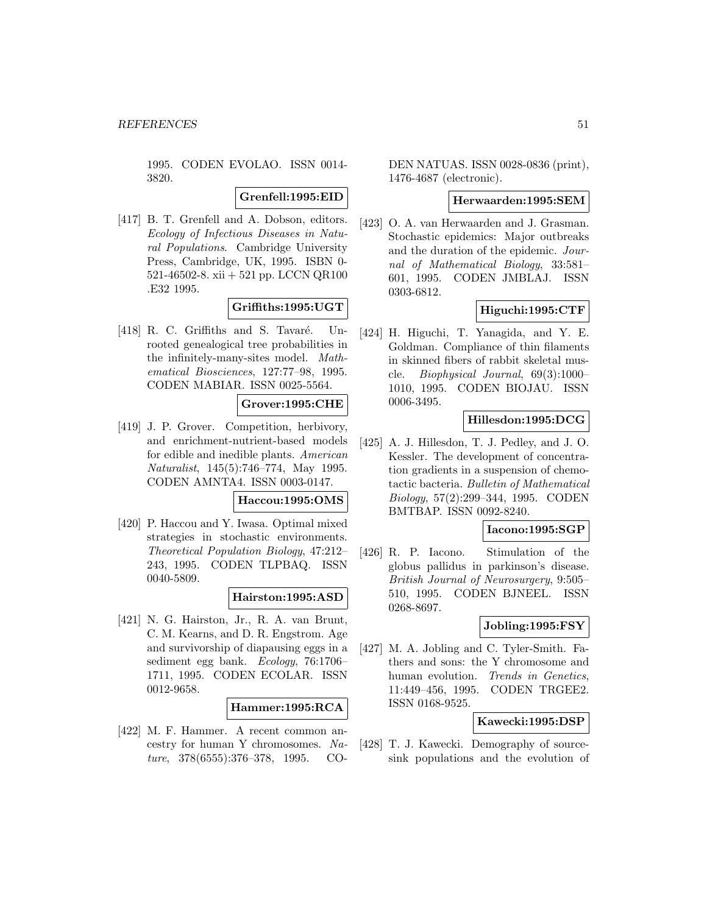1995. CODEN EVOLAO. ISSN 0014- 3820.

**Grenfell:1995:EID**

[417] B. T. Grenfell and A. Dobson, editors. Ecology of Infectious Diseases in Natural Populations. Cambridge University Press, Cambridge, UK, 1995. ISBN 0- 521-46502-8. xii + 521 pp. LCCN QR100 .E32 1995.

# **Griffiths:1995:UGT**

 $[418]$  R. C. Griffiths and S. Tavaré. Unrooted genealogical tree probabilities in the infinitely-many-sites model. Mathematical Biosciences, 127:77–98, 1995. CODEN MABIAR. ISSN 0025-5564.

# **Grover:1995:CHE**

[419] J. P. Grover. Competition, herbivory, and enrichment-nutrient-based models for edible and inedible plants. American Naturalist, 145(5):746–774, May 1995. CODEN AMNTA4. ISSN 0003-0147.

### **Haccou:1995:OMS**

[420] P. Haccou and Y. Iwasa. Optimal mixed strategies in stochastic environments. Theoretical Population Biology, 47:212– 243, 1995. CODEN TLPBAQ. ISSN 0040-5809.

# **Hairston:1995:ASD**

[421] N. G. Hairston, Jr., R. A. van Brunt, C. M. Kearns, and D. R. Engstrom. Age and survivorship of diapausing eggs in a sediment egg bank. Ecology, 76:1706– 1711, 1995. CODEN ECOLAR. ISSN 0012-9658.

#### **Hammer:1995:RCA**

[422] M. F. Hammer. A recent common ancestry for human Y chromosomes. Nature, 378(6555):376–378, 1995. CO-

DEN NATUAS. ISSN 0028-0836 (print), 1476-4687 (electronic).

#### **Herwaarden:1995:SEM**

[423] O. A. van Herwaarden and J. Grasman. Stochastic epidemics: Major outbreaks and the duration of the epidemic. Journal of Mathematical Biology, 33:581– 601, 1995. CODEN JMBLAJ. ISSN 0303-6812.

# **Higuchi:1995:CTF**

[424] H. Higuchi, T. Yanagida, and Y. E. Goldman. Compliance of thin filaments in skinned fibers of rabbit skeletal muscle. Biophysical Journal, 69(3):1000– 1010, 1995. CODEN BIOJAU. ISSN 0006-3495.

# **Hillesdon:1995:DCG**

[425] A. J. Hillesdon, T. J. Pedley, and J. O. Kessler. The development of concentration gradients in a suspension of chemotactic bacteria. Bulletin of Mathematical Biology, 57(2):299–344, 1995. CODEN BMTBAP. ISSN 0092-8240.

#### **Iacono:1995:SGP**

[426] R. P. Iacono. Stimulation of the globus pallidus in parkinson's disease. British Journal of Neurosurgery, 9:505– 510, 1995. CODEN BJNEEL. ISSN 0268-8697.

# **Jobling:1995:FSY**

[427] M. A. Jobling and C. Tyler-Smith. Fathers and sons: the Y chromosome and human evolution. Trends in Genetics, 11:449–456, 1995. CODEN TRGEE2. ISSN 0168-9525.

# **Kawecki:1995:DSP**

[428] T. J. Kawecki. Demography of sourcesink populations and the evolution of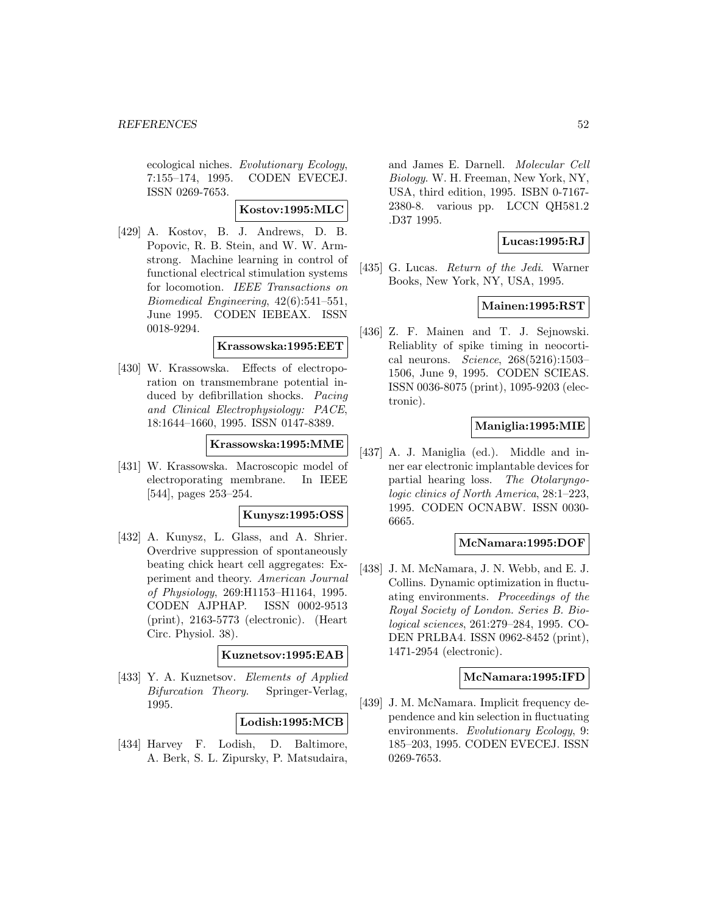ecological niches. Evolutionary Ecology, 7:155–174, 1995. CODEN EVECEJ. ISSN 0269-7653.

**Kostov:1995:MLC**

[429] A. Kostov, B. J. Andrews, D. B. Popovic, R. B. Stein, and W. W. Armstrong. Machine learning in control of functional electrical stimulation systems for locomotion. IEEE Transactions on Biomedical Engineering, 42(6):541–551, June 1995. CODEN IEBEAX. ISSN 0018-9294.

#### **Krassowska:1995:EET**

[430] W. Krassowska. Effects of electroporation on transmembrane potential induced by defibrillation shocks. Pacing and Clinical Electrophysiology: PACE, 18:1644–1660, 1995. ISSN 0147-8389.

### **Krassowska:1995:MME**

[431] W. Krassowska. Macroscopic model of electroporating membrane. In IEEE [544], pages 253–254.

# **Kunysz:1995:OSS**

[432] A. Kunysz, L. Glass, and A. Shrier. Overdrive suppression of spontaneously beating chick heart cell aggregates: Experiment and theory. American Journal of Physiology, 269:H1153–H1164, 1995. CODEN AJPHAP. ISSN 0002-9513 (print), 2163-5773 (electronic). (Heart Circ. Physiol. 38).

#### **Kuznetsov:1995:EAB**

[433] Y. A. Kuznetsov. Elements of Applied Bifurcation Theory. Springer-Verlag, 1995.

# **Lodish:1995:MCB**

[434] Harvey F. Lodish, D. Baltimore, A. Berk, S. L. Zipursky, P. Matsudaira, and James E. Darnell. Molecular Cell Biology. W. H. Freeman, New York, NY, USA, third edition, 1995. ISBN 0-7167- 2380-8. various pp. LCCN QH581.2 .D37 1995.

# **Lucas:1995:RJ**

[435] G. Lucas. Return of the Jedi. Warner Books, New York, NY, USA, 1995.

# **Mainen:1995:RST**

[436] Z. F. Mainen and T. J. Sejnowski. Reliablity of spike timing in neocortical neurons. Science, 268(5216):1503– 1506, June 9, 1995. CODEN SCIEAS. ISSN 0036-8075 (print), 1095-9203 (electronic).

# **Maniglia:1995:MIE**

[437] A. J. Maniglia (ed.). Middle and inner ear electronic implantable devices for partial hearing loss. The Otolaryngologic clinics of North America, 28:1–223, 1995. CODEN OCNABW. ISSN 0030- 6665.

#### **McNamara:1995:DOF**

[438] J. M. McNamara, J. N. Webb, and E. J. Collins. Dynamic optimization in fluctuating environments. Proceedings of the Royal Society of London. Series B. Biological sciences, 261:279–284, 1995. CO-DEN PRLBA4. ISSN 0962-8452 (print), 1471-2954 (electronic).

#### **McNamara:1995:IFD**

[439] J. M. McNamara. Implicit frequency dependence and kin selection in fluctuating environments. Evolutionary Ecology, 9: 185–203, 1995. CODEN EVECEJ. ISSN 0269-7653.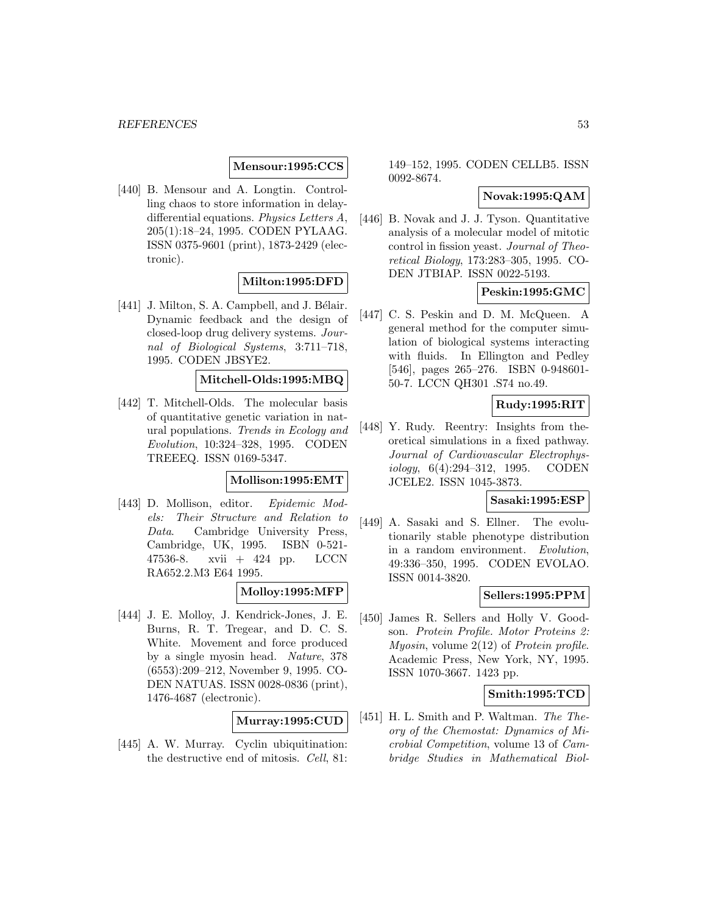**Mensour:1995:CCS**

[440] B. Mensour and A. Longtin. Controlling chaos to store information in delaydifferential equations. Physics Letters A, 205(1):18–24, 1995. CODEN PYLAAG. ISSN 0375-9601 (print), 1873-2429 (electronic).

# **Milton:1995:DFD**

 $[441]$  J. Milton, S. A. Campbell, and J. Bélair. Dynamic feedback and the design of closed-loop drug delivery systems. Journal of Biological Systems, 3:711–718, 1995. CODEN JBSYE2.

# **Mitchell-Olds:1995:MBQ**

[442] T. Mitchell-Olds. The molecular basis of quantitative genetic variation in natural populations. Trends in Ecology and Evolution, 10:324–328, 1995. CODEN TREEEQ. ISSN 0169-5347.

#### **Mollison:1995:EMT**

[443] D. Mollison, editor. Epidemic Models: Their Structure and Relation to Data. Cambridge University Press, Cambridge, UK, 1995. ISBN 0-521- 47536-8. xvii + 424 pp. LCCN RA652.2.M3 E64 1995.

# **Molloy:1995:MFP**

[444] J. E. Molloy, J. Kendrick-Jones, J. E. Burns, R. T. Tregear, and D. C. S. White. Movement and force produced by a single myosin head. Nature, 378 (6553):209–212, November 9, 1995. CO-DEN NATUAS. ISSN 0028-0836 (print), 1476-4687 (electronic).

# **Murray:1995:CUD**

[445] A. W. Murray. Cyclin ubiquitination: the destructive end of mitosis. Cell, 81: 149–152, 1995. CODEN CELLB5. ISSN 0092-8674.

# **Novak:1995:QAM**

[446] B. Novak and J. J. Tyson. Quantitative analysis of a molecular model of mitotic control in fission yeast. Journal of Theoretical Biology, 173:283–305, 1995. CO-DEN JTBIAP. ISSN 0022-5193.

# **Peskin:1995:GMC**

[447] C. S. Peskin and D. M. McQueen. A general method for the computer simulation of biological systems interacting with fluids. In Ellington and Pedley [546], pages 265–276. ISBN 0-948601- 50-7. LCCN QH301 .S74 no.49.

# **Rudy:1995:RIT**

[448] Y. Rudy. Reentry: Insights from theoretical simulations in a fixed pathway. Journal of Cardiovascular Electrophysiology, 6(4):294–312, 1995. CODEN JCELE2. ISSN 1045-3873.

#### **Sasaki:1995:ESP**

[449] A. Sasaki and S. Ellner. The evolutionarily stable phenotype distribution in a random environment. Evolution, 49:336–350, 1995. CODEN EVOLAO. ISSN 0014-3820.

#### **Sellers:1995:PPM**

[450] James R. Sellers and Holly V. Goodson. Protein Profile. Motor Proteins 2: *Myosin, volume*  $2(12)$  of *Protein profile.* Academic Press, New York, NY, 1995. ISSN 1070-3667. 1423 pp.

### **Smith:1995:TCD**

[451] H. L. Smith and P. Waltman. The Theory of the Chemostat: Dynamics of Microbial Competition, volume 13 of Cambridge Studies in Mathematical Biol-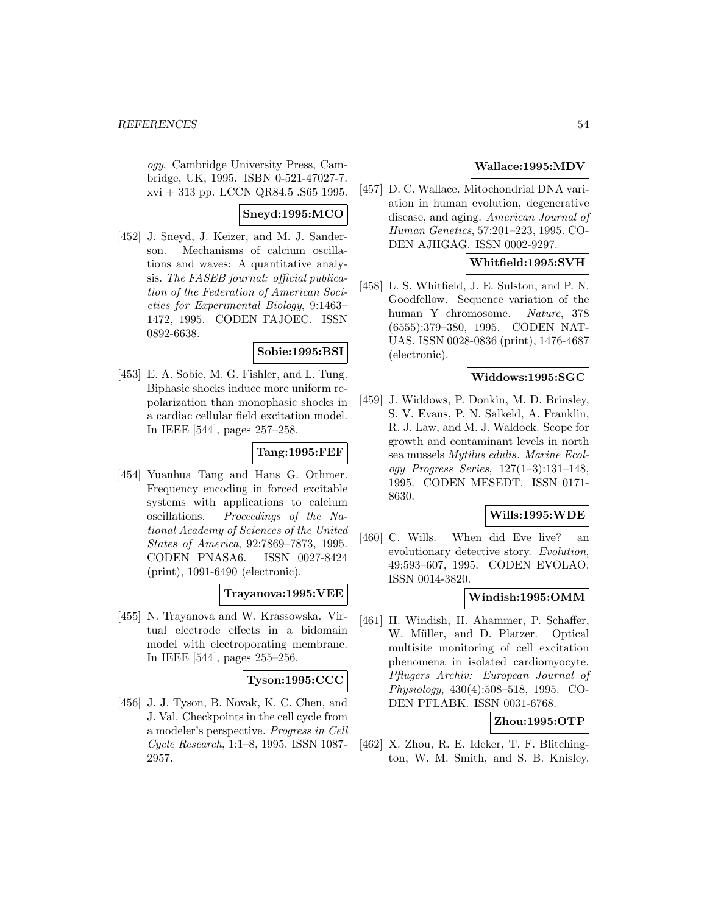ogy. Cambridge University Press, Cambridge, UK, 1995. ISBN 0-521-47027-7. xvi + 313 pp. LCCN QR84.5 .S65 1995.

# **Sneyd:1995:MCO**

[452] J. Sneyd, J. Keizer, and M. J. Sanderson. Mechanisms of calcium oscillations and waves: A quantitative analysis. The FASEB journal: official publication of the Federation of American Societies for Experimental Biology, 9:1463– 1472, 1995. CODEN FAJOEC. ISSN 0892-6638.

# **Sobie:1995:BSI**

[453] E. A. Sobie, M. G. Fishler, and L. Tung. Biphasic shocks induce more uniform repolarization than monophasic shocks in a cardiac cellular field excitation model. In IEEE [544], pages 257–258.

# **Tang:1995:FEF**

[454] Yuanhua Tang and Hans G. Othmer. Frequency encoding in forced excitable systems with applications to calcium oscillations. Proceedings of the National Academy of Sciences of the United States of America, 92:7869–7873, 1995. CODEN PNASA6. ISSN 0027-8424 (print), 1091-6490 (electronic).

# **Trayanova:1995:VEE**

[455] N. Trayanova and W. Krassowska. Virtual electrode effects in a bidomain model with electroporating membrane. In IEEE [544], pages 255–256.

# **Tyson:1995:CCC**

[456] J. J. Tyson, B. Novak, K. C. Chen, and J. Val. Checkpoints in the cell cycle from a modeler's perspective. Progress in Cell Cycle Research, 1:1–8, 1995. ISSN 1087- 2957.

# **Wallace:1995:MDV**

[457] D. C. Wallace. Mitochondrial DNA variation in human evolution, degenerative disease, and aging. American Journal of Human Genetics, 57:201–223, 1995. CO-DEN AJHGAG. ISSN 0002-9297.

# **Whitfield:1995:SVH**

[458] L. S. Whitfield, J. E. Sulston, and P. N. Goodfellow. Sequence variation of the human Y chromosome. Nature, 378 (6555):379–380, 1995. CODEN NAT-UAS. ISSN 0028-0836 (print), 1476-4687 (electronic).

# **Widdows:1995:SGC**

[459] J. Widdows, P. Donkin, M. D. Brinsley, S. V. Evans, P. N. Salkeld, A. Franklin, R. J. Law, and M. J. Waldock. Scope for growth and contaminant levels in north sea mussels Mytilus edulis. Marine Ecology Progress Series, 127(1–3):131–148, 1995. CODEN MESEDT. ISSN 0171- 8630.

# **Wills:1995:WDE**

[460] C. Wills. When did Eve live? an evolutionary detective story. Evolution, 49:593–607, 1995. CODEN EVOLAO. ISSN 0014-3820.

# **Windish:1995:OMM**

[461] H. Windish, H. Ahammer, P. Schaffer, W. Müller, and D. Platzer. Optical multisite monitoring of cell excitation phenomena in isolated cardiomyocyte. Pflugers Archiv: European Journal of Physiology, 430(4):508–518, 1995. CO-DEN PFLABK. ISSN 0031-6768.

# **Zhou:1995:OTP**

[462] X. Zhou, R. E. Ideker, T. F. Blitchington, W. M. Smith, and S. B. Knisley.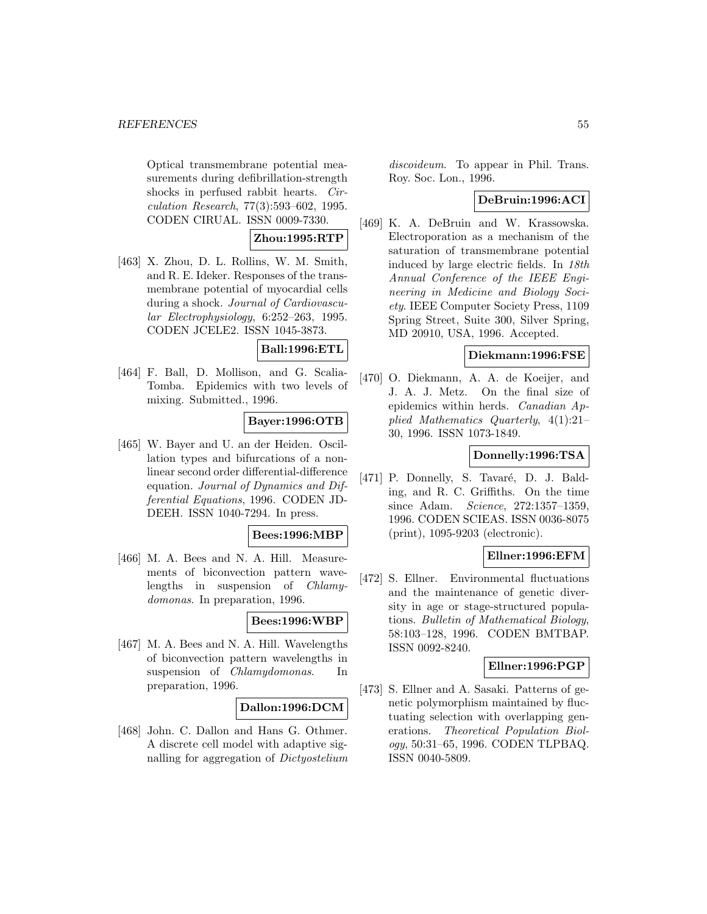Optical transmembrane potential measurements during defibrillation-strength shocks in perfused rabbit hearts. Circulation Research, 77(3):593–602, 1995. CODEN CIRUAL. ISSN 0009-7330.

#### **Zhou:1995:RTP**

[463] X. Zhou, D. L. Rollins, W. M. Smith, and R. E. Ideker. Responses of the transmembrane potential of myocardial cells during a shock. Journal of Cardiovascular Electrophysiology, 6:252–263, 1995. CODEN JCELE2. ISSN 1045-3873.

#### **Ball:1996:ETL**

[464] F. Ball, D. Mollison, and G. Scalia-Tomba. Epidemics with two levels of mixing. Submitted., 1996.

# **Bayer:1996:OTB**

[465] W. Bayer and U. an der Heiden. Oscillation types and bifurcations of a nonlinear second order differential-difference equation. Journal of Dynamics and Differential Equations, 1996. CODEN JD-DEEH. ISSN 1040-7294. In press.

#### **Bees:1996:MBP**

[466] M. A. Bees and N. A. Hill. Measurements of biconvection pattern wavelengths in suspension of Chlamydomonas. In preparation, 1996.

#### **Bees:1996:WBP**

[467] M. A. Bees and N. A. Hill. Wavelengths of biconvection pattern wavelengths in suspension of *Chlamydomonas*. In preparation, 1996.

#### **Dallon:1996:DCM**

[468] John. C. Dallon and Hans G. Othmer. A discrete cell model with adaptive signalling for aggregation of Dictyostelium

discoideum. To appear in Phil. Trans. Roy. Soc. Lon., 1996.

#### **DeBruin:1996:ACI**

[469] K. A. DeBruin and W. Krassowska. Electroporation as a mechanism of the saturation of transmembrane potential induced by large electric fields. In 18th Annual Conference of the IEEE Engineering in Medicine and Biology Society. IEEE Computer Society Press, 1109 Spring Street, Suite 300, Silver Spring, MD 20910, USA, 1996. Accepted.

# **Diekmann:1996:FSE**

[470] O. Diekmann, A. A. de Koeijer, and J. A. J. Metz. On the final size of epidemics within herds. Canadian Applied Mathematics Quarterly, 4(1):21– 30, 1996. ISSN 1073-1849.

# **Donnelly:1996:TSA**

[471] P. Donnelly, S. Tavaré, D. J. Balding, and R. C. Griffiths. On the time since Adam. Science, 272:1357–1359, 1996. CODEN SCIEAS. ISSN 0036-8075 (print), 1095-9203 (electronic).

# **Ellner:1996:EFM**

[472] S. Ellner. Environmental fluctuations and the maintenance of genetic diversity in age or stage-structured populations. Bulletin of Mathematical Biology, 58:103–128, 1996. CODEN BMTBAP. ISSN 0092-8240.

# **Ellner:1996:PGP**

[473] S. Ellner and A. Sasaki. Patterns of genetic polymorphism maintained by fluctuating selection with overlapping generations. Theoretical Population Biology, 50:31–65, 1996. CODEN TLPBAQ. ISSN 0040-5809.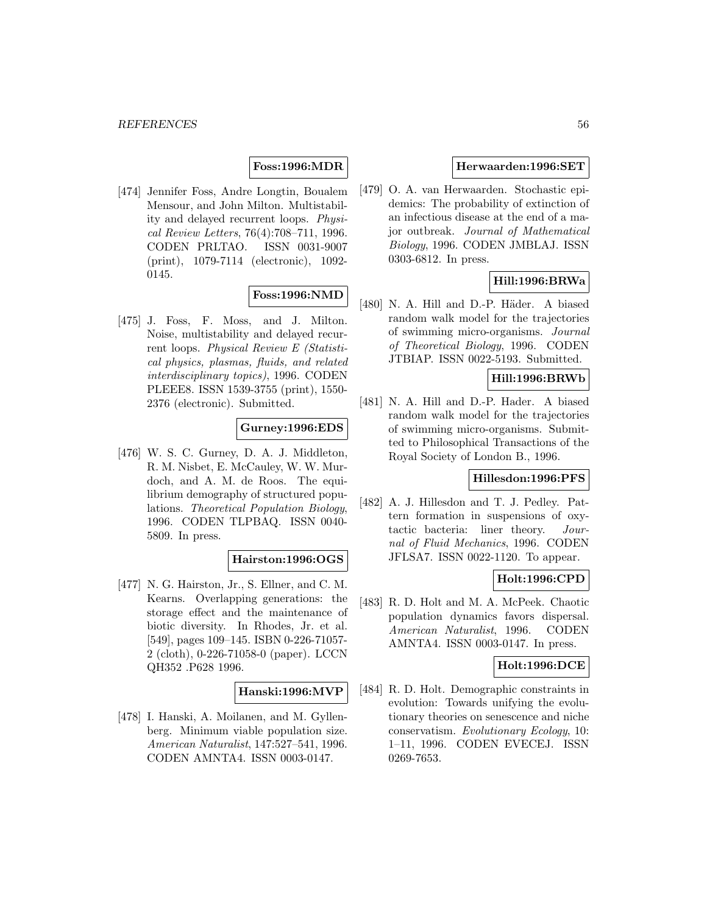# **Foss:1996:MDR**

[474] Jennifer Foss, Andre Longtin, Boualem Mensour, and John Milton. Multistability and delayed recurrent loops. Physical Review Letters, 76(4):708–711, 1996. CODEN PRLTAO. ISSN 0031-9007 (print), 1079-7114 (electronic), 1092- 0145.

# **Foss:1996:NMD**

[475] J. Foss, F. Moss, and J. Milton. Noise, multistability and delayed recurrent loops. Physical Review E (Statistical physics, plasmas, fluids, and related interdisciplinary topics), 1996. CODEN PLEEE8. ISSN 1539-3755 (print), 1550- 2376 (electronic). Submitted.

# **Gurney:1996:EDS**

[476] W. S. C. Gurney, D. A. J. Middleton, R. M. Nisbet, E. McCauley, W. W. Murdoch, and A. M. de Roos. The equilibrium demography of structured populations. Theoretical Population Biology, 1996. CODEN TLPBAQ. ISSN 0040- 5809. In press.

#### **Hairston:1996:OGS**

[477] N. G. Hairston, Jr., S. Ellner, and C. M. Kearns. Overlapping generations: the storage effect and the maintenance of biotic diversity. In Rhodes, Jr. et al. [549], pages 109–145. ISBN 0-226-71057- 2 (cloth), 0-226-71058-0 (paper). LCCN QH352 .P628 1996.

#### **Hanski:1996:MVP**

[478] I. Hanski, A. Moilanen, and M. Gyllenberg. Minimum viable population size. American Naturalist, 147:527–541, 1996. CODEN AMNTA4. ISSN 0003-0147.

#### **Herwaarden:1996:SET**

[479] O. A. van Herwaarden. Stochastic epidemics: The probability of extinction of an infectious disease at the end of a major outbreak. Journal of Mathematical Biology, 1996. CODEN JMBLAJ. ISSN 0303-6812. In press.

# **Hill:1996:BRWa**

[480] N. A. Hill and D.-P. Häder. A biased random walk model for the trajectories of swimming micro-organisms. Journal of Theoretical Biology, 1996. CODEN JTBIAP. ISSN 0022-5193. Submitted.

# **Hill:1996:BRWb**

[481] N. A. Hill and D.-P. Hader. A biased random walk model for the trajectories of swimming micro-organisms. Submitted to Philosophical Transactions of the Royal Society of London B., 1996.

#### **Hillesdon:1996:PFS**

[482] A. J. Hillesdon and T. J. Pedley. Pattern formation in suspensions of oxytactic bacteria: liner theory. Journal of Fluid Mechanics, 1996. CODEN JFLSA7. ISSN 0022-1120. To appear.

# **Holt:1996:CPD**

[483] R. D. Holt and M. A. McPeek. Chaotic population dynamics favors dispersal. American Naturalist, 1996. CODEN AMNTA4. ISSN 0003-0147. In press.

### **Holt:1996:DCE**

[484] R. D. Holt. Demographic constraints in evolution: Towards unifying the evolutionary theories on senescence and niche conservatism. Evolutionary Ecology, 10: 1–11, 1996. CODEN EVECEJ. ISSN 0269-7653.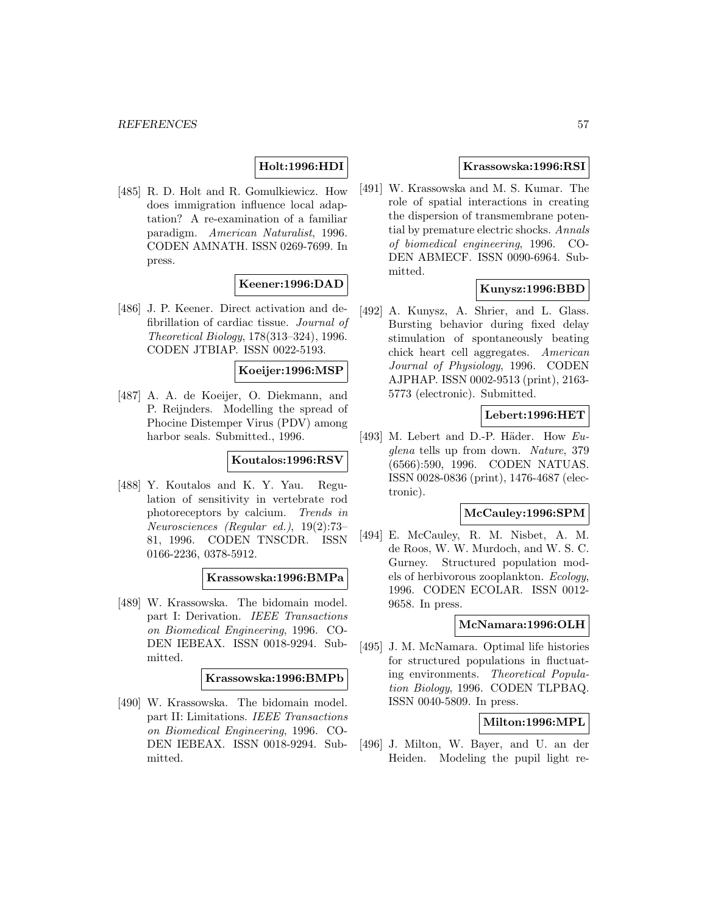# **Holt:1996:HDI**

[485] R. D. Holt and R. Gomulkiewicz. How does immigration influence local adaptation? A re-examination of a familiar paradigm. American Naturalist, 1996. CODEN AMNATH. ISSN 0269-7699. In press.

# **Keener:1996:DAD**

[486] J. P. Keener. Direct activation and defibrillation of cardiac tissue. Journal of Theoretical Biology, 178(313–324), 1996. CODEN JTBIAP. ISSN 0022-5193.

#### **Koeijer:1996:MSP**

[487] A. A. de Koeijer, O. Diekmann, and P. Reijnders. Modelling the spread of Phocine Distemper Virus (PDV) among harbor seals. Submitted., 1996.

# **Koutalos:1996:RSV**

[488] Y. Koutalos and K. Y. Yau. Regulation of sensitivity in vertebrate rod photoreceptors by calcium. Trends in Neurosciences (Regular ed.), 19(2):73– 81, 1996. CODEN TNSCDR. ISSN 0166-2236, 0378-5912.

#### **Krassowska:1996:BMPa**

[489] W. Krassowska. The bidomain model. part I: Derivation. IEEE Transactions on Biomedical Engineering, 1996. CO-DEN IEBEAX. ISSN 0018-9294. Submitted.

#### **Krassowska:1996:BMPb**

[490] W. Krassowska. The bidomain model. part II: Limitations. IEEE Transactions on Biomedical Engineering, 1996. CO-DEN IEBEAX. ISSN 0018-9294. Submitted.

### **Krassowska:1996:RSI**

[491] W. Krassowska and M. S. Kumar. The role of spatial interactions in creating the dispersion of transmembrane potential by premature electric shocks. Annals of biomedical engineering, 1996. CO-DEN ABMECF. ISSN 0090-6964. Submitted.

# **Kunysz:1996:BBD**

[492] A. Kunysz, A. Shrier, and L. Glass. Bursting behavior during fixed delay stimulation of spontaneously beating chick heart cell aggregates. American Journal of Physiology, 1996. CODEN AJPHAP. ISSN 0002-9513 (print), 2163- 5773 (electronic). Submitted.

# **Lebert:1996:HET**

[493] M. Lebert and D.-P. Häder. How  $Eu$ glena tells up from down. Nature, 379 (6566):590, 1996. CODEN NATUAS. ISSN 0028-0836 (print), 1476-4687 (electronic).

# **McCauley:1996:SPM**

[494] E. McCauley, R. M. Nisbet, A. M. de Roos, W. W. Murdoch, and W. S. C. Gurney. Structured population models of herbivorous zooplankton. Ecology, 1996. CODEN ECOLAR. ISSN 0012- 9658. In press.

#### **McNamara:1996:OLH**

[495] J. M. McNamara. Optimal life histories for structured populations in fluctuating environments. Theoretical Population Biology, 1996. CODEN TLPBAQ. ISSN 0040-5809. In press.

# **Milton:1996:MPL**

[496] J. Milton, W. Bayer, and U. an der Heiden. Modeling the pupil light re-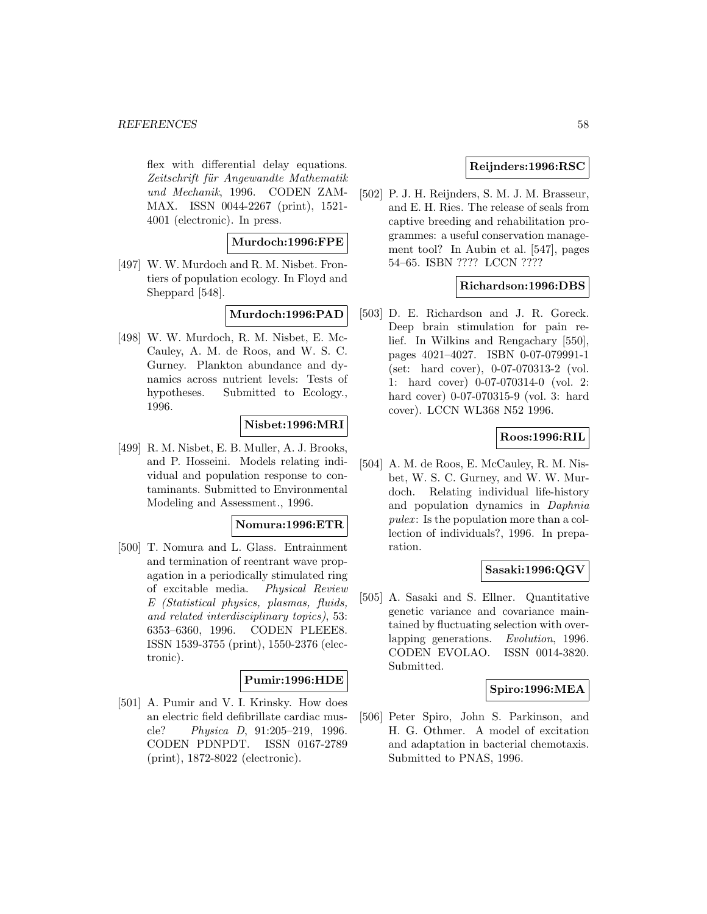#### *REFERENCES* 58

flex with differential delay equations. Zeitschrift für Angewandte Mathematik und Mechanik, 1996. CODEN ZAM-MAX. ISSN 0044-2267 (print), 1521- 4001 (electronic). In press.

# **Murdoch:1996:FPE**

[497] W. W. Murdoch and R. M. Nisbet. Frontiers of population ecology. In Floyd and Sheppard [548].

# **Murdoch:1996:PAD**

[498] W. W. Murdoch, R. M. Nisbet, E. Mc-Cauley, A. M. de Roos, and W. S. C. Gurney. Plankton abundance and dynamics across nutrient levels: Tests of hypotheses. Submitted to Ecology., 1996.

# **Nisbet:1996:MRI**

[499] R. M. Nisbet, E. B. Muller, A. J. Brooks, and P. Hosseini. Models relating individual and population response to contaminants. Submitted to Environmental Modeling and Assessment., 1996.

#### **Nomura:1996:ETR**

[500] T. Nomura and L. Glass. Entrainment and termination of reentrant wave propagation in a periodically stimulated ring of excitable media. Physical Review E (Statistical physics, plasmas, fluids, and related interdisciplinary topics), 53: 6353–6360, 1996. CODEN PLEEE8. ISSN 1539-3755 (print), 1550-2376 (electronic).

# **Pumir:1996:HDE**

[501] A. Pumir and V. I. Krinsky. How does an electric field defibrillate cardiac muscle? Physica D, 91:205–219, 1996. CODEN PDNPDT. ISSN 0167-2789 (print), 1872-8022 (electronic).

# **Reijnders:1996:RSC**

[502] P. J. H. Reijnders, S. M. J. M. Brasseur, and E. H. Ries. The release of seals from captive breeding and rehabilitation programmes: a useful conservation management tool? In Aubin et al. [547], pages 54–65. ISBN ???? LCCN ????

### **Richardson:1996:DBS**

[503] D. E. Richardson and J. R. Goreck. Deep brain stimulation for pain relief. In Wilkins and Rengachary [550], pages 4021–4027. ISBN 0-07-079991-1 (set: hard cover), 0-07-070313-2 (vol. 1: hard cover) 0-07-070314-0 (vol. 2: hard cover) 0-07-070315-9 (vol. 3: hard cover). LCCN WL368 N52 1996.

# **Roos:1996:RIL**

[504] A. M. de Roos, E. McCauley, R. M. Nisbet, W. S. C. Gurney, and W. W. Murdoch. Relating individual life-history and population dynamics in Daphnia  $puler:$  Is the population more than a collection of individuals?, 1996. In preparation.

# **Sasaki:1996:QGV**

[505] A. Sasaki and S. Ellner. Quantitative genetic variance and covariance maintained by fluctuating selection with overlapping generations. Evolution, 1996. CODEN EVOLAO. ISSN 0014-3820. Submitted.

# **Spiro:1996:MEA**

[506] Peter Spiro, John S. Parkinson, and H. G. Othmer. A model of excitation and adaptation in bacterial chemotaxis. Submitted to PNAS, 1996.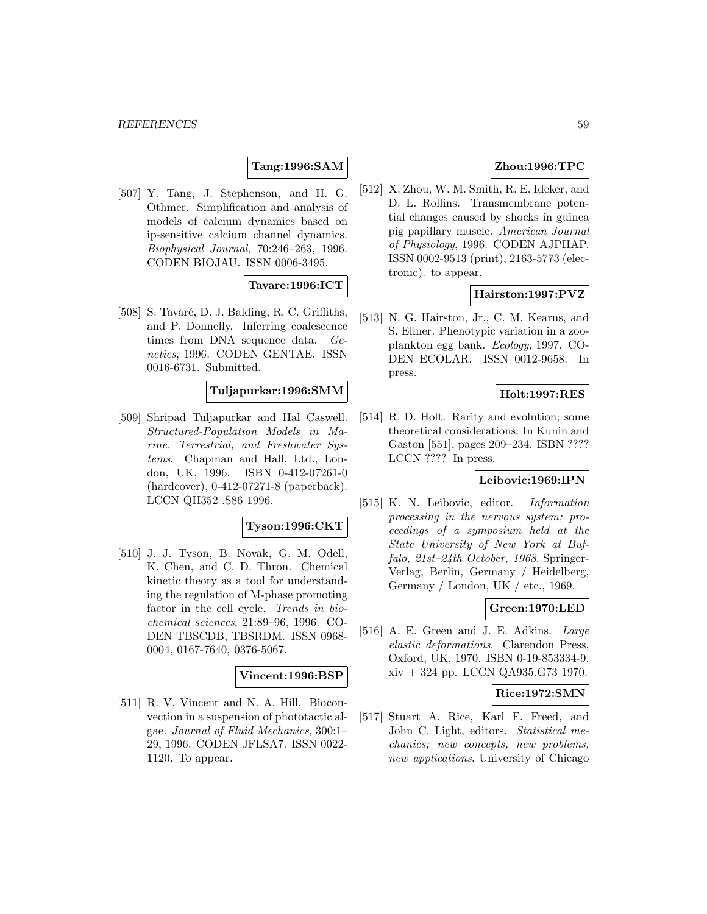# **Tang:1996:SAM**

[507] Y. Tang, J. Stephenson, and H. G. Othmer. Simplification and analysis of models of calcium dynamics based on ip-sensitive calcium channel dynamics. Biophysical Journal, 70:246–263, 1996. CODEN BIOJAU. ISSN 0006-3495.

# **Tavare:1996:ICT**

[508] S. Tavaré, D. J. Balding, R. C. Griffiths, and P. Donnelly. Inferring coalescence times from DNA sequence data. Genetics, 1996. CODEN GENTAE. ISSN 0016-6731. Submitted.

#### **Tuljapurkar:1996:SMM**

[509] Shripad Tuljapurkar and Hal Caswell. Structured-Population Models in Marine, Terrestrial, and Freshwater Systems. Chapman and Hall, Ltd., London, UK, 1996. ISBN 0-412-07261-0 (hardcover), 0-412-07271-8 (paperback). LCCN QH352 .S86 1996.

### **Tyson:1996:CKT**

[510] J. J. Tyson, B. Novak, G. M. Odell, K. Chen, and C. D. Thron. Chemical kinetic theory as a tool for understanding the regulation of M-phase promoting factor in the cell cycle. Trends in biochemical sciences, 21:89–96, 1996. CO-DEN TBSCDB, TBSRDM. ISSN 0968- 0004, 0167-7640, 0376-5067.

#### **Vincent:1996:BSP**

[511] R. V. Vincent and N. A. Hill. Bioconvection in a suspension of phototactic algae. Journal of Fluid Mechanics, 300:1– 29, 1996. CODEN JFLSA7. ISSN 0022- 1120. To appear.

# **Zhou:1996:TPC**

[512] X. Zhou, W. M. Smith, R. E. Ideker, and D. L. Rollins. Transmembrane potential changes caused by shocks in guinea pig papillary muscle. American Journal of Physiology, 1996. CODEN AJPHAP. ISSN 0002-9513 (print), 2163-5773 (electronic). to appear.

### **Hairston:1997:PVZ**

[513] N. G. Hairston, Jr., C. M. Kearns, and S. Ellner. Phenotypic variation in a zooplankton egg bank. Ecology, 1997. CO-DEN ECOLAR. ISSN 0012-9658. In press.

# **Holt:1997:RES**

[514] R. D. Holt. Rarity and evolution; some theoretical considerations. In Kunin and Gaston [551], pages 209–234. ISBN ???? LCCN ???? In press.

# **Leibovic:1969:IPN**

[515] K. N. Leibovic, editor. Information processing in the nervous system; proceedings of a symposium held at the State University of New York at Buffalo, 21st–24th October, 1968. Springer-Verlag, Berlin, Germany / Heidelberg, Germany / London, UK / etc., 1969.

#### **Green:1970:LED**

[516] A. E. Green and J. E. Adkins. Large elastic deformations. Clarendon Press, Oxford, UK, 1970. ISBN 0-19-853334-9. xiv + 324 pp. LCCN QA935.G73 1970.

#### **Rice:1972:SMN**

[517] Stuart A. Rice, Karl F. Freed, and John C. Light, editors. Statistical mechanics; new concepts, new problems, new applications. University of Chicago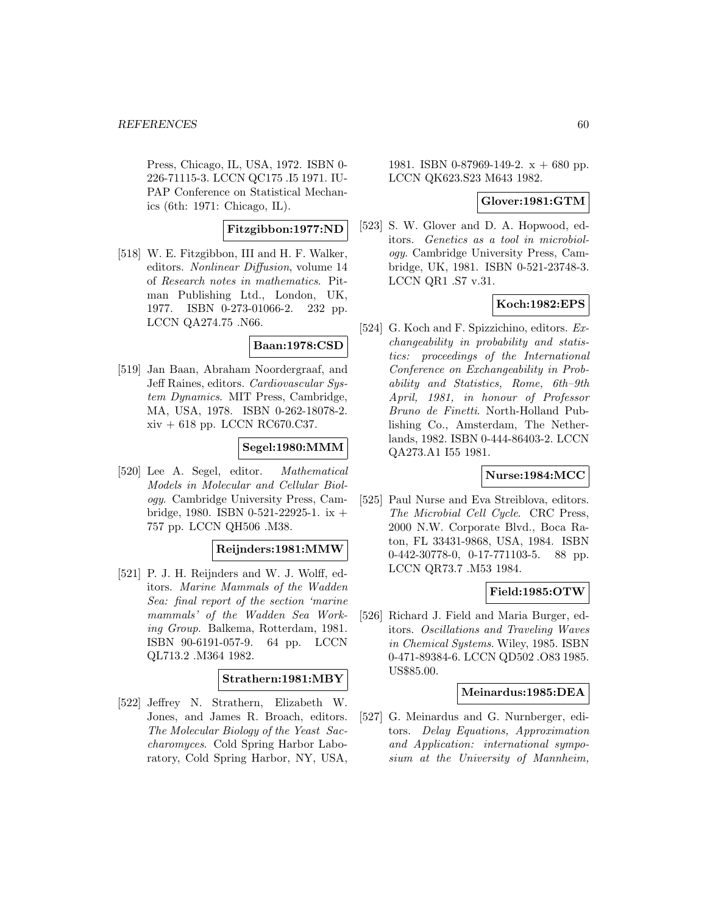Press, Chicago, IL, USA, 1972. ISBN 0- 226-71115-3. LCCN QC175 .I5 1971. IU-PAP Conference on Statistical Mechanics (6th: 1971: Chicago, IL).

# **Fitzgibbon:1977:ND**

[518] W. E. Fitzgibbon, III and H. F. Walker, editors. Nonlinear Diffusion, volume 14 of Research notes in mathematics. Pitman Publishing Ltd., London, UK, 1977. ISBN 0-273-01066-2. 232 pp. LCCN QA274.75 .N66.

#### **Baan:1978:CSD**

[519] Jan Baan, Abraham Noordergraaf, and Jeff Raines, editors. Cardiovascular System Dynamics. MIT Press, Cambridge, MA, USA, 1978. ISBN 0-262-18078-2. xiv + 618 pp. LCCN RC670.C37.

# **Segel:1980:MMM**

[520] Lee A. Segel, editor. Mathematical Models in Molecular and Cellular Biology. Cambridge University Press, Cambridge, 1980. ISBN 0-521-22925-1. ix + 757 pp. LCCN QH506 .M38.

#### **Reijnders:1981:MMW**

[521] P. J. H. Reijnders and W. J. Wolff, editors. Marine Mammals of the Wadden Sea: final report of the section 'marine mammals' of the Wadden Sea Working Group. Balkema, Rotterdam, 1981. ISBN 90-6191-057-9. 64 pp. LCCN QL713.2 .M364 1982.

# **Strathern:1981:MBY**

[522] Jeffrey N. Strathern, Elizabeth W. Jones, and James R. Broach, editors. The Molecular Biology of the Yeast Saccharomyces. Cold Spring Harbor Laboratory, Cold Spring Harbor, NY, USA,

1981. ISBN 0-87969-149-2.  $x + 680$  pp. LCCN QK623.S23 M643 1982.

#### **Glover:1981:GTM**

[523] S. W. Glover and D. A. Hopwood, editors. Genetics as a tool in microbiology. Cambridge University Press, Cambridge, UK, 1981. ISBN 0-521-23748-3. LCCN QR1 .S7 v.31.

# **Koch:1982:EPS**

[524] G. Koch and F. Spizzichino, editors. Exchangeability in probability and statistics: proceedings of the International Conference on Exchangeability in Probability and Statistics, Rome, 6th–9th April, 1981, in honour of Professor Bruno de Finetti. North-Holland Publishing Co., Amsterdam, The Netherlands, 1982. ISBN 0-444-86403-2. LCCN QA273.A1 I55 1981.

# **Nurse:1984:MCC**

[525] Paul Nurse and Eva Streiblova, editors. The Microbial Cell Cycle. CRC Press, 2000 N.W. Corporate Blvd., Boca Raton, FL 33431-9868, USA, 1984. ISBN 0-442-30778-0, 0-17-771103-5. 88 pp. LCCN QR73.7 .M53 1984.

# **Field:1985:OTW**

[526] Richard J. Field and Maria Burger, editors. Oscillations and Traveling Waves in Chemical Systems. Wiley, 1985. ISBN 0-471-89384-6. LCCN QD502 .O83 1985. US\$85.00.

#### **Meinardus:1985:DEA**

[527] G. Meinardus and G. Nurnberger, editors. Delay Equations, Approximation and Application: international symposium at the University of Mannheim,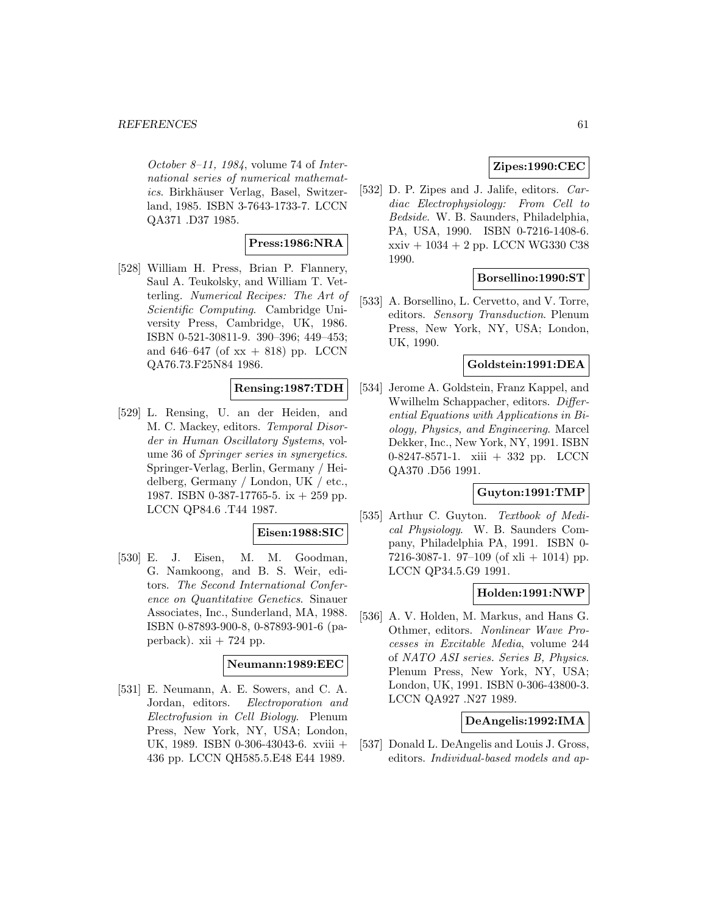October 8–11, 1984, volume 74 of International series of numerical mathematics. Birkhäuser Verlag, Basel, Switzerland, 1985. ISBN 3-7643-1733-7. LCCN QA371 .D37 1985.

# **Press:1986:NRA**

[528] William H. Press, Brian P. Flannery, Saul A. Teukolsky, and William T. Vetterling. Numerical Recipes: The Art of Scientific Computing. Cambridge University Press, Cambridge, UK, 1986. ISBN 0-521-30811-9. 390–396; 449–453; and 646–647 (of  $xx + 818$ ) pp. LCCN QA76.73.F25N84 1986.

# **Rensing:1987:TDH**

[529] L. Rensing, U. an der Heiden, and M. C. Mackey, editors. Temporal Disorder in Human Oscillatory Systems, volume 36 of Springer series in synergetics. Springer-Verlag, Berlin, Germany / Heidelberg, Germany / London, UK / etc., 1987. ISBN 0-387-17765-5. ix + 259 pp. LCCN QP84.6 .T44 1987.

#### **Eisen:1988:SIC**

[530] E. J. Eisen, M. M. Goodman, G. Namkoong, and B. S. Weir, editors. The Second International Conference on Quantitative Genetics. Sinauer Associates, Inc., Sunderland, MA, 1988. ISBN 0-87893-900-8, 0-87893-901-6 (paperback).  $xii + 724$  pp.

#### **Neumann:1989:EEC**

[531] E. Neumann, A. E. Sowers, and C. A. Jordan, editors. Electroporation and Electrofusion in Cell Biology. Plenum Press, New York, NY, USA; London, UK, 1989. ISBN 0-306-43043-6. xviii + 436 pp. LCCN QH585.5.E48 E44 1989.

# **Zipes:1990:CEC**

[532] D. P. Zipes and J. Jalife, editors. Cardiac Electrophysiology: From Cell to Bedside. W. B. Saunders, Philadelphia, PA, USA, 1990. ISBN 0-7216-1408-6. xxiv + 1034 + 2 pp. LCCN WG330 C38 1990.

#### **Borsellino:1990:ST**

[533] A. Borsellino, L. Cervetto, and V. Torre, editors. Sensory Transduction. Plenum Press, New York, NY, USA; London, UK, 1990.

#### **Goldstein:1991:DEA**

[534] Jerome A. Goldstein, Franz Kappel, and Wwilhelm Schappacher, editors. Differential Equations with Applications in Biology, Physics, and Engineering. Marcel Dekker, Inc., New York, NY, 1991. ISBN 0-8247-8571-1. xiii + 332 pp. LCCN QA370 .D56 1991.

#### **Guyton:1991:TMP**

[535] Arthur C. Guyton. Textbook of Medical Physiology. W. B. Saunders Company, Philadelphia PA, 1991. ISBN 0- 7216-3087-1. 97-109 (of xli + 1014) pp. LCCN QP34.5.G9 1991.

#### **Holden:1991:NWP**

[536] A. V. Holden, M. Markus, and Hans G. Othmer, editors. Nonlinear Wave Processes in Excitable Media, volume 244 of NATO ASI series. Series B, Physics. Plenum Press, New York, NY, USA; London, UK, 1991. ISBN 0-306-43800-3. LCCN QA927 .N27 1989.

#### **DeAngelis:1992:IMA**

[537] Donald L. DeAngelis and Louis J. Gross, editors. Individual-based models and ap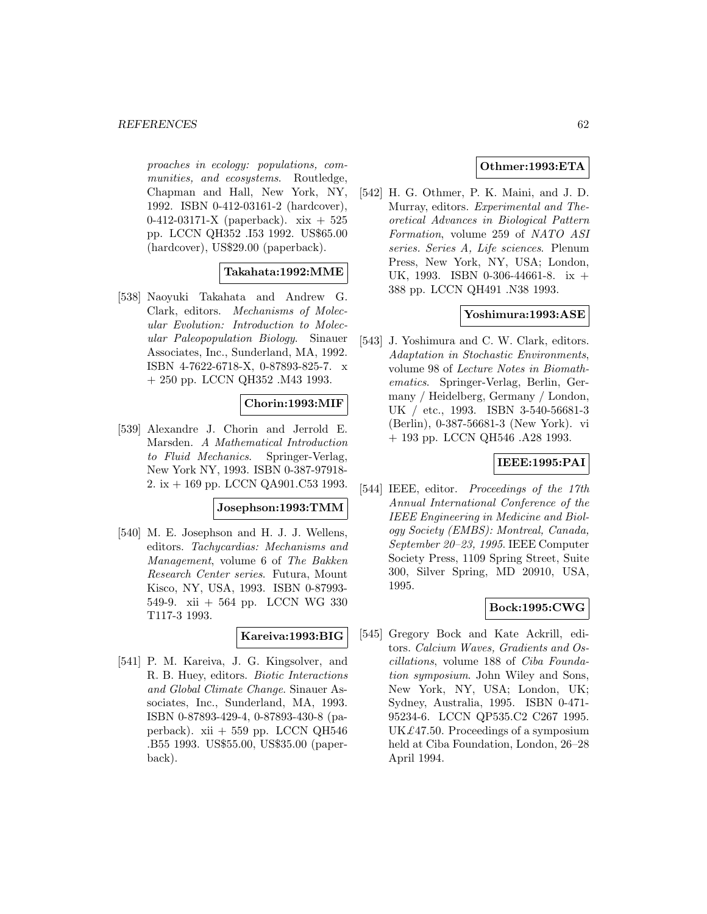proaches in ecology: populations, communities, and ecosystems. Routledge, Chapman and Hall, New York, NY, 1992. ISBN 0-412-03161-2 (hardcover), 0-412-03171-X (paperback). xix + 525 pp. LCCN QH352 .I53 1992. US\$65.00 (hardcover), US\$29.00 (paperback).

# **Takahata:1992:MME**

[538] Naoyuki Takahata and Andrew G. Clark, editors. Mechanisms of Molecular Evolution: Introduction to Molecular Paleopopulation Biology. Sinauer Associates, Inc., Sunderland, MA, 1992. ISBN 4-7622-6718-X, 0-87893-825-7. x + 250 pp. LCCN QH352 .M43 1993.

# **Chorin:1993:MIF**

[539] Alexandre J. Chorin and Jerrold E. Marsden. A Mathematical Introduction to Fluid Mechanics. Springer-Verlag, New York NY, 1993. ISBN 0-387-97918- 2. ix + 169 pp. LCCN QA901.C53 1993.

# **Josephson:1993:TMM**

[540] M. E. Josephson and H. J. J. Wellens, editors. Tachycardias: Mechanisms and Management, volume 6 of The Bakken Research Center series. Futura, Mount Kisco, NY, USA, 1993. ISBN 0-87993- 549-9. xii + 564 pp. LCCN WG 330 T117-3 1993.

# **Kareiva:1993:BIG**

[541] P. M. Kareiva, J. G. Kingsolver, and R. B. Huey, editors. Biotic Interactions and Global Climate Change. Sinauer Associates, Inc., Sunderland, MA, 1993. ISBN 0-87893-429-4, 0-87893-430-8 (paperback). xii  $+ 559$  pp. LCCN QH546 .B55 1993. US\$55.00, US\$35.00 (paperback).

# **Othmer:1993:ETA**

[542] H. G. Othmer, P. K. Maini, and J. D. Murray, editors. Experimental and Theoretical Advances in Biological Pattern Formation, volume 259 of NATO ASI series. Series A, Life sciences. Plenum Press, New York, NY, USA; London, UK, 1993. ISBN 0-306-44661-8. ix + 388 pp. LCCN QH491 .N38 1993.

# **Yoshimura:1993:ASE**

[543] J. Yoshimura and C. W. Clark, editors. Adaptation in Stochastic Environments, volume 98 of Lecture Notes in Biomathematics. Springer-Verlag, Berlin, Germany / Heidelberg, Germany / London, UK / etc., 1993. ISBN 3-540-56681-3 (Berlin), 0-387-56681-3 (New York). vi + 193 pp. LCCN QH546 .A28 1993.

# **IEEE:1995:PAI**

[544] IEEE, editor. Proceedings of the 17th Annual International Conference of the IEEE Engineering in Medicine and Biology Society (EMBS): Montreal, Canada, September 20–23, 1995. IEEE Computer Society Press, 1109 Spring Street, Suite 300, Silver Spring, MD 20910, USA, 1995.

# **Bock:1995:CWG**

[545] Gregory Bock and Kate Ackrill, editors. Calcium Waves, Gradients and Oscillations, volume 188 of Ciba Foundation symposium. John Wiley and Sons, New York, NY, USA; London, UK; Sydney, Australia, 1995. ISBN 0-471- 95234-6. LCCN QP535.C2 C267 1995. UK $£47.50.$  Proceedings of a symposium held at Ciba Foundation, London, 26–28 April 1994.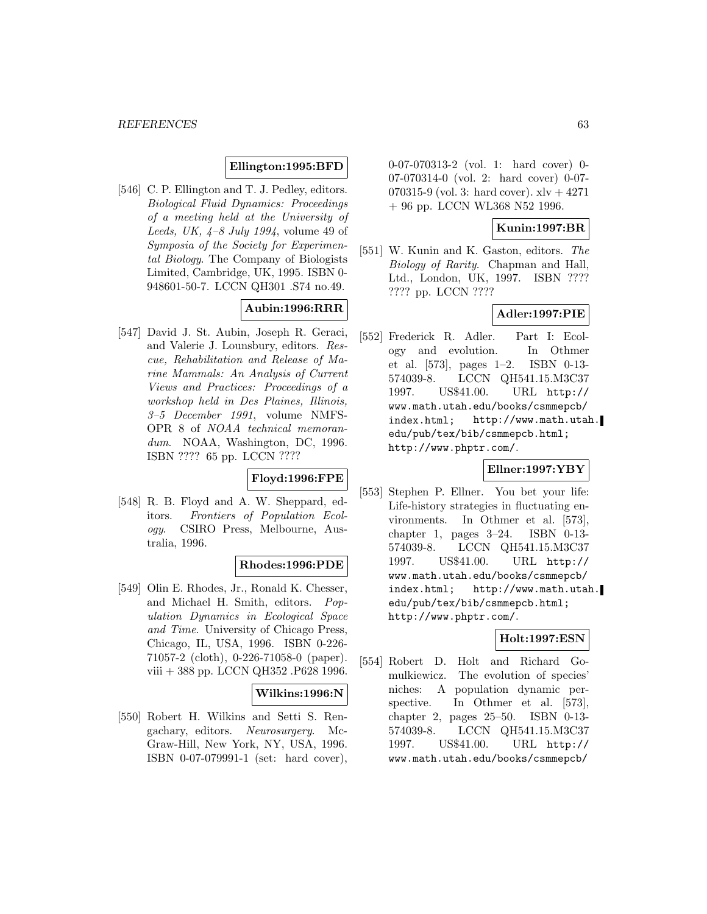# **Ellington:1995:BFD**

[546] C. P. Ellington and T. J. Pedley, editors. Biological Fluid Dynamics: Proceedings of a meeting held at the University of Leeds, UK,  $4-8$  July 1994, volume 49 of Symposia of the Society for Experimental Biology. The Company of Biologists Limited, Cambridge, UK, 1995. ISBN 0- 948601-50-7. LCCN QH301 .S74 no.49.

# **Aubin:1996:RRR**

[547] David J. St. Aubin, Joseph R. Geraci, and Valerie J. Lounsbury, editors. Rescue, Rehabilitation and Release of Marine Mammals: An Analysis of Current Views and Practices: Proceedings of a workshop held in Des Plaines, Illinois, 3–5 December 1991, volume NMFS-OPR 8 of NOAA technical memorandum. NOAA, Washington, DC, 1996. ISBN ???? 65 pp. LCCN ????

# **Floyd:1996:FPE**

[548] R. B. Floyd and A. W. Sheppard, editors. Frontiers of Population Ecology. CSIRO Press, Melbourne, Australia, 1996.

#### **Rhodes:1996:PDE**

[549] Olin E. Rhodes, Jr., Ronald K. Chesser, and Michael H. Smith, editors. Population Dynamics in Ecological Space and Time. University of Chicago Press, Chicago, IL, USA, 1996. ISBN 0-226- 71057-2 (cloth), 0-226-71058-0 (paper). viii + 388 pp. LCCN QH352 .P628 1996.

#### **Wilkins:1996:N**

[550] Robert H. Wilkins and Setti S. Rengachary, editors. Neurosurgery. Mc-Graw-Hill, New York, NY, USA, 1996. ISBN 0-07-079991-1 (set: hard cover),

0-07-070313-2 (vol. 1: hard cover) 0- 07-070314-0 (vol. 2: hard cover) 0-07- 070315-9 (vol. 3: hard cover).  $xlv + 4271$ + 96 pp. LCCN WL368 N52 1996.

# **Kunin:1997:BR**

[551] W. Kunin and K. Gaston, editors. The Biology of Rarity. Chapman and Hall, Ltd., London, UK, 1997. ISBN ???? ???? pp. LCCN ????

#### **Adler:1997:PIE**

[552] Frederick R. Adler. Part I: Ecology and evolution. In Othmer et al. [573], pages 1–2. ISBN 0-13- 574039-8. LCCN QH541.15.M3C37 1997. US\$41.00. URL http:// www.math.utah.edu/books/csmmepcb/ index.html; http://www.math.utah. edu/pub/tex/bib/csmmepcb.html; http://www.phptr.com/.

#### **Ellner:1997:YBY**

[553] Stephen P. Ellner. You bet your life: Life-history strategies in fluctuating environments. In Othmer et al. [573], chapter 1, pages 3–24. ISBN 0-13- 574039-8. LCCN QH541.15.M3C37 1997. US\$41.00. URL http:// www.math.utah.edu/books/csmmepcb/ index.html; http://www.math.utah. edu/pub/tex/bib/csmmepcb.html; http://www.phptr.com/.

# **Holt:1997:ESN**

[554] Robert D. Holt and Richard Gomulkiewicz. The evolution of species' niches: A population dynamic perspective. In Othmer et al. [573], chapter 2, pages 25–50. ISBN 0-13- 574039-8. LCCN QH541.15.M3C37 1997. US\$41.00. URL http:// www.math.utah.edu/books/csmmepcb/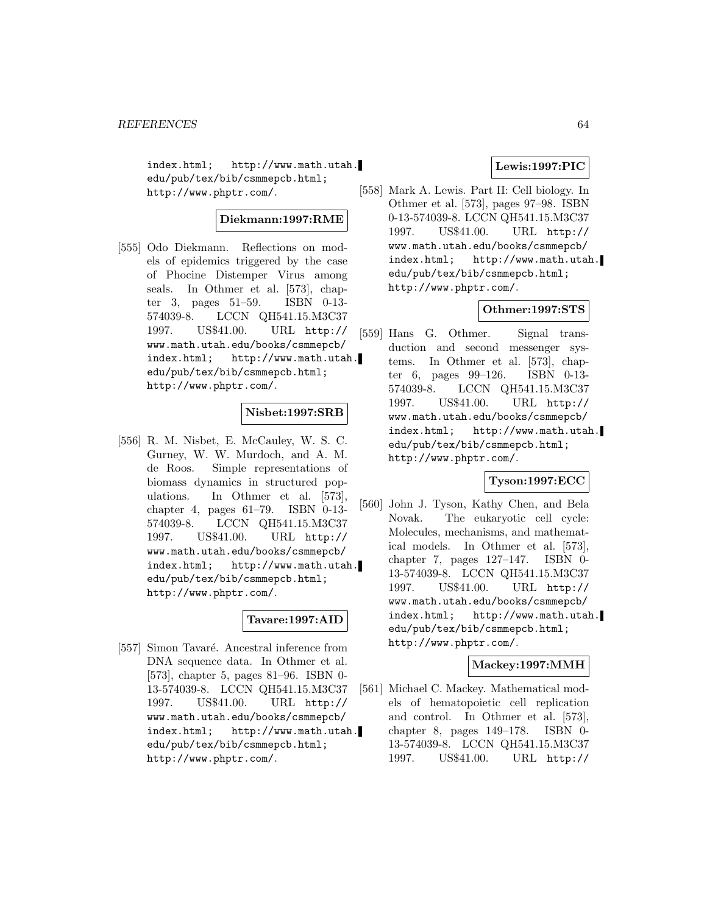index.html; http://www.math.utah. edu/pub/tex/bib/csmmepcb.html; http://www.phptr.com/.

# **Diekmann:1997:RME**

[555] Odo Diekmann. Reflections on models of epidemics triggered by the case of Phocine Distemper Virus among seals. In Othmer et al. [573], chapter 3, pages 51–59. ISBN 0-13- 574039-8. LCCN QH541.15.M3C37 1997. US\$41.00. URL http:// www.math.utah.edu/books/csmmepcb/ index.html; http://www.math.utah. edu/pub/tex/bib/csmmepcb.html; http://www.phptr.com/.

# **Nisbet:1997:SRB**

[556] R. M. Nisbet, E. McCauley, W. S. C. Gurney, W. W. Murdoch, and A. M. de Roos. Simple representations of biomass dynamics in structured populations. In Othmer et al. [573], chapter 4, pages 61–79. ISBN 0-13- 574039-8. LCCN QH541.15.M3C37 1997. US\$41.00. URL http:// www.math.utah.edu/books/csmmepcb/ index.html; http://www.math.utah. edu/pub/tex/bib/csmmepcb.html; http://www.phptr.com/.

# **Tavare:1997:AID**

[557] Simon Tavaré. Ancestral inference from DNA sequence data. In Othmer et al. [573], chapter 5, pages 81–96. ISBN 0- 13-574039-8. LCCN QH541.15.M3C37 1997. US\$41.00. URL http:// www.math.utah.edu/books/csmmepcb/ index.html; http://www.math.utah. edu/pub/tex/bib/csmmepcb.html; http://www.phptr.com/.

# **Lewis:1997:PIC**

[558] Mark A. Lewis. Part II: Cell biology. In Othmer et al. [573], pages 97–98. ISBN 0-13-574039-8. LCCN QH541.15.M3C37 1997. US\$41.00. URL http:// www.math.utah.edu/books/csmmepcb/ index.html; http://www.math.utah. edu/pub/tex/bib/csmmepcb.html; http://www.phptr.com/.

# **Othmer:1997:STS**

[559] Hans G. Othmer. Signal transduction and second messenger systems. In Othmer et al. [573], chapter 6, pages 99–126. ISBN 0-13- 574039-8. LCCN QH541.15.M3C37 1997. US\$41.00. URL http:// www.math.utah.edu/books/csmmepcb/ index.html; http://www.math.utah. edu/pub/tex/bib/csmmepcb.html; http://www.phptr.com/.

# **Tyson:1997:ECC**

[560] John J. Tyson, Kathy Chen, and Bela Novak. The eukaryotic cell cycle: Molecules, mechanisms, and mathematical models. In Othmer et al. [573], chapter 7, pages 127–147. ISBN 0- 13-574039-8. LCCN QH541.15.M3C37 1997. US\$41.00. URL http:// www.math.utah.edu/books/csmmepcb/ index.html; http://www.math.utah. edu/pub/tex/bib/csmmepcb.html; http://www.phptr.com/.

# **Mackey:1997:MMH**

[561] Michael C. Mackey. Mathematical models of hematopoietic cell replication and control. In Othmer et al. [573], chapter 8, pages 149–178. ISBN 0- 13-574039-8. LCCN QH541.15.M3C37 1997. US\$41.00. URL http://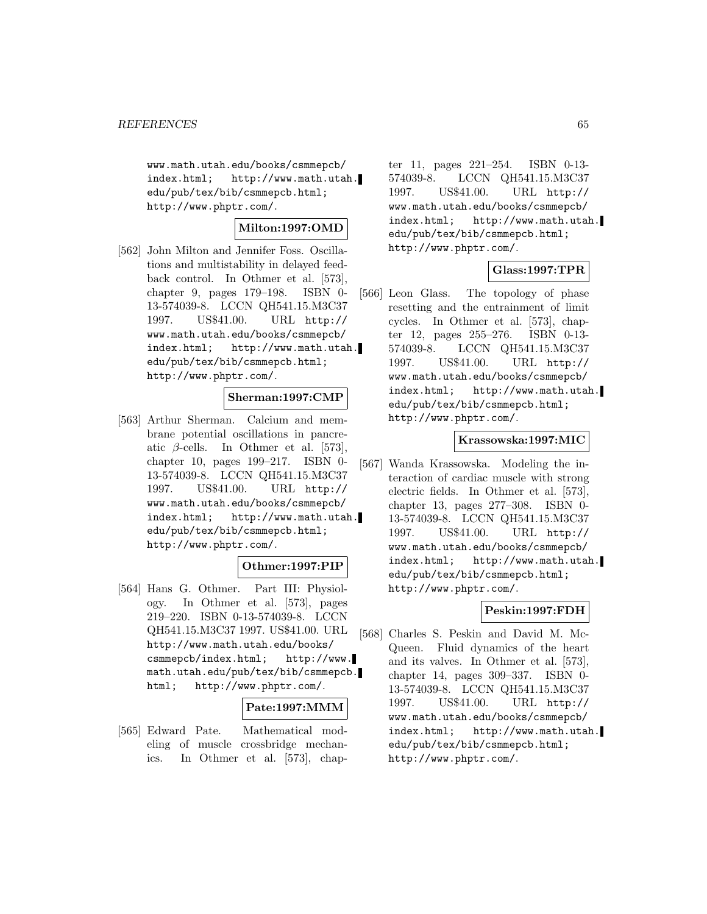www.math.utah.edu/books/csmmepcb/ index.html; http://www.math.utah. edu/pub/tex/bib/csmmepcb.html; http://www.phptr.com/.

# **Milton:1997:OMD**

[562] John Milton and Jennifer Foss. Oscillations and multistability in delayed feedback control. In Othmer et al. [573], chapter 9, pages 179–198. ISBN 0- 13-574039-8. LCCN QH541.15.M3C37 1997. US\$41.00. URL http:// www.math.utah.edu/books/csmmepcb/ index.html; http://www.math.utah. edu/pub/tex/bib/csmmepcb.html; http://www.phptr.com/.

#### **Sherman:1997:CMP**

[563] Arthur Sherman. Calcium and membrane potential oscillations in pancreatic  $\beta$ -cells. In Othmer et al. [573], chapter 10, pages 199–217. ISBN 0- 13-574039-8. LCCN QH541.15.M3C37 1997. US\$41.00. URL http:// www.math.utah.edu/books/csmmepcb/ index.html; http://www.math.utah. edu/pub/tex/bib/csmmepcb.html; http://www.phptr.com/.

# **Othmer:1997:PIP**

[564] Hans G. Othmer. Part III: Physiology. In Othmer et al. [573], pages 219–220. ISBN 0-13-574039-8. LCCN QH541.15.M3C37 1997. US\$41.00. URL http://www.math.utah.edu/books/ csmmepcb/index.html; http://www. math.utah.edu/pub/tex/bib/csmmepcb. html; http://www.phptr.com/.

# **Pate:1997:MMM**

[565] Edward Pate. Mathematical modeling of muscle crossbridge mechanics. In Othmer et al. [573], chap-

ter 11, pages 221–254. ISBN 0-13- 574039-8. LCCN QH541.15.M3C37 1997. US\$41.00. URL http:// www.math.utah.edu/books/csmmepcb/ index.html; http://www.math.utah. edu/pub/tex/bib/csmmepcb.html; http://www.phptr.com/.

# **Glass:1997:TPR**

[566] Leon Glass. The topology of phase resetting and the entrainment of limit cycles. In Othmer et al. [573], chapter 12, pages 255–276. ISBN 0-13- 574039-8. LCCN QH541.15.M3C37 1997. US\$41.00. URL http:// www.math.utah.edu/books/csmmepcb/ index.html; http://www.math.utah. edu/pub/tex/bib/csmmepcb.html; http://www.phptr.com/.

# **Krassowska:1997:MIC**

[567] Wanda Krassowska. Modeling the interaction of cardiac muscle with strong electric fields. In Othmer et al. [573], chapter 13, pages 277–308. ISBN 0- 13-574039-8. LCCN QH541.15.M3C37 1997. US\$41.00. URL http:// www.math.utah.edu/books/csmmepcb/ index.html; http://www.math.utah. edu/pub/tex/bib/csmmepcb.html; http://www.phptr.com/.

# **Peskin:1997:FDH**

[568] Charles S. Peskin and David M. Mc-Queen. Fluid dynamics of the heart and its valves. In Othmer et al. [573], chapter 14, pages 309–337. ISBN 0- 13-574039-8. LCCN QH541.15.M3C37 1997. US\$41.00. URL http:// www.math.utah.edu/books/csmmepcb/ index.html; http://www.math.utah. edu/pub/tex/bib/csmmepcb.html; http://www.phptr.com/.